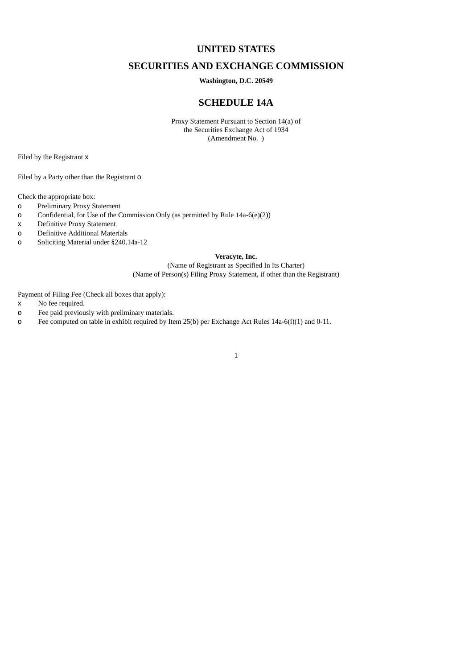# **UNITED STATES**

# **SECURITIES AND EXCHANGE COMMISSION**

## **Washington, D.C. 20549**

# **SCHEDULE 14A**

Proxy Statement Pursuant to Section 14(a) of the Securities Exchange Act of 1934 (Amendment No. )

Filed by the Registrant x

Filed by a Party other than the Registrant o

Check the appropriate box:

- o Preliminary Proxy Statement
- o Confidential, for Use of the Commission Only (as permitted by Rule 14a-6(e)(2))
- x Definitive Proxy Statement

o Definitive Additional Materials

o Soliciting Material under §240.14a-12

# **Veracyte, Inc.**

(Name of Registrant as Specified In Its Charter) (Name of Person(s) Filing Proxy Statement, if other than the Registrant)

Payment of Filing Fee (Check all boxes that apply):

- x No fee required.
- o Fee paid previously with preliminary materials.
- o Fee computed on table in exhibit required by Item 25(b) per Exchange Act Rules 14a-6(i)(1) and 0-11.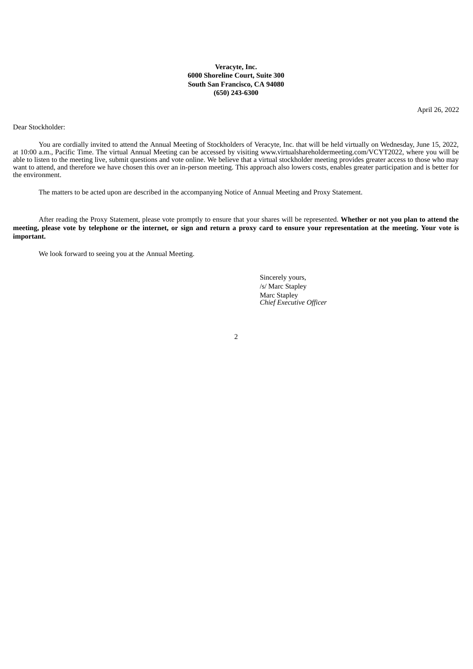## **Veracyte, Inc. 6000 Shoreline Court, Suite 300 South San Francisco, CA 94080 (650) 243-6300**

April 26, 2022

Dear Stockholder:

You are cordially invited to attend the Annual Meeting of Stockholders of Veracyte, Inc. that will be held virtually on Wednesday, June 15, 2022, at 10:00 a.m., Pacific Time. The virtual Annual Meeting can be accessed by visiting www.virtualshareholdermeeting.com/VCYT2022, where you will be able to listen to the meeting live, submit questions and vote online. We believe that a virtual stockholder meeting provides greater access to those who may want to attend, and therefore we have chosen this over an in-person meeting. This approach also lowers costs, enables greater participation and is better for the environment.

The matters to be acted upon are described in the accompanying Notice of Annual Meeting and Proxy Statement.

After reading the Proxy Statement, please vote promptly to ensure that your shares will be represented. **Whether or not you plan to attend the** meeting, please vote by telephone or the internet, or sign and return a proxy card to ensure your representation at the meeting. Your vote is **important.**

We look forward to seeing you at the Annual Meeting.

Sincerely yours, /s/ Marc Stapley Marc Stapley *Chief Executive Officer*

 $\overline{2}$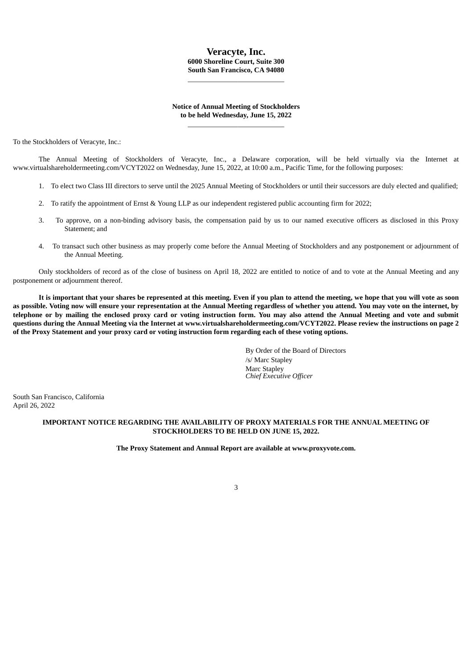# **Veracyte, Inc. 6000 Shoreline Court, Suite 300 South San Francisco, CA 94080**

\_\_\_\_\_\_\_\_\_\_\_\_\_\_\_\_\_\_\_\_\_\_\_\_\_\_\_

## **Notice of Annual Meeting of Stockholders to be held Wednesday, June 15, 2022** \_\_\_\_\_\_\_\_\_\_\_\_\_\_\_\_\_\_\_\_\_\_\_\_\_\_\_

To the Stockholders of Veracyte, Inc.:

The Annual Meeting of Stockholders of Veracyte, Inc., a Delaware corporation, will be held virtually via the Internet at www.virtualshareholdermeeting.com/VCYT2022 on Wednesday, June 15, 2022, at 10:00 a.m., Pacific Time, for the following purposes:

- 1. To elect two Class III directors to serve until the 2025 Annual Meeting of Stockholders or until their successors are duly elected and qualified;
- 2. To ratify the appointment of Ernst & Young LLP as our independent registered public accounting firm for 2022;
- 3. To approve, on a non-binding advisory basis, the compensation paid by us to our named executive officers as disclosed in this Proxy Statement; and
- 4. To transact such other business as may properly come before the Annual Meeting of Stockholders and any postponement or adjournment of the Annual Meeting.

Only stockholders of record as of the close of business on April 18, 2022 are entitled to notice of and to vote at the Annual Meeting and any postponement or adjournment thereof.

It is important that your shares be represented at this meeting. Even if you plan to attend the meeting, we hope that you will vote as soon as possible. Voting now will ensure your representation at the Annual Meeting regardless of whether you attend. You may vote on the internet, by telephone or by mailing the enclosed proxy card or voting instruction form. You may also attend the Annual Meeting and vote and submit questions during the Annual Meeting via the Internet at www.virtualshareholdermeeting.com/VCYT2022. Please review the instructions on page 2 of the Proxy Statement and your proxy card or voting instruction form regarding each of these voting options.

> By Order of the Board of Directors /s/ Marc Stapley Marc Stapley *Chief Executive Officer*

South San Francisco, California April 26, 2022

# **IMPORTANT NOTICE REGARDING THE AVAILABILITY OF PROXY MATERIALS FOR THE ANNUAL MEETING OF STOCKHOLDERS TO BE HELD ON JUNE 15, 2022.**

**The Proxy Statement and Annual Report are available at www.proxyvote.com.**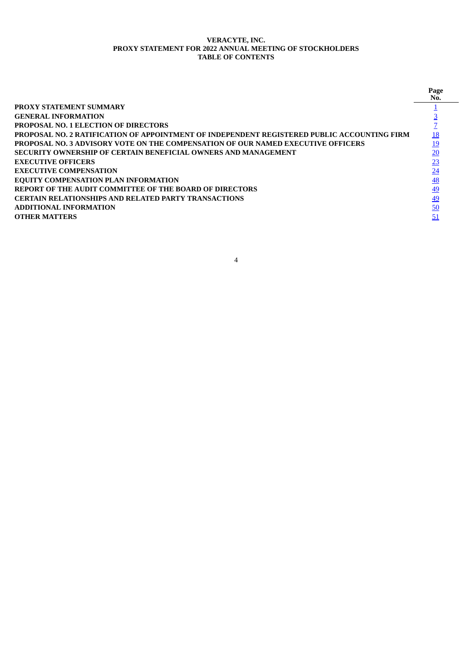# **VERACYTE, INC. PROXY STATEMENT FOR 2022 ANNUAL MEETING OF STOCKHOLDERS TABLE OF CONTENTS**

<span id="page-3-0"></span>

|                                                                                             | Page<br>No. |
|---------------------------------------------------------------------------------------------|-------------|
| <b>PROXY STATEMENT SUMMARY</b>                                                              |             |
| <b>GENERAL INFORMATION</b>                                                                  |             |
| <b>PROPOSAL NO. 1 ELECTION OF DIRECTORS</b>                                                 |             |
| PROPOSAL NO. 2 RATIFICATION OF APPOINTMENT OF INDEPENDENT REGISTERED PUBLIC ACCOUNTING FIRM |             |
| PROPOSAL NO. 3 ADVISORY VOTE ON THE COMPENSATION OF OUR NAMED EXECUTIVE OFFICERS            | 19          |
| SECURITY OWNERSHIP OF CERTAIN BENEFICIAL OWNERS AND MANAGEMENT                              | 20          |
| <b>EXECUTIVE OFFICERS</b>                                                                   | 23          |
| <b>EXECUTIVE COMPENSATION</b>                                                               | 24          |
| <b>EQUITY COMPENSATION PLAN INFORMATION</b>                                                 | <u>48</u>   |
| REPORT OF THE AUDIT COMMITTEE OF THE BOARD OF DIRECTORS                                     | 49          |
| <b>CERTAIN RELATIONSHIPS AND RELATED PARTY TRANSACTIONS</b>                                 | <u>49</u>   |
| <b>ADDITIONAL INFORMATION</b>                                                               | 50          |
| <b>OTHER MATTERS</b>                                                                        | 51          |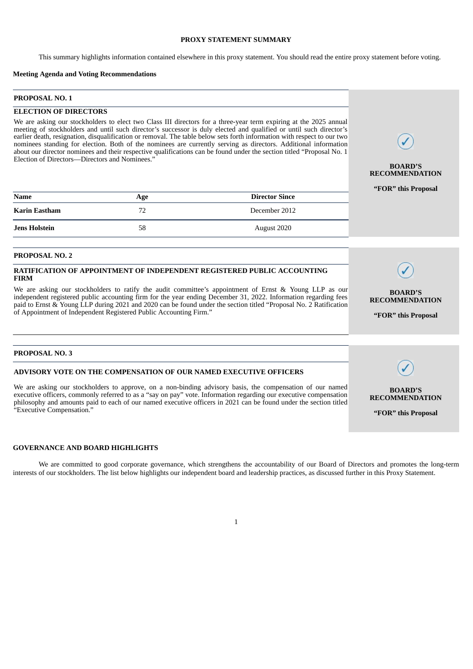## **PROXY STATEMENT SUMMARY**

This summary highlights information contained elsewhere in this proxy statement. You should read the entire proxy statement before voting.

## **Meeting Agenda and Voting Recommendations**

# **PROPOSAL NO. 1**

#### **ELECTION OF DIRECTORS**

We are asking our stockholders to elect two Class III directors for a three-year term expiring at the 2025 annual meeting of stockholders and until such director's successor is duly elected and qualified or until such director's earlier death, resignation, disqualification or removal. The table below sets forth information with respect to our two nominees standing for election. Both of the nominees are currently serving as directors. Additional information about our director nominees and their respective qualifications can be found under the section titled "Proposal No. 1 Election of Directors—Directors and Nominees."

| <b>Name</b>          | Age | <b>Director Since</b> |
|----------------------|-----|-----------------------|
| Karin Eastham        | 72  | December 2012         |
| <b>Jens Holstein</b> | 58  | August 2020           |

#### **PROPOSAL NO. 2**

## **RATIFICATION OF APPOINTMENT OF INDEPENDENT REGISTERED PUBLIC ACCOUNTING FIRM**

We are asking our stockholders to ratify the audit committee's appointment of Ernst & Young LLP as our independent registered public accounting firm for the year ending December 31, 2022. Information regarding fees paid to Ernst & Young LLP during 2021 and 2020 can be found under the section titled "Proposal No. 2 Ratification of Appointment of Independent Registered Public Accounting Firm."

## **PROPOSAL NO. 3**

#### **ADVISORY VOTE ON THE COMPENSATION OF OUR NAMED EXECUTIVE OFFICERS**

We are asking our stockholders to approve, on a non-binding advisory basis, the compensation of our named executive officers, commonly referred to as a "say on pay" vote. Information regarding our executive compensation philosophy and amounts paid to each of our named executive officers in 2021 can be found under the section titled "Executive Compensation."

### **GOVERNANCE AND BOARD HIGHLIGHTS**

We are committed to good corporate governance, which strengthens the accountability of our Board of Directors and promotes the long-term interests of our stockholders. The list below highlights our independent board and leadership practices, as discussed further in this Proxy Statement.



**BOARD'S RECOMMENDATION "FOR" this Proposal**

#### **BOARD'S RECOMMENDATION**

**"FOR" this Proposal**

**BOARD'S RECOMMENDATION**

**"FOR" this Proposal**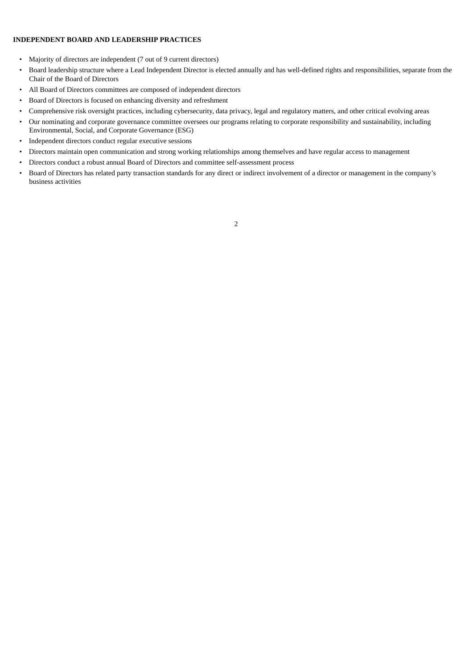# **INDEPENDENT BOARD AND LEADERSHIP PRACTICES**

- Majority of directors are independent (7 out of 9 current directors)
- Board leadership structure where a Lead Independent Director is elected annually and has well-defined rights and responsibilities, separate from the Chair of the Board of Directors
- All Board of Directors committees are composed of independent directors
- Board of Directors is focused on enhancing diversity and refreshment
- Comprehensive risk oversight practices, including cybersecurity, data privacy, legal and regulatory matters, and other critical evolving areas
- Our nominating and corporate governance committee oversees our programs relating to corporate responsibility and sustainability, including Environmental, Social, and Corporate Governance (ESG)
- Independent directors conduct regular executive sessions
- Directors maintain open communication and strong working relationships among themselves and have regular access to management
- Directors conduct a robust annual Board of Directors and committee self-assessment process
- <span id="page-5-0"></span>• Board of Directors has related party transaction standards for any direct or indirect involvement of a director or management in the company's business activities

 $\overline{2}$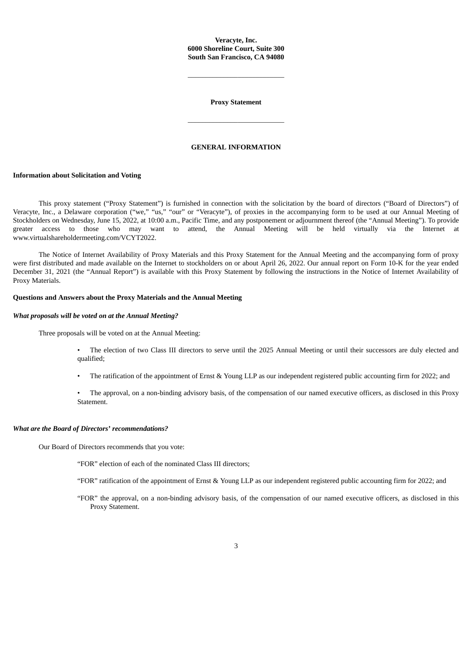## **Veracyte, Inc. 6000 Shoreline Court, Suite 300 South San Francisco, CA 94080**

\_\_\_\_\_\_\_\_\_\_\_\_\_\_\_\_\_\_\_\_\_\_\_\_\_\_\_

**Proxy Statement**

\_\_\_\_\_\_\_\_\_\_\_\_\_\_\_\_\_\_\_\_\_\_\_\_\_\_\_

#### **GENERAL INFORMATION**

#### **Information about Solicitation and Voting**

This proxy statement ("Proxy Statement") is furnished in connection with the solicitation by the board of directors ("Board of Directors") of Veracyte, Inc., a Delaware corporation ("we," "us," "our" or "Veracyte"), of proxies in the accompanying form to be used at our Annual Meeting of Stockholders on Wednesday, June 15, 2022, at 10:00 a.m., Pacific Time, and any postponement or adjournment thereof (the "Annual Meeting"). To provide greater access to those who may want to attend, the Annual Meeting will be held virtually via the Internet at www.virtualshareholdermeeting.com/VCYT2022.

The Notice of Internet Availability of Proxy Materials and this Proxy Statement for the Annual Meeting and the accompanying form of proxy were first distributed and made available on the Internet to stockholders on or about April 26, 2022. Our annual report on Form 10-K for the year ended December 31, 2021 (the "Annual Report") is available with this Proxy Statement by following the instructions in the Notice of Internet Availability of Proxy Materials.

#### **Questions and Answers about the Proxy Materials and the Annual Meeting**

#### *What proposals will be voted on at the Annual Meeting?*

Three proposals will be voted on at the Annual Meeting:

• The election of two Class III directors to serve until the 2025 Annual Meeting or until their successors are duly elected and qualified;

• The ratification of the appointment of Ernst & Young LLP as our independent registered public accounting firm for 2022; and

• The approval, on a non-binding advisory basis, of the compensation of our named executive officers, as disclosed in this Proxy Statement.

#### *What are the Board of Directors' recommendations?*

Our Board of Directors recommends that you vote:

- "FOR" election of each of the nominated Class III directors;
- "FOR" ratification of the appointment of Ernst & Young LLP as our independent registered public accounting firm for 2022; and
- "FOR" the approval, on a non-binding advisory basis, of the compensation of our named executive officers, as disclosed in this Proxy Statement.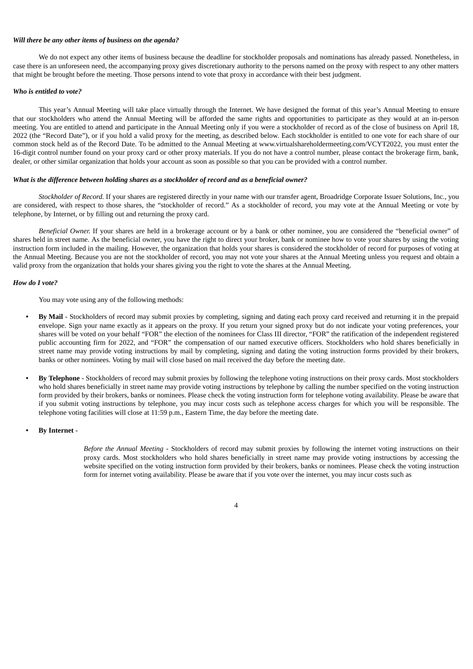## *Will there be any other items of business on the agenda?*

We do not expect any other items of business because the deadline for stockholder proposals and nominations has already passed. Nonetheless, in case there is an unforeseen need, the accompanying proxy gives discretionary authority to the persons named on the proxy with respect to any other matters that might be brought before the meeting. Those persons intend to vote that proxy in accordance with their best judgment.

#### *Who is entitled to vote?*

This year's Annual Meeting will take place virtually through the Internet. We have designed the format of this year's Annual Meeting to ensure that our stockholders who attend the Annual Meeting will be afforded the same rights and opportunities to participate as they would at an in-person meeting. You are entitled to attend and participate in the Annual Meeting only if you were a stockholder of record as of the close of business on April 18, 2022 (the "Record Date"), or if you hold a valid proxy for the meeting, as described below. Each stockholder is entitled to one vote for each share of our common stock held as of the Record Date. To be admitted to the Annual Meeting at www.virtualshareholdermeeting.com/VCYT2022, you must enter the 16-digit control number found on your proxy card or other proxy materials. If you do not have a control number, please contact the brokerage firm, bank, dealer, or other similar organization that holds your account as soon as possible so that you can be provided with a control number.

#### *What is the difference between holding shares as a stockholder of record and as a beneficial owner?*

*Stockholder of Record.* If your shares are registered directly in your name with our transfer agent, Broadridge Corporate Issuer Solutions, Inc., you are considered, with respect to those shares, the "stockholder of record." As a stockholder of record, you may vote at the Annual Meeting or vote by telephone, by Internet, or by filling out and returning the proxy card.

*Beneficial Owner.* If your shares are held in a brokerage account or by a bank or other nominee, you are considered the "beneficial owner" of shares held in street name. As the beneficial owner, you have the right to direct your broker, bank or nominee how to vote your shares by using the voting instruction form included in the mailing. However, the organization that holds your shares is considered the stockholder of record for purposes of voting at the Annual Meeting. Because you are not the stockholder of record, you may not vote your shares at the Annual Meeting unless you request and obtain a valid proxy from the organization that holds your shares giving you the right to vote the shares at the Annual Meeting.

## *How do I vote?*

You may vote using any of the following methods:

- **• By Mail** Stockholders of record may submit proxies by completing, signing and dating each proxy card received and returning it in the prepaid envelope. Sign your name exactly as it appears on the proxy. If you return your signed proxy but do not indicate your voting preferences, your shares will be voted on your behalf "FOR" the election of the nominees for Class III director, "FOR" the ratification of the independent registered public accounting firm for 2022, and "FOR" the compensation of our named executive officers. Stockholders who hold shares beneficially in street name may provide voting instructions by mail by completing, signing and dating the voting instruction forms provided by their brokers, banks or other nominees. Voting by mail will close based on mail received the day before the meeting date.
- **• By Telephone** Stockholders of record may submit proxies by following the telephone voting instructions on their proxy cards. Most stockholders who hold shares beneficially in street name may provide voting instructions by telephone by calling the number specified on the voting instruction form provided by their brokers, banks or nominees. Please check the voting instruction form for telephone voting availability. Please be aware that if you submit voting instructions by telephone, you may incur costs such as telephone access charges for which you will be responsible. The telephone voting facilities will close at 11:59 p.m., Eastern Time, the day before the meeting date.

## **• By Internet** -

*Before the Annual Meeting* - Stockholders of record may submit proxies by following the internet voting instructions on their proxy cards. Most stockholders who hold shares beneficially in street name may provide voting instructions by accessing the website specified on the voting instruction form provided by their brokers, banks or nominees. Please check the voting instruction form for internet voting availability. Please be aware that if you vote over the internet, you may incur costs such as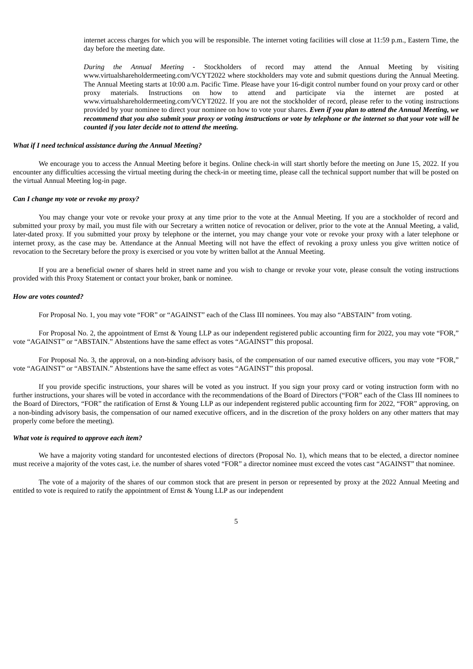internet access charges for which you will be responsible. The internet voting facilities will close at 11:59 p.m., Eastern Time, the day before the meeting date.

*During the Annual Meeting* - Stockholders of record may attend the Annual Meeting by visiting www.virtualshareholdermeeting.com/VCYT2022 where stockholders may vote and submit questions during the Annual Meeting. The Annual Meeting starts at 10:00 a.m. Pacific Time. Please have your 16-digit control number found on your proxy card or other proxy materials. Instructions on how to attend and participate via the internet are posted at www.virtualshareholdermeeting.com/VCYT2022. If you are not the stockholder of record, please refer to the voting instructions provided by your nominee to direct your nominee on how to vote your shares. *Even if you plan to attend the Annual Meeting, we* recommend that you also submit your proxy or voting instructions or vote by telephone or the internet so that your vote will be *counted if you later decide not to attend the meeting.*

### *What if I need technical assistance during the Annual Meeting?*

We encourage you to access the Annual Meeting before it begins. Online check-in will start shortly before the meeting on June 15, 2022. If you encounter any difficulties accessing the virtual meeting during the check-in or meeting time, please call the technical support number that will be posted on the virtual Annual Meeting log-in page.

#### *Can I change my vote or revoke my proxy?*

You may change your vote or revoke your proxy at any time prior to the vote at the Annual Meeting. If you are a stockholder of record and submitted your proxy by mail, you must file with our Secretary a written notice of revocation or deliver, prior to the vote at the Annual Meeting, a valid, later-dated proxy. If you submitted your proxy by telephone or the internet, you may change your vote or revoke your proxy with a later telephone or internet proxy, as the case may be. Attendance at the Annual Meeting will not have the effect of revoking a proxy unless you give written notice of revocation to the Secretary before the proxy is exercised or you vote by written ballot at the Annual Meeting.

If you are a beneficial owner of shares held in street name and you wish to change or revoke your vote, please consult the voting instructions provided with this Proxy Statement or contact your broker, bank or nominee.

#### *How are votes counted?*

For Proposal No. 1, you may vote "FOR" or "AGAINST" each of the Class III nominees. You may also "ABSTAIN" from voting.

For Proposal No. 2, the appointment of Ernst & Young LLP as our independent registered public accounting firm for 2022, you may vote "FOR," vote "AGAINST" or "ABSTAIN." Abstentions have the same effect as votes "AGAINST" this proposal.

For Proposal No. 3, the approval, on a non-binding advisory basis, of the compensation of our named executive officers, you may vote "FOR," vote "AGAINST" or "ABSTAIN." Abstentions have the same effect as votes "AGAINST" this proposal.

If you provide specific instructions, your shares will be voted as you instruct. If you sign your proxy card or voting instruction form with no further instructions, your shares will be voted in accordance with the recommendations of the Board of Directors ("FOR" each of the Class III nominees to the Board of Directors, "FOR" the ratification of Ernst & Young LLP as our independent registered public accounting firm for 2022, "FOR" approving, on a non-binding advisory basis, the compensation of our named executive officers, and in the discretion of the proxy holders on any other matters that may properly come before the meeting).

#### *What vote is required to approve each item?*

We have a majority voting standard for uncontested elections of directors (Proposal No. 1), which means that to be elected, a director nominee must receive a majority of the votes cast, i.e. the number of shares voted "FOR" a director nominee must exceed the votes cast "AGAINST" that nominee.

The vote of a majority of the shares of our common stock that are present in person or represented by proxy at the 2022 Annual Meeting and entitled to vote is required to ratify the appointment of Ernst & Young LLP as our independent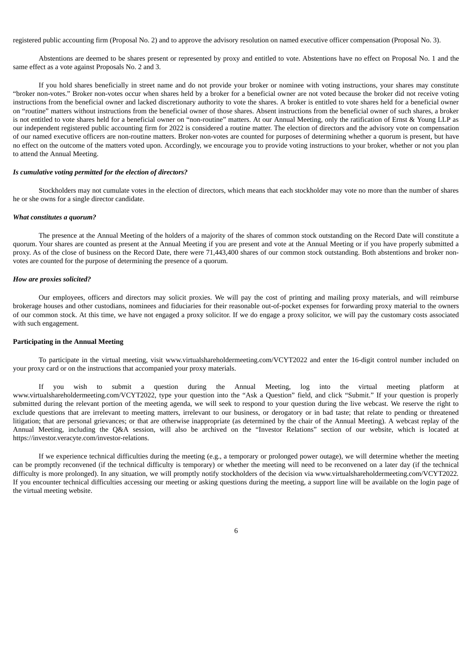registered public accounting firm (Proposal No. 2) and to approve the advisory resolution on named executive officer compensation (Proposal No. 3).

Abstentions are deemed to be shares present or represented by proxy and entitled to vote. Abstentions have no effect on Proposal No. 1 and the same effect as a vote against Proposals No. 2 and 3.

If you hold shares beneficially in street name and do not provide your broker or nominee with voting instructions, your shares may constitute "broker non-votes." Broker non-votes occur when shares held by a broker for a beneficial owner are not voted because the broker did not receive voting instructions from the beneficial owner and lacked discretionary authority to vote the shares. A broker is entitled to vote shares held for a beneficial owner on "routine" matters without instructions from the beneficial owner of those shares. Absent instructions from the beneficial owner of such shares, a broker is not entitled to vote shares held for a beneficial owner on "non-routine" matters. At our Annual Meeting, only the ratification of Ernst & Young LLP as our independent registered public accounting firm for 2022 is considered a routine matter. The election of directors and the advisory vote on compensation of our named executive officers are non-routine matters. Broker non-votes are counted for purposes of determining whether a quorum is present, but have no effect on the outcome of the matters voted upon. Accordingly, we encourage you to provide voting instructions to your broker, whether or not you plan to attend the Annual Meeting.

## *Is cumulative voting permitted for the election of directors?*

Stockholders may not cumulate votes in the election of directors, which means that each stockholder may vote no more than the number of shares he or she owns for a single director candidate.

#### *What constitutes a quorum?*

The presence at the Annual Meeting of the holders of a majority of the shares of common stock outstanding on the Record Date will constitute a quorum. Your shares are counted as present at the Annual Meeting if you are present and vote at the Annual Meeting or if you have properly submitted a proxy. As of the close of business on the Record Date, there were 71,443,400 shares of our common stock outstanding. Both abstentions and broker nonvotes are counted for the purpose of determining the presence of a quorum.

#### *How are proxies solicited?*

Our employees, officers and directors may solicit proxies. We will pay the cost of printing and mailing proxy materials, and will reimburse brokerage houses and other custodians, nominees and fiduciaries for their reasonable out-of-pocket expenses for forwarding proxy material to the owners of our common stock. At this time, we have not engaged a proxy solicitor. If we do engage a proxy solicitor, we will pay the customary costs associated with such engagement.

#### **Participating in the Annual Meeting**

To participate in the virtual meeting, visit www.virtualshareholdermeeting.com/VCYT2022 and enter the 16-digit control number included on your proxy card or on the instructions that accompanied your proxy materials.

If you wish to submit a question during the Annual Meeting, log into the virtual meeting platform at www.virtualshareholdermeeting.com/VCYT2022, type your question into the "Ask a Question" field, and click "Submit." If your question is properly submitted during the relevant portion of the meeting agenda, we will seek to respond to your question during the live webcast. We reserve the right to exclude questions that are irrelevant to meeting matters, irrelevant to our business, or derogatory or in bad taste; that relate to pending or threatened litigation; that are personal grievances; or that are otherwise inappropriate (as determined by the chair of the Annual Meeting). A webcast replay of the Annual Meeting, including the Q&A session, will also be archived on the "Investor Relations" section of our website, which is located at https://investor.veracyte.com/investor-relations.

<span id="page-9-0"></span>If we experience technical difficulties during the meeting (e.g., a temporary or prolonged power outage), we will determine whether the meeting can be promptly reconvened (if the technical difficulty is temporary) or whether the meeting will need to be reconvened on a later day (if the technical difficulty is more prolonged). In any situation, we will promptly notify stockholders of the decision via www.virtualshareholdermeeting.com/VCYT2022*.* If you encounter technical difficulties accessing our meeting or asking questions during the meeting, a support line will be available on the login page of the virtual meeting website.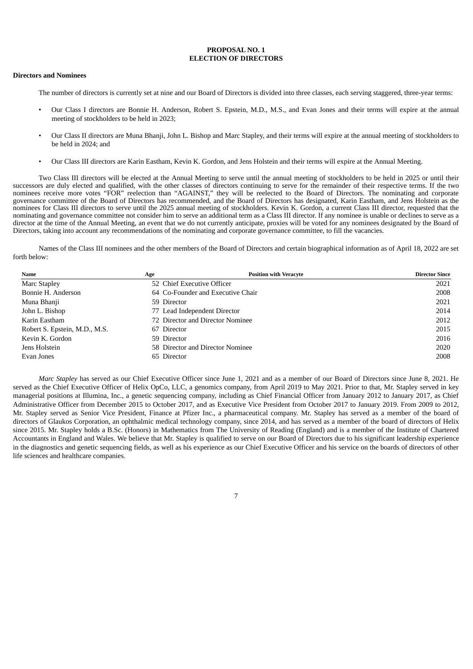## **PROPOSAL NO. 1 ELECTION OF DIRECTORS**

#### **Directors and Nominees**

The number of directors is currently set at nine and our Board of Directors is divided into three classes, each serving staggered, three-year terms:

- Our Class I directors are Bonnie H. Anderson, Robert S. Epstein, M.D., M.S., and Evan Jones and their terms will expire at the annual meeting of stockholders to be held in 2023;
- Our Class II directors are Muna Bhanji, John L. Bishop and Marc Stapley, and their terms will expire at the annual meeting of stockholders to be held in 2024; and
- Our Class III directors are Karin Eastham, Kevin K. Gordon, and Jens Holstein and their terms will expire at the Annual Meeting.

Two Class III directors will be elected at the Annual Meeting to serve until the annual meeting of stockholders to be held in 2025 or until their successors are duly elected and qualified, with the other classes of directors continuing to serve for the remainder of their respective terms. If the two nominees receive more votes "FOR" reelection than "AGAINST," they will be reelected to the Board of Directors. The nominating and corporate governance committee of the Board of Directors has recommended, and the Board of Directors has designated, Karin Eastham, and Jens Holstein as the nominees for Class III directors to serve until the 2025 annual meeting of stockholders. Kevin K. Gordon, a current Class III director, requested that the nominating and governance committee not consider him to serve an additional term as a Class III director. If any nominee is unable or declines to serve as a director at the time of the Annual Meeting, an event that we do not currently anticipate, proxies will be voted for any nominees designated by the Board of Directors, taking into account any recommendations of the nominating and corporate governance committee, to fill the vacancies.

Names of the Class III nominees and the other members of the Board of Directors and certain biographical information as of April 18, 2022 are set forth below:

| Name                          | Age                              | <b>Position with Veracyte</b>     | <b>Director Since</b> |
|-------------------------------|----------------------------------|-----------------------------------|-----------------------|
| Marc Stapley                  | 52 Chief Executive Officer       |                                   | 2021                  |
| Bonnie H. Anderson            |                                  | 64 Co-Founder and Executive Chair | 2008                  |
| Muna Bhanji                   | 59 Director                      |                                   | 2021                  |
| John L. Bishop                | 77 Lead Independent Director     |                                   | 2014                  |
| Karin Eastham                 | 72 Director and Director Nominee |                                   | 2012                  |
| Robert S. Epstein, M.D., M.S. | 67 Director                      |                                   | 2015                  |
| Kevin K. Gordon               | 59 Director                      |                                   | 2016                  |
| Jens Holstein                 | 58 Director and Director Nominee |                                   | 2020                  |
| Evan Jones                    | 65 Director                      |                                   | 2008                  |

*Marc Stapley* has served as our Chief Executive Officer since June 1, 2021 and as a member of our Board of Directors since June 8, 2021. He served as the Chief Executive Officer of Helix OpCo, LLC, a genomics company, from April 2019 to May 2021. Prior to that, Mr. Stapley served in key managerial positions at Illumina, Inc., a genetic sequencing company, including as Chief Financial Officer from January 2012 to January 2017, as Chief Administrative Officer from December 2015 to October 2017, and as Executive Vice President from October 2017 to January 2019. From 2009 to 2012, Mr. Stapley served as Senior Vice President, Finance at Pfizer Inc., a pharmaceutical company. Mr. Stapley has served as a member of the board of directors of Glaukos Corporation, an ophthalmic medical technology company, since 2014, and has served as a member of the board of directors of Helix since 2015. Mr. Stapley holds a B.Sc. (Honors) in Mathematics from The University of Reading (England) and is a member of the Institute of Chartered Accountants in England and Wales. We believe that Mr. Stapley is qualified to serve on our Board of Directors due to his significant leadership experience in the diagnostics and genetic sequencing fields, as well as his experience as our Chief Executive Officer and his service on the boards of directors of other life sciences and healthcare companies.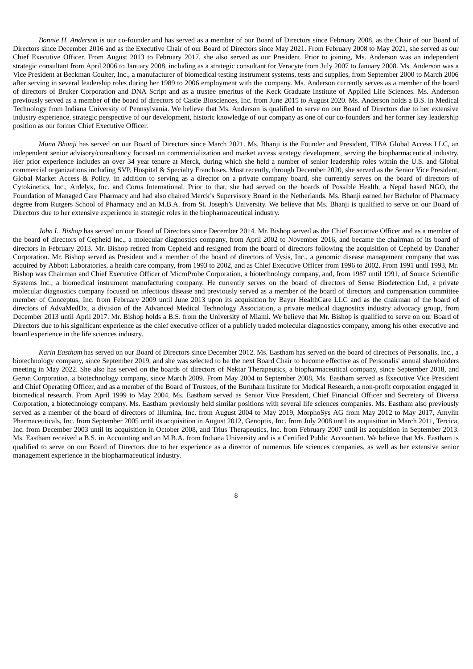*Bonnie H. Anderson* is our co-founder and has served as a member of our Board of Directors since February 2008, as the Chair of our Board of Directors since December 2016 and as the Executive Chair of our Board of Directors since May 2021. From February 2008 to May 2021, she served as our Chief Executive Officer. From August 2013 to February 2017, she also served as our President. Prior to joining, Ms. Anderson was an independent strategic consultant from April 2006 to January 2008, including as a strategic consultant for Veracyte from July 2007 to January 2008. Ms. Anderson was a Vice President at Beckman Coulter, Inc., a manufacturer of biomedical testing instrument systems, tests and supplies, from September 2000 to March 2006 after serving in several leadership roles during her 1989 to 2006 employment with the company. Ms. Anderson currently serves as a member of the board of directors of Bruker Corporation and DNA Script and as a trustee emeritus of the Keck Graduate Institute of Applied Life Sciences. Ms. Anderson previously served as a member of the board of directors of Castle Biosciences, Inc. from June 2015 to August 2020. Ms. Anderson holds a B.S. in Medical Technology from Indiana University of Pennsylvania. We believe that Ms. Anderson is qualified to serve on our Board of Directors due to her extensive industry experience, strategic perspective of our development, historic knowledge of our company as one of our co-founders and her former key leadership position as our former Chief Executive Officer.

*Muna Bhanji* has served on our Board of Directors since March 2021. Ms. Bhanji is the Founder and President, TIBA Global Access LLC, an independent senior advisory/consultancy focused on commercialization and market access strategy development, serving the biopharmaceutical industry. Her prior experience includes an over 34 year tenure at Merck, during which she held a number of senior leadership roles within the U.S. and Global commercial organizations including SVP, Hospital & Specialty Franchises. Most recently, through December 2020, she served as the Senior Vice President, Global Market Access & Policy. In addition to serving as a director on a private company board, she currently serves on the board of directors of Cytokinetics, Inc., Ardelyx, Inc. and Corus International. Prior to that, she had served on the boards of Possible Health, a Nepal based NGO, the Foundation of Managed Care Pharmacy and had also chaired Merck's Supervisory Board in the Netherlands. Ms. Bhanji earned her Bachelor of Pharmacy degree from Rutgers School of Pharmacy and an M.B.A. from St. Joseph's University. We believe that Ms. Bhanji is qualified to serve on our Board of Directors due to her extensive experience in strategic roles in the biopharmaceutical industry.

*John L. Bishop* has served on our Board of Directors since December 2014. Mr. Bishop served as the Chief Executive Officer and as a member of the board of directors of Cepheid Inc., a molecular diagnostics company, from April 2002 to November 2016, and became the chairman of its board of directors in February 2013. Mr. Bishop retired from Cepheid and resigned from the board of directors following the acquisition of Cepheid by Danaher Corporation. Mr. Bishop served as President and a member of the board of directors of Vysis, Inc., a genomic disease management company that was acquired by Abbott Laboratories, a health care company, from 1993 to 2002, and as Chief Executive Officer from 1996 to 2002. From 1991 until 1993, Mr. Bishop was Chairman and Chief Executive Officer of MicroProbe Corporation, a biotechnology company, and, from 1987 until 1991, of Source Scientific Systems Inc., a biomedical instrument manufacturing company. He currently serves on the board of directors of Sense Biodetection Ltd, a private molecular diagnostics company focused on infectious disease and previously served as a member of the board of directors and compensation committee member of Conceptus, Inc. from February 2009 until June 2013 upon its acquisition by Bayer HealthCare LLC and as the chairman of the board of directors of AdvaMedDx, a division of the Advanced Medical Technology Association, a private medical diagnostics industry advocacy group, from December 2013 until April 2017. Mr. Bishop holds a B.S. from the University of Miami. We believe that Mr. Bishop is qualified to serve on our Board of Directors due to his significant experience as the chief executive officer of a publicly traded molecular diagnostics company, among his other executive and board experience in the life sciences industry.

*Karin Eastham* has served on our Board of Directors since December 2012. Ms. Eastham has served on the board of directors of Personalis, Inc., a biotechnology company, since September 2019, and she was selected to be the next Board Chair to become effective as of Personalis' annual shareholders meeting in May 2022. She also has served on the boards of directors of Nektar Therapeutics, a biopharmaceutical company, since September 2018, and Geron Corporation, a biotechnology company, since March 2009. From May 2004 to September 2008, Ms. Eastham served as Executive Vice President and Chief Operating Officer, and as a member of the Board of Trustees, of the Burnham Institute for Medical Research, a non-profit corporation engaged in biomedical research. From April 1999 to May 2004, Ms. Eastham served as Senior Vice President, Chief Financial Officer and Secretary of Diversa Corporation, a biotechnology company. Ms. Eastham previously held similar positions with several life sciences companies. Ms. Eastham also previously served as a member of the board of directors of Illumina, Inc. from August 2004 to May 2019, MorphoSys AG from May 2012 to May 2017, Amylin Pharmaceuticals, Inc. from September 2005 until its acquisition in August 2012, Genoptix, Inc. from July 2008 until its acquisition in March 2011, Tercica, Inc. from December 2003 until its acquisition in October 2008, and Trius Therapeutics, Inc. from February 2007 until its acquisition in September 2013. Ms. Eastham received a B.S. in Accounting and an M.B.A. from Indiana University and is a Certified Public Accountant. We believe that Ms. Eastham is qualified to serve on our Board of Directors due to her experience as a director of numerous life sciences companies, as well as her extensive senior management experience in the biopharmaceutical industry.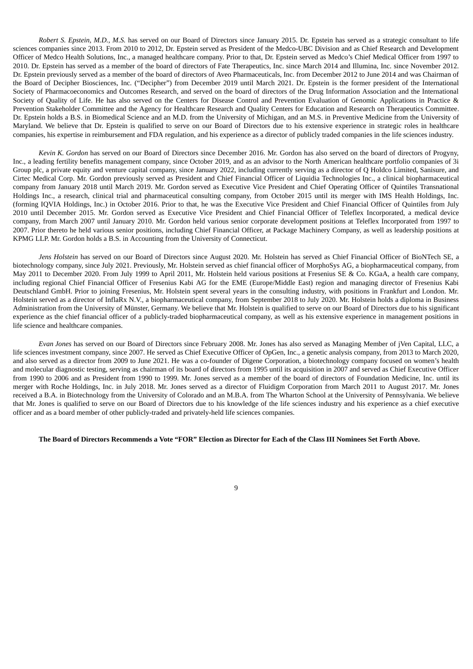*Robert S. Epstein, M.D., M.S.* has served on our Board of Directors since January 2015. Dr. Epstein has served as a strategic consultant to life sciences companies since 2013. From 2010 to 2012, Dr. Epstein served as President of the Medco-UBC Division and as Chief Research and Development Officer of Medco Health Solutions, Inc., a managed healthcare company. Prior to that, Dr. Epstein served as Medco's Chief Medical Officer from 1997 to 2010. Dr. Epstein has served as a member of the board of directors of Fate Therapeutics, Inc. since March 2014 and Illumina, Inc. since November 2012. Dr. Epstein previously served as a member of the board of directors of Aveo Pharmaceuticals, Inc. from December 2012 to June 2014 and was Chairman of the Board of Decipher Biosciences, Inc. ("Decipher") from December 2019 until March 2021. Dr. Epstein is the former president of the International Society of Pharmacoeconomics and Outcomes Research, and served on the board of directors of the Drug Information Association and the International Society of Quality of Life. He has also served on the Centers for Disease Control and Prevention Evaluation of Genomic Applications in Practice & Prevention Stakeholder Committee and the Agency for Healthcare Research and Quality Centers for Education and Research on Therapeutics Committee. Dr. Epstein holds a B.S. in Biomedical Science and an M.D. from the University of Michigan, and an M.S. in Preventive Medicine from the University of Maryland. We believe that Dr. Epstein is qualified to serve on our Board of Directors due to his extensive experience in strategic roles in healthcare companies, his expertise in reimbursement and FDA regulation, and his experience as a director of publicly traded companies in the life sciences industry.

*Kevin K. Gordon* has served on our Board of Directors since December 2016. Mr. Gordon has also served on the board of directors of Progyny, Inc., a leading fertility benefits management company, since October 2019, and as an advisor to the North American healthcare portfolio companies of 3i Group plc, a private equity and venture capital company, since January 2022, including currently serving as a director of Q Holdco Limited, Sanisure, and Cirtec Medical Corp. Mr. Gordon previously served as President and Chief Financial Officer of Liquidia Technologies Inc., a clinical biopharmaceutical company from January 2018 until March 2019. Mr. Gordon served as Executive Vice President and Chief Operating Officer of Quintiles Transnational Holdings Inc., a research, clinical trial and pharmaceutical consulting company, from October 2015 until its merger with IMS Health Holdings, Inc. (forming IQVIA Holdings, Inc.) in October 2016. Prior to that, he was the Executive Vice President and Chief Financial Officer of Quintiles from July 2010 until December 2015. Mr. Gordon served as Executive Vice President and Chief Financial Officer of Teleflex Incorporated, a medical device company, from March 2007 until January 2010. Mr. Gordon held various senior corporate development positions at Teleflex Incorporated from 1997 to 2007. Prior thereto he held various senior positions, including Chief Financial Officer, at Package Machinery Company, as well as leadership positions at KPMG LLP. Mr. Gordon holds a B.S. in Accounting from the University of Connecticut.

*Jens Holstein* has served on our Board of Directors since August 2020. Mr. Holstein has served as Chief Financial Officer of BioNTech SE, a biotechnology company, since July 2021. Previously, Mr. Holstein served as chief financial officer of MorphoSys AG, a biopharmaceutical company, from May 2011 to December 2020. From July 1999 to April 2011, Mr. Holstein held various positions at Fresenius SE & Co. KGaA, a health care company, including regional Chief Financial Officer of Fresenius Kabi AG for the EME (Europe/Middle East) region and managing director of Fresenius Kabi Deutschland GmbH. Prior to joining Fresenius, Mr. Holstein spent several years in the consulting industry, with positions in Frankfurt and London. Mr. Holstein served as a director of InflaRx N.V., a biopharmaceutical company, from September 2018 to July 2020. Mr. Holstein holds a diploma in Business Administration from the University of Münster, Germany. We believe that Mr. Holstein is qualified to serve on our Board of Directors due to his significant experience as the chief financial officer of a publicly-traded biopharmaceutical company, as well as his extensive experience in management positions in life science and healthcare companies.

*Evan Jones* has served on our Board of Directors since February 2008. Mr. Jones has also served as Managing Member of jVen Capital, LLC, a life sciences investment company, since 2007. He served as Chief Executive Officer of OpGen, Inc., a genetic analysis company, from 2013 to March 2020, and also served as a director from 2009 to June 2021. He was a co-founder of Digene Corporation, a biotechnology company focused on women's health and molecular diagnostic testing, serving as chairman of its board of directors from 1995 until its acquisition in 2007 and served as Chief Executive Officer from 1990 to 2006 and as President from 1990 to 1999. Mr. Jones served as a member of the board of directors of Foundation Medicine, Inc. until its merger with Roche Holdings, Inc. in July 2018. Mr. Jones served as a director of Fluidigm Corporation from March 2011 to August 2017. Mr. Jones received a B.A. in Biotechnology from the University of Colorado and an M.B.A. from The Wharton School at the University of Pennsylvania. We believe that Mr. Jones is qualified to serve on our Board of Directors due to his knowledge of the life sciences industry and his experience as a chief executive officer and as a board member of other publicly-traded and privately-held life sciences companies.

#### The Board of Directors Recommends a Vote "FOR" Election as Director for Each of the Class III Nominees Set Forth Above.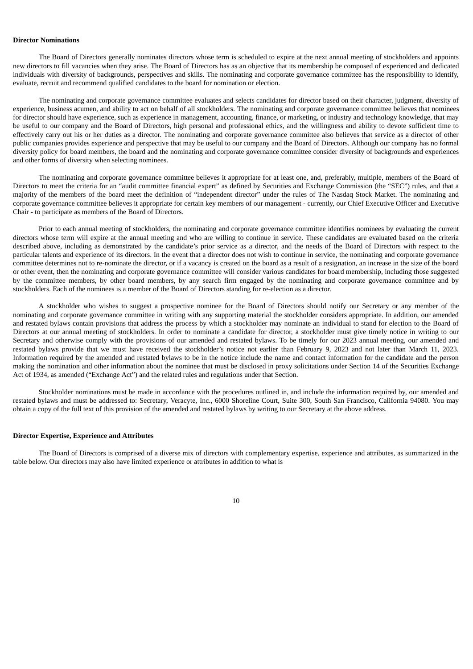### **Director Nominations**

The Board of Directors generally nominates directors whose term is scheduled to expire at the next annual meeting of stockholders and appoints new directors to fill vacancies when they arise. The Board of Directors has as an objective that its membership be composed of experienced and dedicated individuals with diversity of backgrounds, perspectives and skills. The nominating and corporate governance committee has the responsibility to identify, evaluate, recruit and recommend qualified candidates to the board for nomination or election.

The nominating and corporate governance committee evaluates and selects candidates for director based on their character, judgment, diversity of experience, business acumen, and ability to act on behalf of all stockholders. The nominating and corporate governance committee believes that nominees for director should have experience, such as experience in management, accounting, finance, or marketing, or industry and technology knowledge, that may be useful to our company and the Board of Directors, high personal and professional ethics, and the willingness and ability to devote sufficient time to effectively carry out his or her duties as a director. The nominating and corporate governance committee also believes that service as a director of other public companies provides experience and perspective that may be useful to our company and the Board of Directors. Although our company has no formal diversity policy for board members, the board and the nominating and corporate governance committee consider diversity of backgrounds and experiences and other forms of diversity when selecting nominees.

The nominating and corporate governance committee believes it appropriate for at least one, and, preferably, multiple, members of the Board of Directors to meet the criteria for an "audit committee financial expert" as defined by Securities and Exchange Commission (the "SEC") rules, and that a majority of the members of the board meet the definition of "independent director" under the rules of The Nasdaq Stock Market. The nominating and corporate governance committee believes it appropriate for certain key members of our management - currently, our Chief Executive Officer and Executive Chair - to participate as members of the Board of Directors.

Prior to each annual meeting of stockholders, the nominating and corporate governance committee identifies nominees by evaluating the current directors whose term will expire at the annual meeting and who are willing to continue in service. These candidates are evaluated based on the criteria described above, including as demonstrated by the candidate's prior service as a director, and the needs of the Board of Directors with respect to the particular talents and experience of its directors. In the event that a director does not wish to continue in service, the nominating and corporate governance committee determines not to re-nominate the director, or if a vacancy is created on the board as a result of a resignation, an increase in the size of the board or other event, then the nominating and corporate governance committee will consider various candidates for board membership, including those suggested by the committee members, by other board members, by any search firm engaged by the nominating and corporate governance committee and by stockholders. Each of the nominees is a member of the Board of Directors standing for re-election as a director.

A stockholder who wishes to suggest a prospective nominee for the Board of Directors should notify our Secretary or any member of the nominating and corporate governance committee in writing with any supporting material the stockholder considers appropriate. In addition, our amended and restated bylaws contain provisions that address the process by which a stockholder may nominate an individual to stand for election to the Board of Directors at our annual meeting of stockholders. In order to nominate a candidate for director, a stockholder must give timely notice in writing to our Secretary and otherwise comply with the provisions of our amended and restated bylaws. To be timely for our 2023 annual meeting, our amended and restated bylaws provide that we must have received the stockholder's notice not earlier than February 9, 2023 and not later than March 11, 2023. Information required by the amended and restated bylaws to be in the notice include the name and contact information for the candidate and the person making the nomination and other information about the nominee that must be disclosed in proxy solicitations under Section 14 of the Securities Exchange Act of 1934, as amended ("Exchange Act") and the related rules and regulations under that Section.

Stockholder nominations must be made in accordance with the procedures outlined in, and include the information required by, our amended and restated bylaws and must be addressed to: Secretary, Veracyte, Inc., 6000 Shoreline Court, Suite 300, South San Francisco, California 94080. You may obtain a copy of the full text of this provision of the amended and restated bylaws by writing to our Secretary at the above address.

#### **Director Expertise, Experience and Attributes**

The Board of Directors is comprised of a diverse mix of directors with complementary expertise, experience and attributes, as summarized in the table below. Our directors may also have limited experience or attributes in addition to what is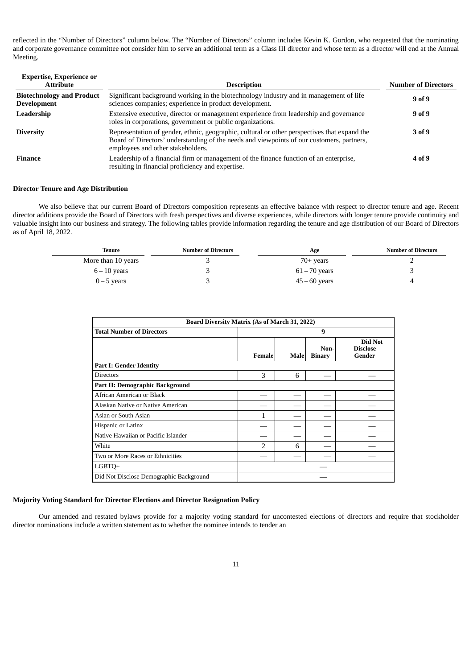reflected in the "Number of Directors" column below. The "Number of Directors" column includes Kevin K. Gordon, who requested that the nominating and corporate governance committee not consider him to serve an additional term as a Class III director and whose term as a director will end at the Annual Meeting.

| <b>Expertise, Experience or</b><br><b>Attribute</b>    | <b>Description</b>                                                                                                                                                                                                             | <b>Number of Directors</b> |
|--------------------------------------------------------|--------------------------------------------------------------------------------------------------------------------------------------------------------------------------------------------------------------------------------|----------------------------|
| <b>Biotechnology and Product</b><br><b>Development</b> | Significant background working in the biotechnology industry and in management of life<br>sciences companies; experience in product development.                                                                               | 9 of 9                     |
| Leadership                                             | Extensive executive, director or management experience from leadership and governance<br>roles in corporations, government or public organizations.                                                                            | 9 of 9                     |
| <b>Diversity</b>                                       | Representation of gender, ethnic, geographic, cultural or other perspectives that expand the<br>Board of Directors' understanding of the needs and viewpoints of our customers, partners,<br>employees and other stakeholders. | 3 of 9                     |
| Finance                                                | Leadership of a financial firm or management of the finance function of an enterprise,<br>resulting in financial proficiency and expertise.                                                                                    | 4 of 9                     |

## **Director Tenure and Age Distribution**

We also believe that our current Board of Directors composition represents an effective balance with respect to director tenure and age. Recent director additions provide the Board of Directors with fresh perspectives and diverse experiences, while directors with longer tenure provide continuity and valuable insight into our business and strategy. The following tables provide information regarding the tenure and age distribution of our Board of Directors as of April 18, 2022.

| Tenure             | <b>Number of Directors</b> | Age             | <b>Number of Directors</b> |
|--------------------|----------------------------|-----------------|----------------------------|
| More than 10 years | ٮ                          | $70+$ years     |                            |
| $6 - 10$ years     | ٮ                          | $61 - 70$ years | ш                          |
| $0 - 5$ years      | ш                          | $45 - 60$ years | 4                          |

| <b>Board Diversity Matrix (As of March 31, 2022)</b> |        |      |                       |                                      |
|------------------------------------------------------|--------|------|-----------------------|--------------------------------------|
| <b>Total Number of Directors</b>                     | 9      |      |                       |                                      |
|                                                      | Female | Male | Non-<br><b>Binary</b> | Did Not<br><b>Disclose</b><br>Gender |
| <b>Part I: Gender Identity</b>                       |        |      |                       |                                      |
| <b>Directors</b>                                     | 3      | 6    |                       |                                      |
| Part II: Demographic Background                      |        |      |                       |                                      |
| African American or Black                            |        |      |                       |                                      |
| Alaskan Native or Native American                    |        |      |                       |                                      |
| Asian or South Asian                                 | 1      |      |                       |                                      |
| Hispanic or Latinx                                   |        |      |                       |                                      |
| Native Hawaiian or Pacific Islander                  |        |      |                       |                                      |
| White                                                | 2      | 6    |                       |                                      |
| Two or More Races or Ethnicities                     |        |      |                       |                                      |
| LGBTQ+                                               |        |      |                       |                                      |
| Did Not Disclose Demographic Background              |        |      |                       |                                      |

# **Majority Voting Standard for Director Elections and Director Resignation Policy**

Our amended and restated bylaws provide for a majority voting standard for uncontested elections of directors and require that stockholder director nominations include a written statement as to whether the nominee intends to tender an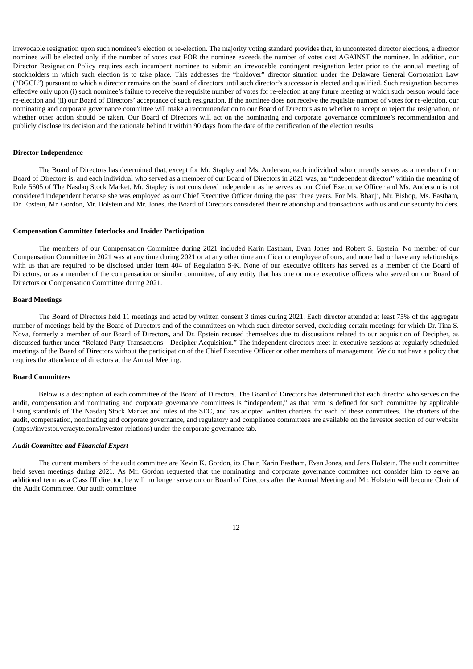irrevocable resignation upon such nominee's election or re-election. The majority voting standard provides that, in uncontested director elections, a director nominee will be elected only if the number of votes cast FOR the nominee exceeds the number of votes cast AGAINST the nominee. In addition, our Director Resignation Policy requires each incumbent nominee to submit an irrevocable contingent resignation letter prior to the annual meeting of stockholders in which such election is to take place. This addresses the "holdover" director situation under the Delaware General Corporation Law ("DGCL") pursuant to which a director remains on the board of directors until such director's successor is elected and qualified. Such resignation becomes effective only upon (i) such nominee's failure to receive the requisite number of votes for re-election at any future meeting at which such person would face re-election and (ii) our Board of Directors' acceptance of such resignation. If the nominee does not receive the requisite number of votes for re-election, our nominating and corporate governance committee will make a recommendation to our Board of Directors as to whether to accept or reject the resignation, or whether other action should be taken. Our Board of Directors will act on the nominating and corporate governance committee's recommendation and publicly disclose its decision and the rationale behind it within 90 days from the date of the certification of the election results.

#### **Director Independence**

The Board of Directors has determined that, except for Mr. Stapley and Ms. Anderson, each individual who currently serves as a member of our Board of Directors is, and each individual who served as a member of our Board of Directors in 2021 was, an "independent director" within the meaning of Rule 5605 of The Nasdaq Stock Market. Mr. Stapley is not considered independent as he serves as our Chief Executive Officer and Ms. Anderson is not considered independent because she was employed as our Chief Executive Officer during the past three years. For Ms. Bhanji, Mr. Bishop, Ms. Eastham, Dr. Epstein, Mr. Gordon, Mr. Holstein and Mr. Jones, the Board of Directors considered their relationship and transactions with us and our security holders.

#### **Compensation Committee Interlocks and Insider Participation**

The members of our Compensation Committee during 2021 included Karin Eastham, Evan Jones and Robert S. Epstein. No member of our Compensation Committee in 2021 was at any time during 2021 or at any other time an officer or employee of ours, and none had or have any relationships with us that are required to be disclosed under Item 404 of Regulation S-K. None of our executive officers has served as a member of the Board of Directors, or as a member of the compensation or similar committee, of any entity that has one or more executive officers who served on our Board of Directors or Compensation Committee during 2021.

## **Board Meetings**

The Board of Directors held 11 meetings and acted by written consent 3 times during 2021. Each director attended at least 75% of the aggregate number of meetings held by the Board of Directors and of the committees on which such director served, excluding certain meetings for which Dr. Tina S. Nova, formerly a member of our Board of Directors, and Dr. Epstein recused themselves due to discussions related to our acquisition of Decipher, as discussed further under "Related Party Transactions—Decipher Acquisition." The independent directors meet in executive sessions at regularly scheduled meetings of the Board of Directors without the participation of the Chief Executive Officer or other members of management. We do not have a policy that requires the attendance of directors at the Annual Meeting.

## **Board Committees**

Below is a description of each committee of the Board of Directors. The Board of Directors has determined that each director who serves on the audit, compensation and nominating and corporate governance committees is "independent," as that term is defined for such committee by applicable listing standards of The Nasdaq Stock Market and rules of the SEC, and has adopted written charters for each of these committees. The charters of the audit, compensation, nominating and corporate governance, and regulatory and compliance committees are available on the investor section of our website (https://investor.veracyte.com/investor-relations) under the corporate governance tab.

#### *Audit Committee and Financial Expert*

The current members of the audit committee are Kevin K. Gordon, its Chair, Karin Eastham, Evan Jones, and Jens Holstein. The audit committee held seven meetings during 2021. As Mr. Gordon requested that the nominating and corporate governance committee not consider him to serve an additional term as a Class III director, he will no longer serve on our Board of Directors after the Annual Meeting and Mr. Holstein will become Chair of the Audit Committee. Our audit committee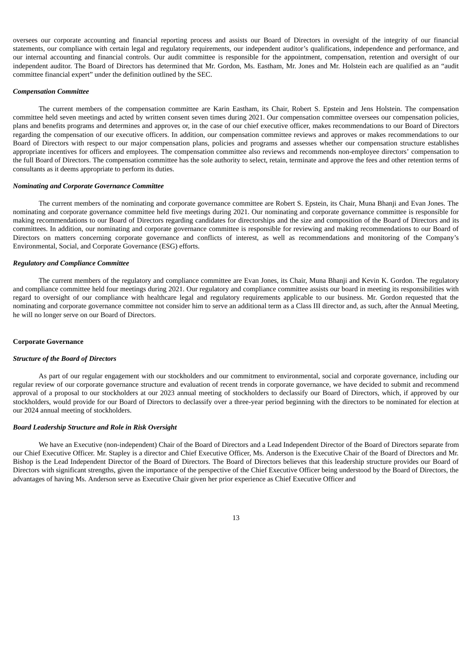oversees our corporate accounting and financial reporting process and assists our Board of Directors in oversight of the integrity of our financial statements, our compliance with certain legal and regulatory requirements, our independent auditor's qualifications, independence and performance, and our internal accounting and financial controls. Our audit committee is responsible for the appointment, compensation, retention and oversight of our independent auditor. The Board of Directors has determined that Mr. Gordon, Ms. Eastham, Mr. Jones and Mr. Holstein each are qualified as an "audit committee financial expert" under the definition outlined by the SEC.

#### *Compensation Committee*

The current members of the compensation committee are Karin Eastham, its Chair, Robert S. Epstein and Jens Holstein. The compensation committee held seven meetings and acted by written consent seven times during 2021. Our compensation committee oversees our compensation policies, plans and benefits programs and determines and approves or, in the case of our chief executive officer, makes recommendations to our Board of Directors regarding the compensation of our executive officers. In addition, our compensation committee reviews and approves or makes recommendations to our Board of Directors with respect to our major compensation plans, policies and programs and assesses whether our compensation structure establishes appropriate incentives for officers and employees. The compensation committee also reviews and recommends non-employee directors' compensation to the full Board of Directors. The compensation committee has the sole authority to select, retain, terminate and approve the fees and other retention terms of consultants as it deems appropriate to perform its duties.

#### *Nominating and Corporate Governance Committee*

The current members of the nominating and corporate governance committee are Robert S. Epstein, its Chair, Muna Bhanji and Evan Jones. The nominating and corporate governance committee held five meetings during 2021. Our nominating and corporate governance committee is responsible for making recommendations to our Board of Directors regarding candidates for directorships and the size and composition of the Board of Directors and its committees. In addition, our nominating and corporate governance committee is responsible for reviewing and making recommendations to our Board of Directors on matters concerning corporate governance and conflicts of interest, as well as recommendations and monitoring of the Company's Environmental, Social, and Corporate Governance (ESG) efforts.

#### *Regulatory and Compliance Committee*

The current members of the regulatory and compliance committee are Evan Jones, its Chair, Muna Bhanji and Kevin K. Gordon. The regulatory and compliance committee held four meetings during 2021. Our regulatory and compliance committee assists our board in meeting its responsibilities with regard to oversight of our compliance with healthcare legal and regulatory requirements applicable to our business. Mr. Gordon requested that the nominating and corporate governance committee not consider him to serve an additional term as a Class III director and, as such, after the Annual Meeting, he will no longer serve on our Board of Directors.

#### **Corporate Governance**

#### *Structure of the Board of Directors*

As part of our regular engagement with our stockholders and our commitment to environmental, social and corporate governance, including our regular review of our corporate governance structure and evaluation of recent trends in corporate governance, we have decided to submit and recommend approval of a proposal to our stockholders at our 2023 annual meeting of stockholders to declassify our Board of Directors, which, if approved by our stockholders, would provide for our Board of Directors to declassify over a three-year period beginning with the directors to be nominated for election at our 2024 annual meeting of stockholders.

#### *Board Leadership Structure and Role in Risk Oversight*

We have an Executive (non-independent) Chair of the Board of Directors and a Lead Independent Director of the Board of Directors separate from our Chief Executive Officer. Mr. Stapley is a director and Chief Executive Officer, Ms. Anderson is the Executive Chair of the Board of Directors and Mr. Bishop is the Lead Independent Director of the Board of Directors. The Board of Directors believes that this leadership structure provides our Board of Directors with significant strengths, given the importance of the perspective of the Chief Executive Officer being understood by the Board of Directors, the advantages of having Ms. Anderson serve as Executive Chair given her prior experience as Chief Executive Officer and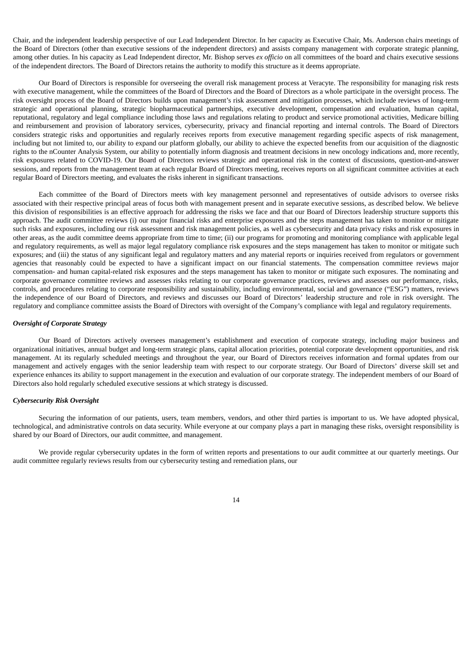Chair, and the independent leadership perspective of our Lead Independent Director. In her capacity as Executive Chair, Ms. Anderson chairs meetings of the Board of Directors (other than executive sessions of the independent directors) and assists company management with corporate strategic planning, among other duties. In his capacity as Lead Independent director, Mr. Bishop serves *ex officio* on all committees of the board and chairs executive sessions of the independent directors. The Board of Directors retains the authority to modify this structure as it deems appropriate.

Our Board of Directors is responsible for overseeing the overall risk management process at Veracyte. The responsibility for managing risk rests with executive management, while the committees of the Board of Directors and the Board of Directors as a whole participate in the oversight process. The risk oversight process of the Board of Directors builds upon management's risk assessment and mitigation processes, which include reviews of long-term strategic and operational planning, strategic biopharmaceutical partnerships, executive development, compensation and evaluation, human capital, reputational, regulatory and legal compliance including those laws and regulations relating to product and service promotional activities, Medicare billing and reimbursement and provision of laboratory services, cybersecurity, privacy and financial reporting and internal controls. The Board of Directors considers strategic risks and opportunities and regularly receives reports from executive management regarding specific aspects of risk management, including but not limited to, our ability to expand our platform globally, our ability to achieve the expected benefits from our acquisition of the diagnostic rights to the nCounter Analysis System, our ability to potentially inform diagnosis and treatment decisions in new oncology indications and, more recently, risk exposures related to COVID-19. Our Board of Directors reviews strategic and operational risk in the context of discussions, question-and-answer sessions, and reports from the management team at each regular Board of Directors meeting, receives reports on all significant committee activities at each regular Board of Directors meeting, and evaluates the risks inherent in significant transactions.

Each committee of the Board of Directors meets with key management personnel and representatives of outside advisors to oversee risks associated with their respective principal areas of focus both with management present and in separate executive sessions, as described below. We believe this division of responsibilities is an effective approach for addressing the risks we face and that our Board of Directors leadership structure supports this approach. The audit committee reviews (i) our major financial risks and enterprise exposures and the steps management has taken to monitor or mitigate such risks and exposures, including our risk assessment and risk management policies, as well as cybersecurity and data privacy risks and risk exposures in other areas, as the audit committee deems appropriate from time to time; (ii) our programs for promoting and monitoring compliance with applicable legal and regulatory requirements, as well as major legal regulatory compliance risk exposures and the steps management has taken to monitor or mitigate such exposures; and (iii) the status of any significant legal and regulatory matters and any material reports or inquiries received from regulators or government agencies that reasonably could be expected to have a significant impact on our financial statements. The compensation committee reviews major compensation- and human capital-related risk exposures and the steps management has taken to monitor or mitigate such exposures. The nominating and corporate governance committee reviews and assesses risks relating to our corporate governance practices, reviews and assesses our performance, risks, controls, and procedures relating to corporate responsibility and sustainability, including environmental, social and governance ("ESG") matters, reviews the independence of our Board of Directors, and reviews and discusses our Board of Directors' leadership structure and role in risk oversight. The regulatory and compliance committee assists the Board of Directors with oversight of the Company's compliance with legal and regulatory requirements.

#### *Oversight of Corporate Strategy*

Our Board of Directors actively oversees management's establishment and execution of corporate strategy, including major business and organizational initiatives, annual budget and long-term strategic plans, capital allocation priorities, potential corporate development opportunities, and risk management. At its regularly scheduled meetings and throughout the year, our Board of Directors receives information and formal updates from our management and actively engages with the senior leadership team with respect to our corporate strategy. Our Board of Directors' diverse skill set and experience enhances its ability to support management in the execution and evaluation of our corporate strategy. The independent members of our Board of Directors also hold regularly scheduled executive sessions at which strategy is discussed.

#### *Cybersecurity Risk Oversight*

Securing the information of our patients, users, team members, vendors, and other third parties is important to us. We have adopted physical, technological, and administrative controls on data security. While everyone at our company plays a part in managing these risks, oversight responsibility is shared by our Board of Directors, our audit committee, and management.

We provide regular cybersecurity updates in the form of written reports and presentations to our audit committee at our quarterly meetings. Our audit committee regularly reviews results from our cybersecurity testing and remediation plans, our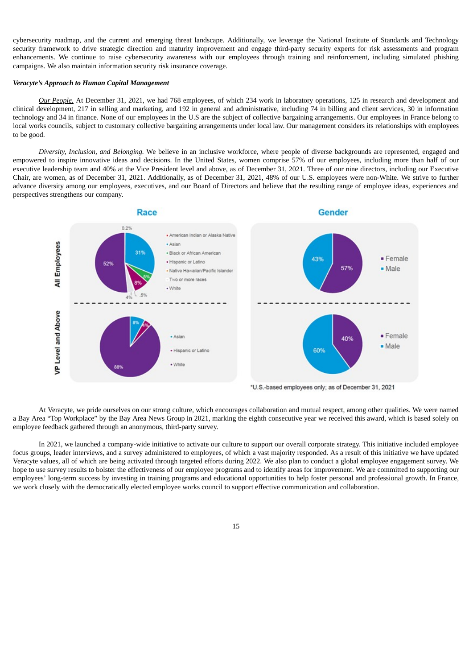cybersecurity roadmap, and the current and emerging threat landscape. Additionally, we leverage the National Institute of Standards and Technology security framework to drive strategic direction and maturity improvement and engage third-party security experts for risk assessments and program enhancements. We continue to raise cybersecurity awareness with our employees through training and reinforcement, including simulated phishing campaigns. We also maintain information security risk insurance coverage.

## *Veracyte's Approach to Human Capital Management*

*Our People.* At December 31, 2021, we had 768 employees, of which 234 work in laboratory operations, 125 in research and development and clinical development, 217 in selling and marketing, and 192 in general and administrative, including 74 in billing and client services, 30 in information technology and 34 in finance. None of our employees in the U.S are the subject of collective bargaining arrangements. Our employees in France belong to local works councils, subject to customary collective bargaining arrangements under local law. Our management considers its relationships with employees to be good.

*Diversity, Inclusion, and Belonging.* We believe in an inclusive workforce, where people of diverse backgrounds are represented, engaged and empowered to inspire innovative ideas and decisions. In the United States, women comprise 57% of our employees, including more than half of our executive leadership team and 40% at the Vice President level and above, as of December 31, 2021. Three of our nine directors, including our Executive Chair, are women, as of December 31, 2021. Additionally, as of December 31, 2021, 48% of our U.S. employees were non-White. We strive to further advance diversity among our employees, executives, and our Board of Directors and believe that the resulting range of employee ideas, experiences and perspectives strengthens our company.



\*U.S.-based employees only; as of December 31, 2021

At Veracyte, we pride ourselves on our strong culture, which encourages collaboration and mutual respect, among other qualities. We were named a Bay Area "Top Workplace" by the Bay Area News Group in 2021, marking the eighth consecutive year we received this award, which is based solely on employee feedback gathered through an anonymous, third-party survey.

In 2021, we launched a company-wide initiative to activate our culture to support our overall corporate strategy. This initiative included employee focus groups, leader interviews, and a survey administered to employees, of which a vast majority responded. As a result of this initiative we have updated Veracyte values, all of which are being activated through targeted efforts during 2022. We also plan to conduct a global employee engagement survey. We hope to use survey results to bolster the effectiveness of our employee programs and to identify areas for improvement. We are committed to supporting our employees' long-term success by investing in training programs and educational opportunities to help foster personal and professional growth. In France, we work closely with the democratically elected employee works council to support effective communication and collaboration.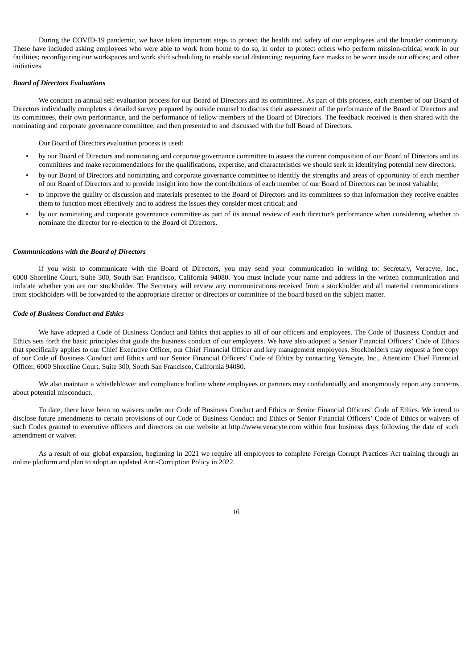During the COVID-19 pandemic, we have taken important steps to protect the health and safety of our employees and the broader community. These have included asking employees who were able to work from home to do so, in order to protect others who perform mission-critical work in our facilities; reconfiguring our workspaces and work shift scheduling to enable social distancing; requiring face masks to be worn inside our offices; and other initiatives.

## *Board of Directors Evaluations*

We conduct an annual self-evaluation process for our Board of Directors and its committees. As part of this process, each member of our Board of Directors individually completes a detailed survey prepared by outside counsel to discuss their assessment of the performance of the Board of Directors and its committees, their own performance, and the performance of fellow members of the Board of Directors. The feedback received is then shared with the nominating and corporate governance committee, and then presented to and discussed with the full Board of Directors.

Our Board of Directors evaluation process is used:

- by our Board of Directors and nominating and corporate governance committee to assess the current composition of our Board of Directors and its committees and make recommendations for the qualifications, expertise, and characteristics we should seek in identifying potential new directors;
- by our Board of Directors and nominating and corporate governance committee to identify the strengths and areas of opportunity of each member of our Board of Directors and to provide insight into how the contributions of each member of our Board of Directors can be most valuable;
- to improve the quality of discussion and materials presented to the Board of Directors and its committees so that information they receive enables them to function most effectively and to address the issues they consider most critical; and
- by our nominating and corporate governance committee as part of its annual review of each director's performance when considering whether to nominate the director for re-election to the Board of Directors.

#### *Communications with the Board of Directors*

If you wish to communicate with the Board of Directors, you may send your communication in writing to: Secretary, Veracyte, Inc., 6000 Shoreline Court, Suite 300, South San Francisco, California 94080. You must include your name and address in the written communication and indicate whether you are our stockholder. The Secretary will review any communications received from a stockholder and all material communications from stockholders will be forwarded to the appropriate director or directors or committee of the board based on the subject matter.

#### *Code of Business Conduct and Ethics*

We have adopted a Code of Business Conduct and Ethics that applies to all of our officers and employees. The Code of Business Conduct and Ethics sets forth the basic principles that guide the business conduct of our employees. We have also adopted a Senior Financial Officers' Code of Ethics that specifically applies to our Chief Executive Officer, our Chief Financial Officer and key management employees. Stockholders may request a free copy of our Code of Business Conduct and Ethics and our Senior Financial Officers' Code of Ethics by contacting Veracyte, Inc., Attention: Chief Financial Officer, 6000 Shoreline Court, Suite 300, South San Francisco, California 94080.

We also maintain a whistleblower and compliance hotline where employees or partners may confidentially and anonymously report any concerns about potential misconduct.

To date, there have been no waivers under our Code of Business Conduct and Ethics or Senior Financial Officers' Code of Ethics. We intend to disclose future amendments to certain provisions of our Code of Business Conduct and Ethics or Senior Financial Officers' Code of Ethics or waivers of such Codes granted to executive officers and directors on our website at http://www.veracyte.com within four business days following the date of such amendment or waiver.

As a result of our global expansion, beginning in 2021 we require all employees to complete Foreign Corrupt Practices Act training through an online platform and plan to adopt an updated Anti-Corruption Policy in 2022.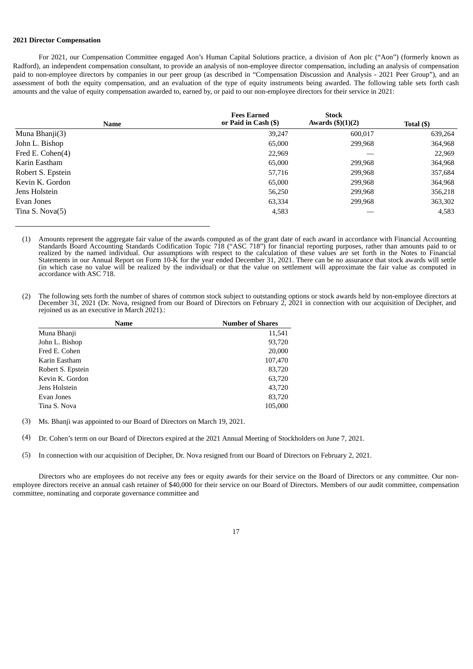## **2021 Director Compensation**

For 2021, our Compensation Committee engaged Aon's Human Capital Solutions practice, a division of Aon plc ("Aon") (formerly known as Radford), an independent compensation consultant, to provide an analysis of non-employee director compensation, including an analysis of compensation paid to non-employee directors by companies in our peer group (as described in "Compensation Discussion and Analysis - 2021 Peer Group"), and an assessment of both the equity compensation, and an evaluation of the type of equity instruments being awarded. The following table sets forth cash amounts and the value of equity compensation awarded to, earned by, or paid to our non-employee directors for their service in 2021:

| <b>Name</b>       | <b>Fees Earned</b><br>or Paid in Cash (\$) | <b>Stock</b><br>Awards $(3)(1)(2)$ | Total (\$) |
|-------------------|--------------------------------------------|------------------------------------|------------|
| Muna Bhanji(3)    | 39,247                                     | 600,017                            | 639,264    |
| John L. Bishop    | 65,000                                     | 299,968                            | 364,968    |
| Fred E. Cohen(4)  | 22,969                                     |                                    | 22,969     |
| Karin Eastham     | 65,000                                     | 299,968                            | 364,968    |
| Robert S. Epstein | 57,716                                     | 299,968                            | 357,684    |
| Kevin K. Gordon   | 65,000                                     | 299,968                            | 364,968    |
| Jens Holstein     | 56,250                                     | 299,968                            | 356,218    |
| Evan Jones        | 63,334                                     | 299,968                            | 363,302    |
| Tina S. Nova(5)   | 4,583                                      |                                    | 4,583      |

(1) Amounts represent the aggregate fair value of the awards computed as of the grant date of each award in accordance with Financial Accounting Standards Board Accounting Standards Codification Topic 718 ("ASC 718") for financial reporting purposes, rather than amounts paid to or realized by the named individual. Our assumptions with respect to the calculation of these values are set forth in the Notes to Financial Statements in our Annual Report on Form 10-K for the year ended December 31, 2021. There can be no assurance that stock awards will settle (in which case no value will be realized by the individual) or that the value on settlement will approximate the fair value as computed in accordance with ASC 718.

(2) The following sets forth the number of shares of common stock subject to outstanding options or stock awards held by non-employee directors at December 31, 2021 (Dr. Nova, resigned from our Board of Directors on February 2, 2021 in connection with our acquisition of Decipher, and rejoined us as an executive in March 2021).:

| Name              | <b>Number of Shares</b> |
|-------------------|-------------------------|
| Muna Bhanji       | 11,541                  |
| John L. Bishop    | 93,720                  |
| Fred E. Cohen     | 20,000                  |
| Karin Eastham     | 107,470                 |
| Robert S. Epstein | 83,720                  |
| Kevin K. Gordon   | 63,720                  |
| Jens Holstein     | 43,720                  |
| Evan Jones        | 83,720                  |
| Tina S. Nova      | 105,000                 |

(3) Ms. Bhanji was appointed to our Board of Directors on March 19, 2021.

(4) Dr. Cohen's term on our Board of Directors expired at the 2021 Annual Meeting of Stockholders on June 7, 2021.

(5) In connection with our acquisition of Decipher, Dr. Nova resigned from our Board of Directors on February 2, 2021.

Directors who are employees do not receive any fees or equity awards for their service on the Board of Directors or any committee. Our nonemployee directors receive an annual cash retainer of \$40,000 for their service on our Board of Directors. Members of our audit committee, compensation committee, nominating and corporate governance committee and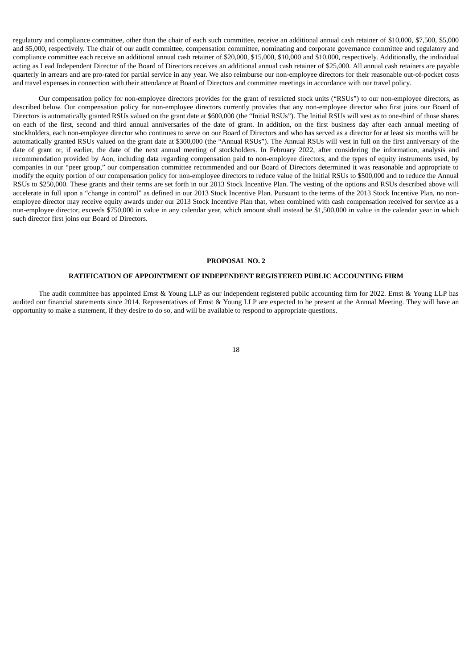regulatory and compliance committee, other than the chair of each such committee, receive an additional annual cash retainer of \$10,000, \$7,500, \$5,000 and \$5,000, respectively. The chair of our audit committee, compensation committee, nominating and corporate governance committee and regulatory and compliance committee each receive an additional annual cash retainer of \$20,000, \$15,000, \$10,000 and \$10,000, respectively. Additionally, the individual acting as Lead Independent Director of the Board of Directors receives an additional annual cash retainer of \$25,000. All annual cash retainers are payable quarterly in arrears and are pro-rated for partial service in any year. We also reimburse our non-employee directors for their reasonable out-of-pocket costs and travel expenses in connection with their attendance at Board of Directors and committee meetings in accordance with our travel policy.

Our compensation policy for non-employee directors provides for the grant of restricted stock units ("RSUs") to our non-employee directors, as described below. Our compensation policy for non-employee directors currently provides that any non-employee director who first joins our Board of Directors is automatically granted RSUs valued on the grant date at \$600,000 (the "Initial RSUs"). The Initial RSUs will vest as to one-third of those shares on each of the first, second and third annual anniversaries of the date of grant. In addition, on the first business day after each annual meeting of stockholders, each non-employee director who continues to serve on our Board of Directors and who has served as a director for at least six months will be automatically granted RSUs valued on the grant date at \$300,000 (the "Annual RSUs"). The Annual RSUs will vest in full on the first anniversary of the date of grant or, if earlier, the date of the next annual meeting of stockholders. In February 2022, after considering the information, analysis and recommendation provided by Aon, including data regarding compensation paid to non-employee directors, and the types of equity instruments used, by companies in our "peer group," our compensation committee recommended and our Board of Directors determined it was reasonable and appropriate to modify the equity portion of our compensation policy for non-employee directors to reduce value of the Initial RSUs to \$500,000 and to reduce the Annual RSUs to \$250,000. These grants and their terms are set forth in our 2013 Stock Incentive Plan. The vesting of the options and RSUs described above will accelerate in full upon a "change in control" as defined in our 2013 Stock Incentive Plan. Pursuant to the terms of the 2013 Stock Incentive Plan, no nonemployee director may receive equity awards under our 2013 Stock Incentive Plan that, when combined with cash compensation received for service as a non-employee director, exceeds \$750,000 in value in any calendar year, which amount shall instead be \$1,500,000 in value in the calendar year in which such director first joins our Board of Directors.

#### **PROPOSAL NO. 2**

#### **RATIFICATION OF APPOINTMENT OF INDEPENDENT REGISTERED PUBLIC ACCOUNTING FIRM**

<span id="page-21-0"></span>The audit committee has appointed Ernst & Young LLP as our independent registered public accounting firm for 2022. Ernst & Young LLP has audited our financial statements since 2014. Representatives of Ernst & Young LLP are expected to be present at the Annual Meeting. They will have an opportunity to make a statement, if they desire to do so, and will be available to respond to appropriate questions.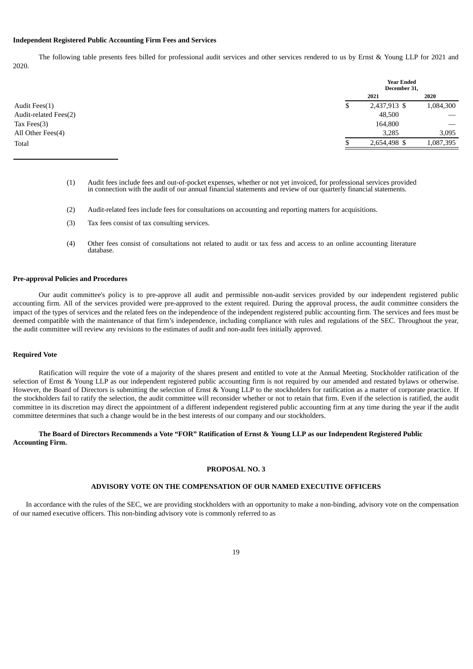## **Independent Registered Public Accounting Firm Fees and Services**

The following table presents fees billed for professional audit services and other services rendered to us by Ernst & Young LLP for 2021 and 2020.

|                       | <b>Year Ended</b><br>December 31, |              |           |
|-----------------------|-----------------------------------|--------------|-----------|
|                       |                                   | 2021         | 2020      |
| Audit Fees(1)         | Φ                                 | 2,437,913 \$ | 1,084,300 |
| Audit-related Fees(2) |                                   | 48,500       |           |
| Tax Fees $(3)$        |                                   | 164,800      |           |
| All Other Fees(4)     |                                   | 3,285        | 3,095     |
| Total                 |                                   | 2,654,498 \$ | 1,087,395 |

- (1) Audit fees include fees and out-of-pocket expenses, whether or not yet invoiced, for professional services provided in connection with the audit of our annual financial statements and review of our quarterly financial statements.
- (2) Audit-related fees include fees for consultations on accounting and reporting matters for acquisitions.
- (3) Tax fees consist of tax consulting services.
- (4) Other fees consist of consultations not related to audit or tax fess and access to an online accounting literature database.

## **Pre-approval Policies and Procedures**

Our audit committee's policy is to pre-approve all audit and permissible non-audit services provided by our independent registered public accounting firm. All of the services provided were pre-approved to the extent required. During the approval process, the audit committee considers the impact of the types of services and the related fees on the independence of the independent registered public accounting firm. The services and fees must be deemed compatible with the maintenance of that firm's independence, including compliance with rules and regulations of the SEC. Throughout the year, the audit committee will review any revisions to the estimates of audit and non-audit fees initially approved.

## **Required Vote**

Ratification will require the vote of a majority of the shares present and entitled to vote at the Annual Meeting. Stockholder ratification of the selection of Ernst & Young LLP as our independent registered public accounting firm is not required by our amended and restated bylaws or otherwise. However, the Board of Directors is submitting the selection of Ernst & Young LLP to the stockholders for ratification as a matter of corporate practice. If the stockholders fail to ratify the selection, the audit committee will reconsider whether or not to retain that firm. Even if the selection is ratified, the audit committee in its discretion may direct the appointment of a different independent registered public accounting firm at any time during the year if the audit committee determines that such a change would be in the best interests of our company and our stockholders.

# <span id="page-22-0"></span>The Board of Directors Recommends a Vote "FOR" Ratification of Ernst & Young LLP as our Independent Registered Public **Accounting Firm.**

#### **PROPOSAL NO. 3**

#### **ADVISORY VOTE ON THE COMPENSATION OF OUR NAMED EXECUTIVE OFFICERS**

In accordance with the rules of the SEC, we are providing stockholders with an opportunity to make a non-binding, advisory vote on the compensation of our named executive officers. This non-binding advisory vote is commonly referred to as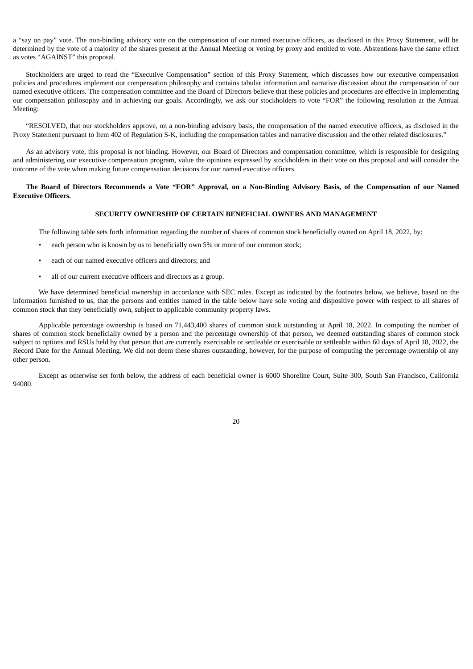a "say on pay" vote. The non-binding advisory vote on the compensation of our named executive officers, as disclosed in this Proxy Statement, will be determined by the vote of a majority of the shares present at the Annual Meeting or voting by proxy and entitled to vote. Abstentions have the same effect as votes "AGAINST" this proposal.

Stockholders are urged to read the "Executive Compensation" section of this Proxy Statement, which discusses how our executive compensation policies and procedures implement our compensation philosophy and contains tabular information and narrative discussion about the compensation of our named executive officers. The compensation committee and the Board of Directors believe that these policies and procedures are effective in implementing our compensation philosophy and in achieving our goals. Accordingly, we ask our stockholders to vote "FOR" the following resolution at the Annual Meeting:

"RESOLVED, that our stockholders approve, on a non-binding advisory basis, the compensation of the named executive officers, as disclosed in the Proxy Statement pursuant to Item 402 of Regulation S-K, including the compensation tables and narrative discussion and the other related disclosures."

As an advisory vote, this proposal is not binding. However, our Board of Directors and compensation committee, which is responsible for designing and administering our executive compensation program, value the opinions expressed by stockholders in their vote on this proposal and will consider the outcome of the vote when making future compensation decisions for our named executive officers.

## <span id="page-23-0"></span>The Board of Directors Recommends a Vote "FOR" Approval, on a Non-Binding Advisory Basis, of the Compensation of our Named **Executive Officers.**

## **SECURITY OWNERSHIP OF CERTAIN BENEFICIAL OWNERS AND MANAGEMENT**

The following table sets forth information regarding the number of shares of common stock beneficially owned on April 18, 2022, by:

- each person who is known by us to beneficially own 5% or more of our common stock;
- each of our named executive officers and directors; and
- all of our current executive officers and directors as a group.

We have determined beneficial ownership in accordance with SEC rules. Except as indicated by the footnotes below, we believe, based on the information furnished to us, that the persons and entities named in the table below have sole voting and dispositive power with respect to all shares of common stock that they beneficially own, subject to applicable community property laws.

Applicable percentage ownership is based on 71,443,400 shares of common stock outstanding at April 18, 2022. In computing the number of shares of common stock beneficially owned by a person and the percentage ownership of that person, we deemed outstanding shares of common stock subject to options and RSUs held by that person that are currently exercisable or settleable or exercisable or settleable within 60 days of April 18, 2022, the Record Date for the Annual Meeting. We did not deem these shares outstanding, however, for the purpose of computing the percentage ownership of any other person.

Except as otherwise set forth below, the address of each beneficial owner is 6000 Shoreline Court, Suite 300, South San Francisco, California 94080.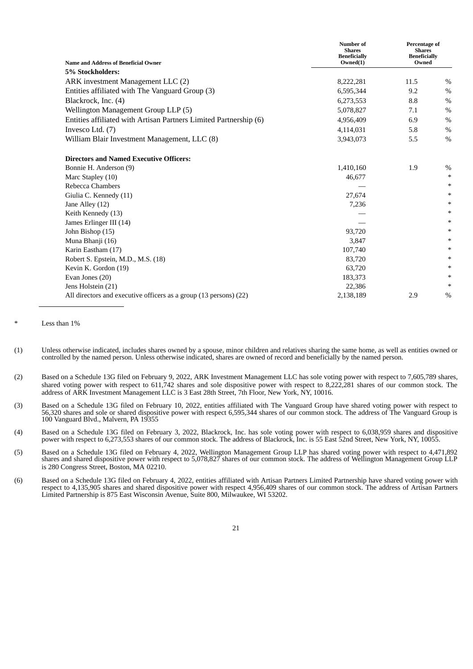| <b>Name and Address of Beneficial Owner</b>                       | Number of<br><b>Shares</b><br><b>Beneficially</b><br>Owned(1) | Percentage of<br><b>Shares</b><br><b>Beneficially</b><br>Owned |               |
|-------------------------------------------------------------------|---------------------------------------------------------------|----------------------------------------------------------------|---------------|
| 5% Stockholders:                                                  |                                                               |                                                                |               |
| ARK investment Management LLC (2)                                 | 8,222,281                                                     | 11.5                                                           | $\%$          |
| Entities affiliated with The Vanguard Group (3)                   | 6,595,344                                                     | 9.2                                                            | $\%$          |
| Blackrock, Inc. (4)                                               | 6,273,553                                                     | 8.8                                                            | $\frac{0}{0}$ |
| Wellington Management Group LLP (5)                               | 5,078,827                                                     | 7.1                                                            | $\%$          |
| Entities affiliated with Artisan Partners Limited Partnership (6) | 4,956,409                                                     | 6.9                                                            | $\%$          |
| Invesco Ltd. (7)                                                  | 4,114,031                                                     | 5.8                                                            | $\frac{0}{0}$ |
| William Blair Investment Management, LLC (8)                      | 3,943,073                                                     | 5.5                                                            | $\%$          |
| <b>Directors and Named Executive Officers:</b>                    |                                                               |                                                                |               |
| Bonnie H. Anderson (9)                                            | 1,410,160                                                     | 1.9                                                            | $\%$          |
| Marc Stapley (10)                                                 | 46,677                                                        |                                                                | $\ast$        |
| Rebecca Chambers                                                  |                                                               |                                                                | $\ast$        |
| Giulia C. Kennedy (11)                                            | 27,674                                                        |                                                                | $\ast$        |
| Jane Alley (12)                                                   | 7,236                                                         |                                                                | $\ast$        |
| Keith Kennedy (13)                                                |                                                               |                                                                | $\ast$        |
| James Erlinger III (14)                                           |                                                               |                                                                | $\ast$        |
| John Bishop (15)                                                  | 93,720                                                        |                                                                | $\ast$        |
| Muna Bhanji (16)                                                  | 3,847                                                         |                                                                | $\ast$        |
| Karin Eastham (17)                                                | 107,740                                                       |                                                                | $\ast$        |
| Robert S. Epstein, M.D., M.S. (18)                                | 83,720                                                        |                                                                | $\ast$        |
| Kevin K. Gordon (19)                                              | 63,720                                                        |                                                                | $\ast$        |
| Evan Jones (20)                                                   | 183,373                                                       |                                                                | $\ast$        |
| Jens Holstein (21)                                                | 22,386                                                        |                                                                | $\ast$        |
| All directors and executive officers as a group (13 persons) (22) | 2,138,189                                                     | 2.9                                                            | $\%$          |

Less than  $1%$ 

- (1) Unless otherwise indicated, includes shares owned by a spouse, minor children and relatives sharing the same home, as well as entities owned or controlled by the named person. Unless otherwise indicated, shares are owned of record and beneficially by the named person.
- (2) Based on a Schedule 13G filed on February 9, 2022, ARK Investment Management LLC has sole voting power with respect to 7,605,789 shares, shared voting power with respect to 611,742 shares and sole dispositive power with respect to 8,222,281 shares of our common stock. The address of ARK Investment Management LLC is 3 East 28th Street, 7th Floor, New York, NY, 10016.
- (3) Based on a Schedule 13G filed on February 10, 2022, entities affiliated with The Vanguard Group have shared voting power with respect to 56,320 shares and sole or shared dispositive power with respect 6,595,344 shares of our common stock. The address of The Vanguard Group is 100 Vanguard Blvd., Malvern, PA 19355

(4) Based on a Schedule 13G filed on February 3, 2022, Blackrock, Inc. has sole voting power with respect to 6,038,959 shares and dispositive power with respect to 6,273,553 shares of our common stock. The address of Blackrock, Inc. is 55 East 52nd Street, New York, NY, 10055.

- (5) Based on a Schedule 13G filed on February 4, 2022, Wellington Management Group LLP has shared voting power with respect to 4,471,892 shares and shared dispositive power with respect to 5,078,827 shares of our common stock. The address of Wellington Management Group LLP is 280 Congress Street, Boston, MA 02210.
- (6) Based on a Schedule 13G filed on February 4, 2022, entities affiliated with Artisan Partners Limited Partnership have shared voting power with respect to 4,135,905 shares and shared dispositive power with respect 4,956,409 shares of our common stock. The address of Artisan Partners Limited Partnership is 875 East Wisconsin Avenue, Suite 800, Milwaukee, WI 53202.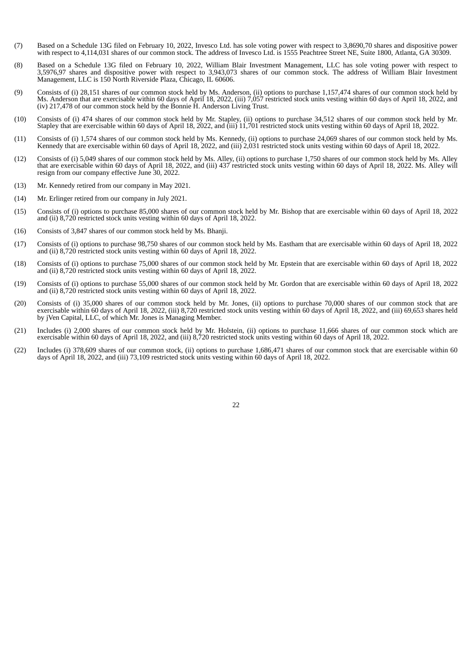- (7) Based on a Schedule 13G filed on February 10, 2022, Invesco Ltd. has sole voting power with respect to 3,8690,70 shares and dispositive power with respect to 4,114,031 shares of our common stock. The address of Invesco Ltd. is 1555 Peachtree Street NE, Suite 1800, Atlanta, GA 30309.
- (8) Based on a Schedule 13G filed on February 10, 2022, William Blair Investment Management, LLC has sole voting power with respect to 3,5976,97 shares and dispositive power with respect to 3,943,073 shares of our common stock. The address of William Blair Investment Management, LLC is 150 North Riverside Plaza, Chicago, IL 60606.
- (9) Consists of (i) 28,151 shares of our common stock held by Ms. Anderson, (ii) options to purchase 1,157,474 shares of our common stock held by Ms. Anderson that are exercisable within 60 days of April 18, 2022, (iii) 7,057 restricted stock units vesting within 60 days of April 18, 2022, and (iv) 217,478 of our common stock held by the Bonnie H. Anderson Living Trust.
- (10) Consists of (i) 474 shares of our common stock held by Mr. Stapley, (ii) options to purchase 34,512 shares of our common stock held by Mr. Stapley that are exercisable within 60 days of April 18, 2022, and (iii) 11,701 restricted stock units vesting within 60 days of April 18, 2022.
- (11) Consists of (i) 1,574 shares of our common stock held by Ms. Kennedy, (ii) options to purchase 24,069 shares of our common stock held by Ms. Kennedy that are exercisable within 60 days of April 18, 2022, and (iii) 2,031 restricted stock units vesting within 60 days of April 18, 2022.
- (12) Consists of (i) 5,049 shares of our common stock held by Ms. Alley, (ii) options to purchase 1,750 shares of our common stock held by Ms. Alley that are exercisable within 60 days of April 18, 2022, and (iii) 437 restricted stock units vesting within 60 days of April 18, 2022. Ms. Alley will resign from our company effective June 30, 2022.
- (13) Mr. Kennedy retired from our company in May 2021.
- (14) Mr. Erlinger retired from our company in July 2021.
- (15) Consists of (i) options to purchase 85,000 shares of our common stock held by Mr. Bishop that are exercisable within 60 days of April 18, 2022 and (ii) 8,720 restricted stock units vesting within 60 days of April 18, 2022.
- (16) Consists of 3,847 shares of our common stock held by Ms. Bhanji.
- (17) Consists of (i) options to purchase 98,750 shares of our common stock held by Ms. Eastham that are exercisable within 60 days of April 18, 2022 and (ii) 8,720 restricted stock units vesting within 60 days of April 18, 2022.
- (18) Consists of (i) options to purchase 75,000 shares of our common stock held by Mr. Epstein that are exercisable within 60 days of April 18, 2022 and (ii) 8,720 restricted stock units vesting within 60 days of April 18, 2022.
- (19) Consists of (i) options to purchase 55,000 shares of our common stock held by Mr. Gordon that are exercisable within 60 days of April 18, 2022 and (ii) 8,720 restricted stock units vesting within 60 days of April 18, 2022.
- (20) Consists of (i) 35,000 shares of our common stock held by Mr. Jones, (ii) options to purchase 70,000 shares of our common stock that are exercisable within 60 days of April 18, 2022, (iii) 8,720 restricted stock units vesting within 60 days of April 18, 2022, and (iii) 69,653 shares held by *jVen Capital, LLC, of which Mr. Jones is Managing Member.*
- (21) Includes (i) 2,000 shares of our common stock held by Mr. Holstein, (ii) options to purchase 11,666 shares of our common stock which are exercisable within 60 days of April 18, 2022, and (iii) 8,720 restricted stock units vesting within 60 days of April 18, 2022.
- <span id="page-25-0"></span>(22) Includes (i) 378,609 shares of our common stock, (ii) options to purchase 1,686,471 shares of our common stock that are exercisable within 60 days of April 18, 2022, and (iii) 73,109 restricted stock units vesting within 60 days of April 18, 2022.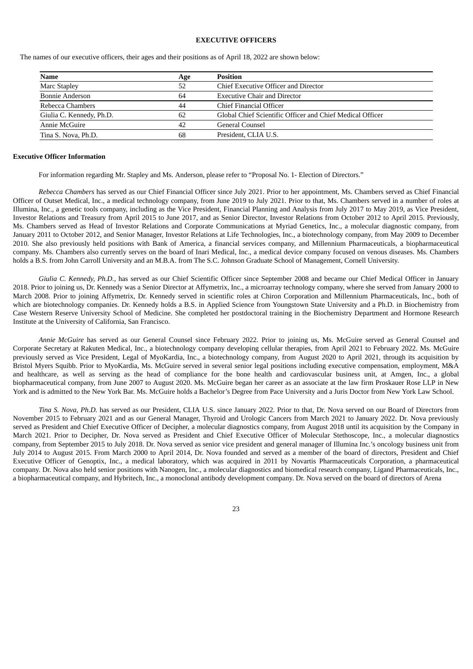## **EXECUTIVE OFFICERS**

The names of our executive officers, their ages and their positions as of April 18, 2022 are shown below:

| Name                     | Age | <b>Position</b>                                           |
|--------------------------|-----|-----------------------------------------------------------|
| Marc Stapley             | 52  | Chief Executive Officer and Director                      |
| Bonnie Anderson          | 64  | <b>Executive Chair and Director</b>                       |
| Rebecca Chambers         | 44  | Chief Financial Officer                                   |
| Giulia C. Kennedy, Ph.D. | 62  | Global Chief Scientific Officer and Chief Medical Officer |
| Annie McGuire            | 42  | General Counsel                                           |
| Tina S. Nova, Ph.D.      | 68  | President, CLIA U.S.                                      |

#### **Executive Officer Information**

For information regarding Mr. Stapley and Ms. Anderson, please refer to "Proposal No. 1- Election of Directors."

*Rebecca Chambers* has served as our Chief Financial Officer since July 2021. Prior to her appointment, Ms. Chambers served as Chief Financial Officer of Outset Medical, Inc., a medical technology company, from June 2019 to July 2021. Prior to that, Ms. Chambers served in a number of roles at Illumina, Inc., a genetic tools company, including as the Vice President, Financial Planning and Analysis from July 2017 to May 2019, as Vice President, Investor Relations and Treasury from April 2015 to June 2017, and as Senior Director, Investor Relations from October 2012 to April 2015. Previously, Ms. Chambers served as Head of Investor Relations and Corporate Communications at Myriad Genetics, Inc., a molecular diagnostic company, from January 2011 to October 2012, and Senior Manager, Investor Relations at Life Technologies, Inc., a biotechnology company, from May 2009 to December 2010. She also previously held positions with Bank of America, a financial services company, and Millennium Pharmaceuticals, a biopharmaceutical company. Ms. Chambers also currently serves on the board of Inari Medical, Inc., a medical device company focused on venous diseases. Ms. Chambers holds a B.S. from John Carroll University and an M.B.A. from The S.C. Johnson Graduate School of Management, Cornell University.

*Giulia C. Kennedy, Ph.D.,* has served as our Chief Scientific Officer since September 2008 and became our Chief Medical Officer in January 2018. Prior to joining us, Dr. Kennedy was a Senior Director at Affymetrix, Inc., a microarray technology company, where she served from January 2000 to March 2008. Prior to joining Affymetrix, Dr. Kennedy served in scientific roles at Chiron Corporation and Millennium Pharmaceuticals, Inc., both of which are biotechnology companies. Dr. Kennedy holds a B.S. in Applied Science from Youngstown State University and a Ph.D. in Biochemistry from Case Western Reserve University School of Medicine. She completed her postdoctoral training in the Biochemistry Department and Hormone Research Institute at the University of California, San Francisco.

*Annie McGuire* has served as our General Counsel since February 2022. Prior to joining us, Ms. McGuire served as General Counsel and Corporate Secretary at Rakuten Medical, Inc., a biotechnology company developing cellular therapies, from April 2021 to February 2022. Ms. McGuire previously served as Vice President, Legal of MyoKardia, Inc., a biotechnology company, from August 2020 to April 2021, through its acquisition by Bristol Myers Squibb. Prior to MyoKardia, Ms. McGuire served in several senior legal positions including executive compensation, employment, M&A and healthcare, as well as serving as the head of compliance for the bone health and cardiovascular business unit, at Amgen, Inc., a global biopharmaceutical company, from June 2007 to August 2020. Ms. McGuire began her career as an associate at the law firm Proskauer Rose LLP in New York and is admitted to the New York Bar. Ms. McGuire holds a Bachelor's Degree from Pace University and a Juris Doctor from New York Law School.

*Tina S. Nova, Ph.D.* has served as our President, CLIA U.S. since January 2022. Prior to that, Dr. Nova served on our Board of Directors from November 2015 to February 2021 and as our General Manager, Thyroid and Urologic Cancers from March 2021 to January 2022. Dr. Nova previously served as President and Chief Executive Officer of Decipher, a molecular diagnostics company, from August 2018 until its acquisition by the Company in March 2021. Prior to Decipher, Dr. Nova served as President and Chief Executive Officer of Molecular Stethoscope, Inc., a molecular diagnostics company, from September 2015 to July 2018. Dr. Nova served as senior vice president and general manager of Illumina Inc.'s oncology business unit from July 2014 to August 2015. From March 2000 to April 2014, Dr. Nova founded and served as a member of the board of directors, President and Chief Executive Officer of Genoptix, Inc., a medical laboratory, which was acquired in 2011 by Novartis Pharmaceuticals Corporation, a pharmaceutical company. Dr. Nova also held senior positions with Nanogen, Inc., a molecular diagnostics and biomedical research company, Ligand Pharmaceuticals, Inc., a biopharmaceutical company, and Hybritech, Inc., a monoclonal antibody development company. Dr. Nova served on the board of directors of Arena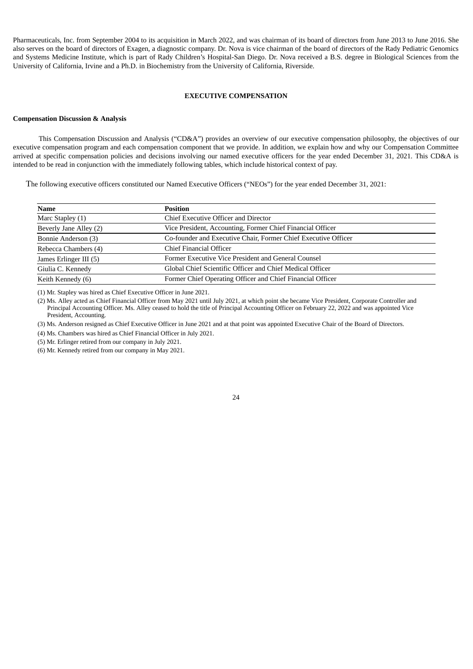Pharmaceuticals, Inc. from September 2004 to its acquisition in March 2022, and was chairman of its board of directors from June 2013 to June 2016. She also serves on the board of directors of Exagen, a diagnostic company. Dr. Nova is vice chairman of the board of directors of the Rady Pediatric Genomics and Systems Medicine Institute, which is part of Rady Children's Hospital-San Diego. Dr. Nova received a B.S. degree in Biological Sciences from the University of California, Irvine and a Ph.D. in Biochemistry from the University of California, Riverside.

## **EXECUTIVE COMPENSATION**

## <span id="page-27-0"></span>**Compensation Discussion & Analysis**

This Compensation Discussion and Analysis ("CD&A") provides an overview of our executive compensation philosophy, the objectives of our executive compensation program and each compensation component that we provide. In addition, we explain how and why our Compensation Committee arrived at specific compensation policies and decisions involving our named executive officers for the year ended December 31, 2021. This CD&A is intended to be read in conjunction with the immediately following tables, which include historical context of pay.

The following executive officers constituted our Named Executive Officers ("NEOs") for the year ended December 31, 2021:

| Name                   | <b>Position</b>                                                |  |
|------------------------|----------------------------------------------------------------|--|
| Marc Stapley (1)       | Chief Executive Officer and Director                           |  |
| Beverly Jane Alley (2) | Vice President, Accounting, Former Chief Financial Officer     |  |
| Bonnie Anderson (3)    | Co-founder and Executive Chair, Former Chief Executive Officer |  |
| Rebecca Chambers (4)   | Chief Financial Officer                                        |  |
| James Erlinger III (5) | Former Executive Vice President and General Counsel            |  |
| Giulia C. Kennedy      | Global Chief Scientific Officer and Chief Medical Officer      |  |
| Keith Kennedy (6)      | Former Chief Operating Officer and Chief Financial Officer     |  |

(1) Mr. Stapley was hired as Chief Executive Officer in June 2021.

(2) Ms. Alley acted as Chief Financial Officer from May 2021 until July 2021, at which point she became Vice President, Corporate Controller and Principal Accounting Officer. Ms. Alley ceased to hold the title of Principal Accounting Officer on February 22, 2022 and was appointed Vice President, Accounting.

(3) Ms. Anderson resigned as Chief Executive Officer in June 2021 and at that point was appointed Executive Chair of the Board of Directors.

(4) Ms. Chambers was hired as Chief Financial Officer in July 2021.

(5) Mr. Erlinger retired from our company in July 2021.

(6) Mr. Kennedy retired from our company in May 2021.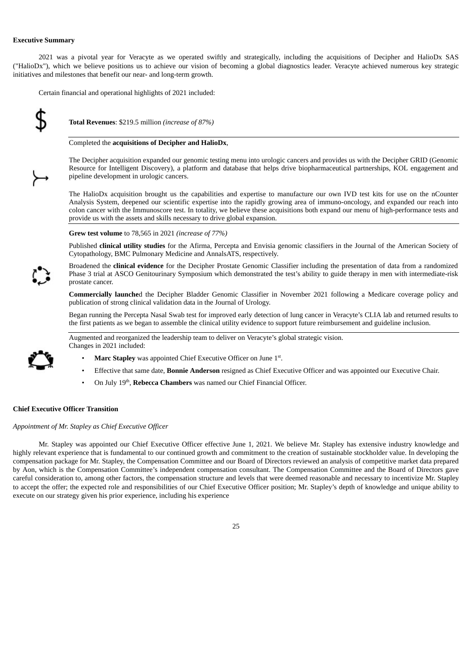## **Executive Summary**

2021 was a pivotal year for Veracyte as we operated swiftly and strategically, including the acquisitions of Decipher and HalioDx SAS ("HalioDx"), which we believe positions us to achieve our vision of becoming a global diagnostics leader. Veracyte achieved numerous key strategic initiatives and milestones that benefit our near- and long-term growth.

Certain financial and operational highlights of 2021 included:



**Total Revenues**: \$219.5 million *(increase of 87%)*

#### Completed the **acquisitions of Decipher and HalioDx**,

The Decipher acquisition expanded our genomic testing menu into urologic cancers and provides us with the Decipher GRID (Genomic Resource for Intelligent Discovery), a platform and database that helps drive biopharmaceutical partnerships, KOL engagement and pipeline development in urologic cancers.

The HalioDx acquisition brought us the capabilities and expertise to manufacture our own IVD test kits for use on the nCounter Analysis System, deepened our scientific expertise into the rapidly growing area of immuno-oncology, and expanded our reach into colon cancer with the Immunoscore test. In totality, we believe these acquisitions both expand our menu of high-performance tests and provide us with the assets and skills necessary to drive global expansion.

#### **Grew test volume** to 78,565 in 2021 *(increase of 77%)*

Published **clinical utility studies** for the Afirma, Percepta and Envisia genomic classifiers in the Journal of the American Society of Cytopathology, BMC Pulmonary Medicine and AnnalsATS, respectively.

Broadened the **clinical evidence** for the Decipher Prostate Genomic Classifier including the presentation of data from a randomized Phase 3 trial at ASCO Genitourinary Symposium which demonstrated the test's ability to guide therapy in men with intermediate-risk prostate cancer.

**Commercially launche**d the Decipher Bladder Genomic Classifier in November 2021 following a Medicare coverage policy and publication of strong clinical validation data in the Journal of Urology.

Began running the Percepta Nasal Swab test for improved early detection of lung cancer in Veracyte's CLIA lab and returned results to the first patients as we began to assemble the clinical utility evidence to support future reimbursement and guideline inclusion.

Augmented and reorganized the leadership team to deliver on Veracyte's global strategic vision. Changes in 2021 included:



- Marc Stapley was appointed Chief Executive Officer on June 1<sup>st</sup>.
- Effective that same date, **Bonnie Anderson** resigned as Chief Executive Officer and was appointed our Executive Chair.
- On July 19<sup>th</sup>, Rebecca Chambers was named our Chief Financial Officer.

## **Chief Executive Officer Transition**

#### *Appointment of Mr. Stapley as Chief Executive Officer*

Mr. Stapley was appointed our Chief Executive Officer effective June 1, 2021. We believe Mr. Stapley has extensive industry knowledge and highly relevant experience that is fundamental to our continued growth and commitment to the creation of sustainable stockholder value. In developing the compensation package for Mr. Stapley, the Compensation Committee and our Board of Directors reviewed an analysis of competitive market data prepared by Aon, which is the Compensation Committee's independent compensation consultant. The Compensation Committee and the Board of Directors gave careful consideration to, among other factors, the compensation structure and levels that were deemed reasonable and necessary to incentivize Mr. Stapley to accept the offer; the expected role and responsibilities of our Chief Executive Officer position; Mr. Stapley's depth of knowledge and unique ability to execute on our strategy given his prior experience, including his experience

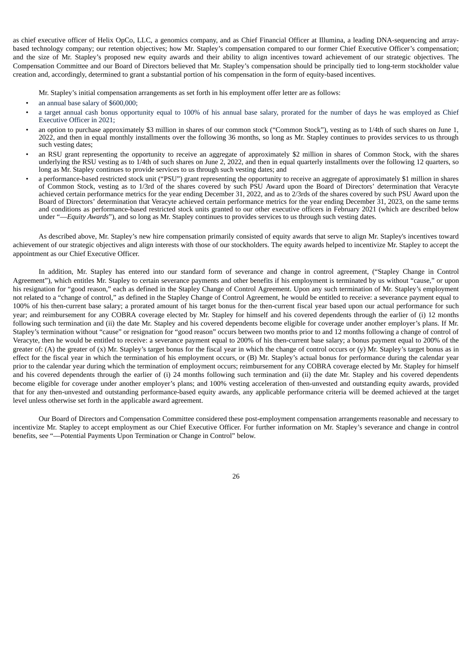as chief executive officer of Helix OpCo, LLC, a genomics company, and as Chief Financial Officer at Illumina, a leading DNA-sequencing and arraybased technology company; our retention objectives; how Mr. Stapley's compensation compared to our former Chief Executive Officer's compensation; and the size of Mr. Stapley's proposed new equity awards and their ability to align incentives toward achievement of our strategic objectives. The Compensation Committee and our Board of Directors believed that Mr. Stapley's compensation should be principally tied to long-term stockholder value creation and, accordingly, determined to grant a substantial portion of his compensation in the form of equity-based incentives.

Mr. Stapley's initial compensation arrangements as set forth in his employment offer letter are as follows:

- an annual base salary of \$600,000;
- a target annual cash bonus opportunity equal to 100% of his annual base salary, prorated for the number of days he was employed as Chief Executive Officer in 2021;
- an option to purchase approximately \$3 million in shares of our common stock ("Common Stock"), vesting as to 1/4th of such shares on June 1, 2022, and then in equal monthly installments over the following 36 months, so long as Mr. Stapley continues to provides services to us through such vesting dates;
- an RSU grant representing the opportunity to receive an aggregate of approximately \$2 million in shares of Common Stock, with the shares underlying the RSU vesting as to 1/4th of such shares on June 2, 2022, and then in equal quarterly installments over the following 12 quarters, so long as Mr. Stapley continues to provide services to us through such vesting dates; and
- a performance-based restricted stock unit ("PSU") grant representing the opportunity to receive an aggregate of approximately \$1 million in shares of Common Stock, vesting as to 1/3rd of the shares covered by such PSU Award upon the Board of Directors' determination that Veracyte achieved certain performance metrics for the year ending December 31, 2022, and as to 2/3rds of the shares covered by such PSU Award upon the Board of Directors' determination that Veracyte achieved certain performance metrics for the year ending December 31, 2023, on the same terms and conditions as performance-based restricted stock units granted to our other executive officers in February 2021 (which are described below under "—*Equity Awards*"), and so long as Mr. Stapley continues to provides services to us through such vesting dates.

As described above, Mr. Stapley's new hire compensation primarily consisted of equity awards that serve to align Mr. Stapley's incentives toward achievement of our strategic objectives and align interests with those of our stockholders. The equity awards helped to incentivize Mr. Stapley to accept the appointment as our Chief Executive Officer.

In addition, Mr. Stapley has entered into our standard form of severance and change in control agreement, ("Stapley Change in Control Agreement"), which entitles Mr. Stapley to certain severance payments and other benefits if his employment is terminated by us without "cause," or upon his resignation for "good reason," each as defined in the Stapley Change of Control Agreement. Upon any such termination of Mr. Stapley's employment not related to a "change of control," as defined in the Stapley Change of Control Agreement, he would be entitled to receive: a severance payment equal to 100% of his then-current base salary; a prorated amount of his target bonus for the then-current fiscal year based upon our actual performance for such year; and reimbursement for any COBRA coverage elected by Mr. Stapley for himself and his covered dependents through the earlier of (i) 12 months following such termination and (ii) the date Mr. Stapley and his covered dependents become eligible for coverage under another employer's plans. If Mr. Stapley's termination without "cause" or resignation for "good reason" occurs between two months prior to and 12 months following a change of control of Veracyte, then he would be entitled to receive: a severance payment equal to 200% of his then-current base salary; a bonus payment equal to 200% of the greater of: (A) the greater of (x) Mr. Stapley's target bonus for the fiscal year in which the change of control occurs or (y) Mr. Stapley's target bonus as in effect for the fiscal year in which the termination of his employment occurs, or (B) Mr. Stapley's actual bonus for performance during the calendar year prior to the calendar year during which the termination of employment occurs; reimbursement for any COBRA coverage elected by Mr. Stapley for himself and his covered dependents through the earlier of (i) 24 months following such termination and (ii) the date Mr. Stapley and his covered dependents become eligible for coverage under another employer's plans; and 100% vesting acceleration of then-unvested and outstanding equity awards, provided that for any then-unvested and outstanding performance-based equity awards, any applicable performance criteria will be deemed achieved at the target level unless otherwise set forth in the applicable award agreement.

Our Board of Directors and Compensation Committee considered these post-employment compensation arrangements reasonable and necessary to incentivize Mr. Stapley to accept employment as our Chief Executive Officer. For further information on Mr. Stapley's severance and change in control benefits, see "—Potential Payments Upon Termination or Change in Control" below.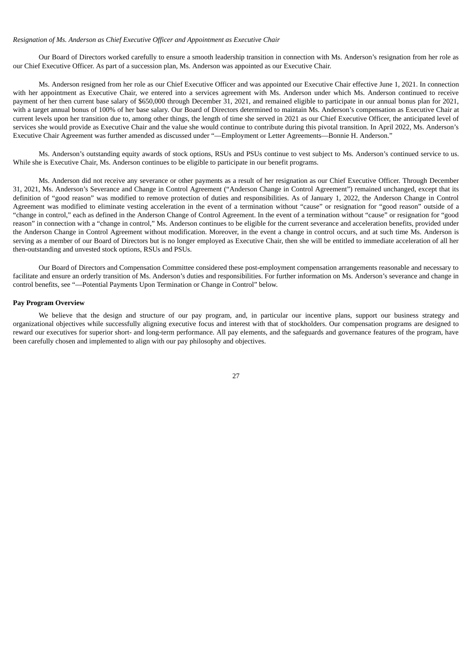## *Resignation of Ms. Anderson as Chief Executive Officer and Appointment as Executive Chair*

Our Board of Directors worked carefully to ensure a smooth leadership transition in connection with Ms. Anderson's resignation from her role as our Chief Executive Officer. As part of a succession plan, Ms. Anderson was appointed as our Executive Chair.

Ms. Anderson resigned from her role as our Chief Executive Officer and was appointed our Executive Chair effective June 1, 2021. In connection with her appointment as Executive Chair, we entered into a services agreement with Ms. Anderson under which Ms. Anderson continued to receive payment of her then current base salary of \$650,000 through December 31, 2021, and remained eligible to participate in our annual bonus plan for 2021, with a target annual bonus of 100% of her base salary. Our Board of Directors determined to maintain Ms. Anderson's compensation as Executive Chair at current levels upon her transition due to, among other things, the length of time she served in 2021 as our Chief Executive Officer, the anticipated level of services she would provide as Executive Chair and the value she would continue to contribute during this pivotal transition. In April 2022, Ms. Anderson's Executive Chair Agreement was further amended as discussed under "—Employment or Letter Agreements—Bonnie H. Anderson."

Ms. Anderson's outstanding equity awards of stock options, RSUs and PSUs continue to vest subject to Ms. Anderson's continued service to us. While she is Executive Chair, Ms. Anderson continues to be eligible to participate in our benefit programs.

Ms. Anderson did not receive any severance or other payments as a result of her resignation as our Chief Executive Officer. Through December 31, 2021, Ms. Anderson's Severance and Change in Control Agreement ("Anderson Change in Control Agreement") remained unchanged, except that its definition of "good reason" was modified to remove protection of duties and responsibilities. As of January 1, 2022, the Anderson Change in Control Agreement was modified to eliminate vesting acceleration in the event of a termination without "cause" or resignation for "good reason" outside of a "change in control," each as defined in the Anderson Change of Control Agreement. In the event of a termination without "cause" or resignation for "good reason" in connection with a "change in control," Ms. Anderson continues to be eligible for the current severance and acceleration benefits, provided under the Anderson Change in Control Agreement without modification. Moreover, in the event a change in control occurs, and at such time Ms. Anderson is serving as a member of our Board of Directors but is no longer employed as Executive Chair, then she will be entitled to immediate acceleration of all her then-outstanding and unvested stock options, RSUs and PSUs.

Our Board of Directors and Compensation Committee considered these post-employment compensation arrangements reasonable and necessary to facilitate and ensure an orderly transition of Ms. Anderson's duties and responsibilities. For further information on Ms. Anderson's severance and change in control benefits, see "—Potential Payments Upon Termination or Change in Control" below.

#### **Pay Program Overview**

We believe that the design and structure of our pay program, and, in particular our incentive plans, support our business strategy and organizational objectives while successfully aligning executive focus and interest with that of stockholders. Our compensation programs are designed to reward our executives for superior short- and long-term performance. All pay elements, and the safeguards and governance features of the program, have been carefully chosen and implemented to align with our pay philosophy and objectives.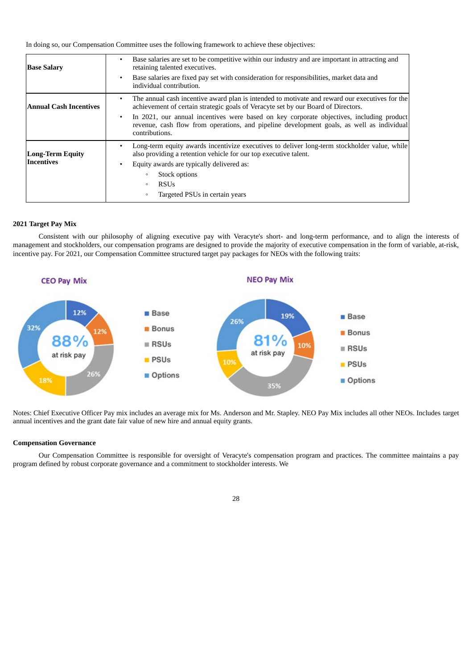In doing so, our Compensation Committee uses the following framework to achieve these objectives:

| <b>Base Salary</b>      | Base salaries are set to be competitive within our industry and are important in attracting and<br>retaining talented executives.                                                                                    |
|-------------------------|----------------------------------------------------------------------------------------------------------------------------------------------------------------------------------------------------------------------|
|                         | Base salaries are fixed pay set with consideration for responsibilities, market data and<br>$\bullet$<br>individual contribution.                                                                                    |
| Annual Cash Incentives  | The annual cash incentive award plan is intended to motivate and reward our executives for the<br>٠<br>achievement of certain strategic goals of Veracyte set by our Board of Directors.                             |
|                         | In 2021, our annual incentives were based on key corporate objectives, including product<br>$\bullet$<br>revenue, cash flow from operations, and pipeline development goals, as well as individual<br>contributions. |
| <b>Long-Term Equity</b> | Long-term equity awards incentivize executives to deliver long-term stockholder value, while<br>$\bullet$<br>also providing a retention vehicle for our top executive talent.                                        |
| <b>Incentives</b>       | Equity awards are typically delivered as:                                                                                                                                                                            |
|                         | Stock options<br>$\circ$                                                                                                                                                                                             |
|                         | <b>RSUs</b><br>$\circ$                                                                                                                                                                                               |
|                         | Targeted PSUs in certain years<br>$\circ$                                                                                                                                                                            |

# **2021 Target Pay Mix**

Consistent with our philosophy of aligning executive pay with Veracyte's short- and long-term performance, and to align the interests of management and stockholders, our compensation programs are designed to provide the majority of executive compensation in the form of variable, at-risk, incentive pay. For 2021, our Compensation Committee structured target pay packages for NEOs with the following traits:



Notes: Chief Executive Officer Pay mix includes an average mix for Ms. Anderson and Mr. Stapley. NEO Pay Mix includes all other NEOs. Includes target annual incentives and the grant date fair value of new hire and annual equity grants.

## **Compensation Governance**

Our Compensation Committee is responsible for oversight of Veracyte's compensation program and practices. The committee maintains a pay program defined by robust corporate governance and a commitment to stockholder interests. We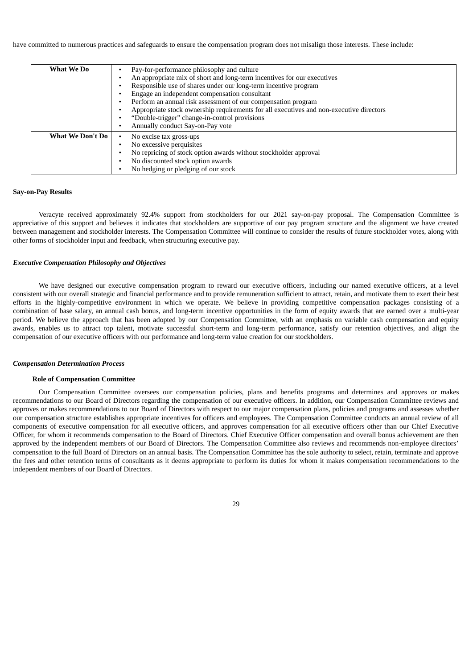have committed to numerous practices and safeguards to ensure the compensation program does not misalign those interests. These include:

| What We Do              | Pay-for-performance philosophy and culture<br>An appropriate mix of short and long-term incentives for our executives<br>Responsible use of shares under our long-term incentive program<br>Engage an independent compensation consultant<br>Perform an annual risk assessment of our compensation program<br>Appropriate stock ownership requirements for all executives and non-executive directors<br>"Double-trigger" change-in-control provisions<br>Annually conduct Say-on-Pay vote |
|-------------------------|--------------------------------------------------------------------------------------------------------------------------------------------------------------------------------------------------------------------------------------------------------------------------------------------------------------------------------------------------------------------------------------------------------------------------------------------------------------------------------------------|
| <b>What We Don't Do</b> | No excise tax gross-ups<br>No excessive perquisites<br>No repricing of stock option awards without stockholder approval<br>No discounted stock option awards<br>No hedging or pledging of our stock                                                                                                                                                                                                                                                                                        |

#### **Say-on-Pay Results**

Veracyte received approximately 92.4% support from stockholders for our 2021 say-on-pay proposal. The Compensation Committee is appreciative of this support and believes it indicates that stockholders are supportive of our pay program structure and the alignment we have created between management and stockholder interests. The Compensation Committee will continue to consider the results of future stockholder votes, along with other forms of stockholder input and feedback, when structuring executive pay.

#### *Executive Compensation Philosophy and Objectives*

We have designed our executive compensation program to reward our executive officers, including our named executive officers, at a level consistent with our overall strategic and financial performance and to provide remuneration sufficient to attract, retain, and motivate them to exert their best efforts in the highly-competitive environment in which we operate. We believe in providing competitive compensation packages consisting of a combination of base salary, an annual cash bonus, and long-term incentive opportunities in the form of equity awards that are earned over a multi-year period. We believe the approach that has been adopted by our Compensation Committee, with an emphasis on variable cash compensation and equity awards, enables us to attract top talent, motivate successful short-term and long-term performance, satisfy our retention objectives, and align the compensation of our executive officers with our performance and long-term value creation for our stockholders.

## *Compensation Determination Process*

## **Role of Compensation Committee**

Our Compensation Committee oversees our compensation policies, plans and benefits programs and determines and approves or makes recommendations to our Board of Directors regarding the compensation of our executive officers. In addition, our Compensation Committee reviews and approves or makes recommendations to our Board of Directors with respect to our major compensation plans, policies and programs and assesses whether our compensation structure establishes appropriate incentives for officers and employees. The Compensation Committee conducts an annual review of all components of executive compensation for all executive officers, and approves compensation for all executive officers other than our Chief Executive Officer, for whom it recommends compensation to the Board of Directors. Chief Executive Officer compensation and overall bonus achievement are then approved by the independent members of our Board of Directors. The Compensation Committee also reviews and recommends non-employee directors' compensation to the full Board of Directors on an annual basis. The Compensation Committee has the sole authority to select, retain, terminate and approve the fees and other retention terms of consultants as it deems appropriate to perform its duties for whom it makes compensation recommendations to the independent members of our Board of Directors.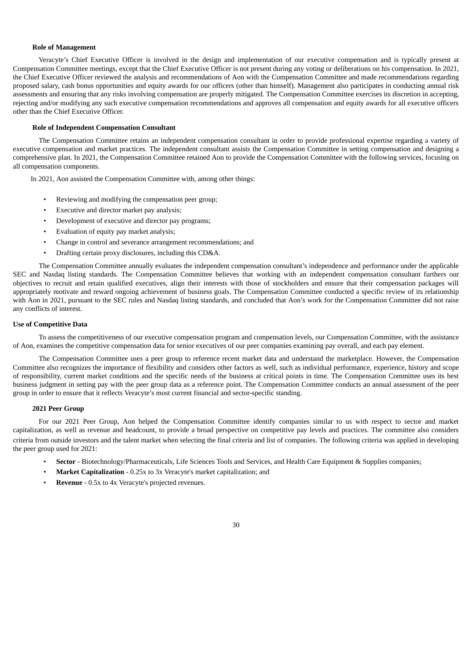## **Role of Management**

Veracyte's Chief Executive Officer is involved in the design and implementation of our executive compensation and is typically present at Compensation Committee meetings, except that the Chief Executive Officer is not present during any voting or deliberations on his compensation. In 2021, the Chief Executive Officer reviewed the analysis and recommendations of Aon with the Compensation Committee and made recommendations regarding proposed salary, cash bonus opportunities and equity awards for our officers (other than himself). Management also participates in conducting annual risk assessments and ensuring that any risks involving compensation are properly mitigated. The Compensation Committee exercises its discretion in accepting, rejecting and/or modifying any such executive compensation recommendations and approves all compensation and equity awards for all executive officers other than the Chief Executive Officer.

## **Role of Independent Compensation Consultant**

The Compensation Committee retains an independent compensation consultant in order to provide professional expertise regarding a variety of executive compensation and market practices. The independent consultant assists the Compensation Committee in setting compensation and designing a comprehensive plan. In 2021, the Compensation Committee retained Aon to provide the Compensation Committee with the following services, focusing on all compensation components.

In 2021, Aon assisted the Compensation Committee with, among other things:

- Reviewing and modifying the compensation peer group;
- Executive and director market pay analysis;
- Development of executive and director pay programs;
- Evaluation of equity pay market analysis;
- Change in control and severance arrangement recommendations; and
- Drafting certain proxy disclosures, including this CD&A.

The Compensation Committee annually evaluates the independent compensation consultant's independence and performance under the applicable SEC and Nasdaq listing standards. The Compensation Committee believes that working with an independent compensation consultant furthers our objectives to recruit and retain qualified executives, align their interests with those of stockholders and ensure that their compensation packages will appropriately motivate and reward ongoing achievement of business goals. The Compensation Committee conducted a specific review of its relationship with Aon in 2021, pursuant to the SEC rules and Nasdaq listing standards, and concluded that Aon's work for the Compensation Committee did not raise any conflicts of interest.

## **Use of Competitive Data**

To assess the competitiveness of our executive compensation program and compensation levels, our Compensation Committee, with the assistance of Aon, examines the competitive compensation data for senior executives of our peer companies examining pay overall, and each pay element.

The Compensation Committee uses a peer group to reference recent market data and understand the marketplace. However, the Compensation Committee also recognizes the importance of flexibility and considers other factors as well, such as individual performance, experience, history and scope of responsibility, current market conditions and the specific needs of the business at critical points in time. The Compensation Committee uses its best business judgment in setting pay with the peer group data as a reference point. The Compensation Committee conducts an annual assessment of the peer group in order to ensure that it reflects Veracyte's most current financial and sector-specific standing.

## **2021 Peer Group**

For our 2021 Peer Group, Aon helped the Compensation Committee identify companies similar to us with respect to sector and market capitalization, as well as revenue and headcount, to provide a broad perspective on competitive pay levels and practices. The committee also considers criteria from outside investors and the talent market when selecting the final criteria and list of companies. The following criteria was applied in developing the peer group used for 2021:

- **Sector** Biotechnology/Pharmaceuticals, Life Sciences Tools and Services, and Health Care Equipment & Supplies companies;
- **Market Capitalization** 0.25x to 3x Veracyte's market capitalization; and
- **Revenue** 0.5x to 4x Veracyte's projected revenues.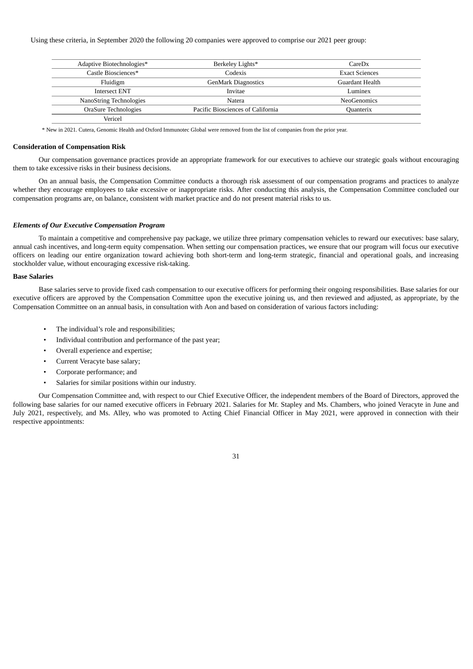Using these criteria, in September 2020 the following 20 companies were approved to comprise our 2021 peer group:

| Adaptive Biotechnologies* | Berkeley Lights*                  | CareDx                |
|---------------------------|-----------------------------------|-----------------------|
| Castle Biosciences*       | Codexis                           | <b>Exact Sciences</b> |
| Fluidigm                  | <b>GenMark Diagnostics</b>        | Guardant Health       |
| <b>Intersect ENT</b>      | <b>Invitae</b>                    | Luminex               |
| NanoString Technologies   | Natera                            | NeoGenomics           |
| OraSure Technologies      | Pacific Biosciences of California | Quanterix             |
| Vericel                   |                                   |                       |

\* New in 2021. Cutera, Genomic Health and Oxford Immunotec Global were removed from the list of companies from the prior year.

#### **Consideration of Compensation Risk**

Our compensation governance practices provide an appropriate framework for our executives to achieve our strategic goals without encouraging them to take excessive risks in their business decisions.

On an annual basis, the Compensation Committee conducts a thorough risk assessment of our compensation programs and practices to analyze whether they encourage employees to take excessive or inappropriate risks. After conducting this analysis, the Compensation Committee concluded our compensation programs are, on balance, consistent with market practice and do not present material risks to us.

## *Elements of Our Executive Compensation Program*

To maintain a competitive and comprehensive pay package, we utilize three primary compensation vehicles to reward our executives: base salary, annual cash incentives, and long-term equity compensation. When setting our compensation practices, we ensure that our program will focus our executive officers on leading our entire organization toward achieving both short-term and long-term strategic, financial and operational goals, and increasing stockholder value, without encouraging excessive risk-taking.

## **Base Salaries**

Base salaries serve to provide fixed cash compensation to our executive officers for performing their ongoing responsibilities. Base salaries for our executive officers are approved by the Compensation Committee upon the executive joining us, and then reviewed and adjusted, as appropriate, by the Compensation Committee on an annual basis, in consultation with Aon and based on consideration of various factors including:

- The individual's role and responsibilities;
- Individual contribution and performance of the past year;
- Overall experience and expertise;
- Current Veracyte base salary;
- Corporate performance; and
- Salaries for similar positions within our industry.

Our Compensation Committee and, with respect to our Chief Executive Officer, the independent members of the Board of Directors, approved the following base salaries for our named executive officers in February 2021. Salaries for Mr. Stapley and Ms. Chambers, who joined Veracyte in June and July 2021, respectively, and Ms. Alley, who was promoted to Acting Chief Financial Officer in May 2021, were approved in connection with their respective appointments: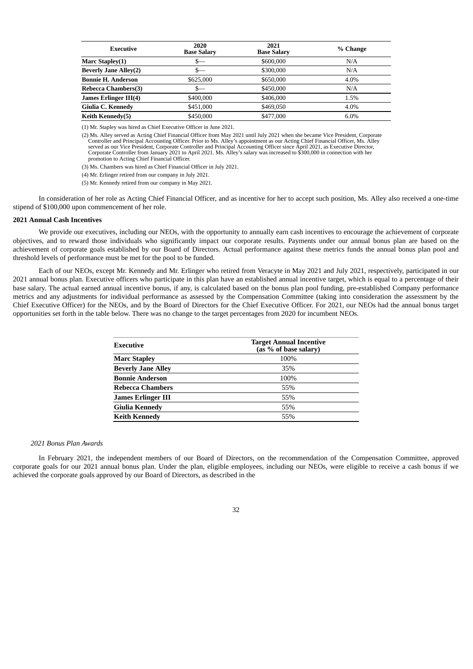| Executive                    | 2020<br><b>Base Salary</b> | 2021<br><b>Base Salary</b> | % Change |
|------------------------------|----------------------------|----------------------------|----------|
| Marc Stapley(1)              | S—                         | \$600,000                  | N/A      |
| <b>Beverly Jane Alley(2)</b> | S—                         | \$300,000                  | N/A      |
| <b>Bonnie H. Anderson</b>    | \$625,000                  | \$650,000                  | 4.0%     |
| <b>Rebecca Chambers(3)</b>   |                            | \$450,000                  | N/A      |
| James Erlinger III(4)        | \$400,000                  | \$406,000                  | 1.5%     |
| Giulia C. Kennedy            | \$451,000                  | \$469,050                  | 4.0%     |
| <b>Keith Kennedy(5)</b>      | \$450,000                  | \$477,000                  | 6.0%     |

(1) Mr. Stapley was hired as Chief Executive Officer in June 2021.

(2) Ms. Alley served as Acting Chief Financial Officer from May 2021 until July 2021 when she became Vice President, Corporate Controller and Principal Accounting Officer. Prior to Ms. Alley's appointment as our Acting Chief Financial Officer, Ms. Alley served as our Vice President, Corporate Controller and Principal Accounting Officer since April 2021, as Executive Director, Corporate Controller from January 2021 to April 2021. Ms. Alley's salary was increased to \$300,000 in connection with her promotion to Acting Chief Financial Officer.

(3) Ms. Chambers was hired as Chief Financial Officer in July 2021.

(4) Mr. Erlinger retired from our company in July 2021.

(5) Mr. Kennedy retired from our company in May 2021.

In consideration of her role as Acting Chief Financial Officer, and as incentive for her to accept such position, Ms. Alley also received a one-time stipend of \$100,000 upon commencement of her role.

#### **2021 Annual Cash Incentives**

We provide our executives, including our NEOs, with the opportunity to annually earn cash incentives to encourage the achievement of corporate objectives, and to reward those individuals who significantly impact our corporate results. Payments under our annual bonus plan are based on the achievement of corporate goals established by our Board of Directors. Actual performance against these metrics funds the annual bonus plan pool and threshold levels of performance must be met for the pool to be funded.

Each of our NEOs, except Mr. Kennedy and Mr. Erlinger who retired from Veracyte in May 2021 and July 2021, respectively, participated in our 2021 annual bonus plan. Executive officers who participate in this plan have an established annual incentive target, which is equal to a percentage of their base salary. The actual earned annual incentive bonus, if any, is calculated based on the bonus plan pool funding, pre-established Company performance metrics and any adjustments for individual performance as assessed by the Compensation Committee (taking into consideration the assessment by the Chief Executive Officer) for the NEOs, and by the Board of Directors for the Chief Executive Officer. For 2021, our NEOs had the annual bonus target opportunities set forth in the table below. There was no change to the target percentages from 2020 for incumbent NEOs.

| Executive                 | <b>Target Annual Incentive</b><br>(as % of base salary) |
|---------------------------|---------------------------------------------------------|
| <b>Marc Stapley</b>       | 100%                                                    |
| <b>Beverly Jane Alley</b> | 35%                                                     |
| <b>Bonnie Anderson</b>    | 100%                                                    |
| <b>Rebecca Chambers</b>   | 55%                                                     |
| <b>James Erlinger III</b> | 55%                                                     |
| Giulia Kennedy            | 55%                                                     |
| <b>Keith Kennedy</b>      | 55%                                                     |

#### *2021 Bonus Plan Awards*

In February 2021, the independent members of our Board of Directors, on the recommendation of the Compensation Committee, approved corporate goals for our 2021 annual bonus plan. Under the plan, eligible employees, including our NEOs, were eligible to receive a cash bonus if we achieved the corporate goals approved by our Board of Directors, as described in the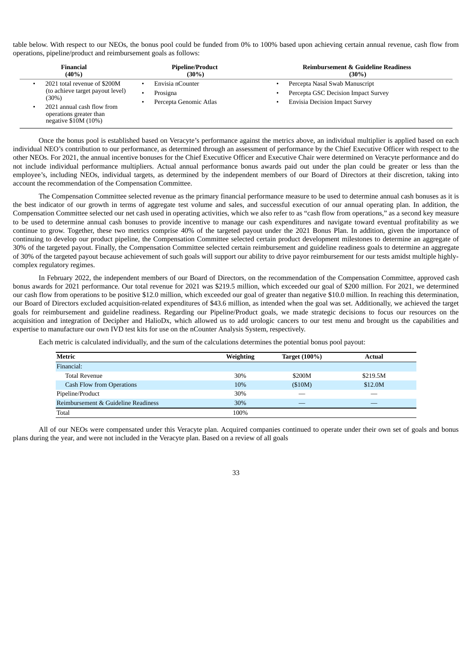table below. With respect to our NEOs, the bonus pool could be funded from 0% to 100% based upon achieving certain annual revenue, cash flow from operations, pipeline/product and reimbursement goals as follows:

| Financial                                                                                                                                                   | <b>Pipeline/Product</b>                                     | <b>Reimbursement &amp; Guideline Readiness</b>                                                                 |
|-------------------------------------------------------------------------------------------------------------------------------------------------------------|-------------------------------------------------------------|----------------------------------------------------------------------------------------------------------------|
| $(40\%)$                                                                                                                                                    | $(30\%)$                                                    | $(30\%)$                                                                                                       |
| 2021 total revenue of \$200M<br>(to achieve target payout level)<br>(30%)<br>2021 annual cash flow from<br>operations greater than<br>negative $$10M (10%)$ | Envisia nCounter<br>Prosigna<br>٠<br>Percepta Genomic Atlas | Percepta Nasal Swab Manuscript<br>Percepta GSC Decision Impact Survey<br><b>Envisia Decision Impact Survey</b> |

Once the bonus pool is established based on Veracyte's performance against the metrics above, an individual multiplier is applied based on each individual NEO's contribution to our performance, as determined through an assessment of performance by the Chief Executive Officer with respect to the other NEOs. For 2021, the annual incentive bonuses for the Chief Executive Officer and Executive Chair were determined on Veracyte performance and do not include individual performance multipliers. Actual annual performance bonus awards paid out under the plan could be greater or less than the employee's, including NEOs, individual targets, as determined by the independent members of our Board of Directors at their discretion, taking into account the recommendation of the Compensation Committee.

The Compensation Committee selected revenue as the primary financial performance measure to be used to determine annual cash bonuses as it is the best indicator of our growth in terms of aggregate test volume and sales, and successful execution of our annual operating plan. In addition, the Compensation Committee selected our net cash used in operating activities, which we also refer to as "cash flow from operations," as a second key measure to be used to determine annual cash bonuses to provide incentive to manage our cash expenditures and navigate toward eventual profitability as we continue to grow. Together, these two metrics comprise 40% of the targeted payout under the 2021 Bonus Plan. In addition, given the importance of continuing to develop our product pipeline, the Compensation Committee selected certain product development milestones to determine an aggregate of 30% of the targeted payout. Finally, the Compensation Committee selected certain reimbursement and guideline readiness goals to determine an aggregate of 30% of the targeted payout because achievement of such goals will support our ability to drive payor reimbursement for our tests amidst multiple highlycomplex regulatory regimes.

In February 2022, the independent members of our Board of Directors, on the recommendation of the Compensation Committee, approved cash bonus awards for 2021 performance. Our total revenue for 2021 was \$219.5 million, which exceeded our goal of \$200 million. For 2021, we determined our cash flow from operations to be positive \$12.0 million, which exceeded our goal of greater than negative \$10.0 million. In reaching this determination, our Board of Directors excluded acquisition-related expenditures of \$43.6 million, as intended when the goal was set. Additionally, we achieved the target goals for reimbursement and guideline readiness. Regarding our Pipeline/Product goals, we made strategic decisions to focus our resources on the acquisition and integration of Decipher and HalioDx, which allowed us to add urologic cancers to our test menu and brought us the capabilities and expertise to manufacture our own IVD test kits for use on the nCounter Analysis System, respectively.

Each metric is calculated individually, and the sum of the calculations determines the potential bonus pool payout:

| Metric                              | <b>Weighting</b> | <b>Target (100%)</b> | Actual   |  |
|-------------------------------------|------------------|----------------------|----------|--|
| Financial:                          |                  |                      |          |  |
| Total Revenue                       | 30%              | \$200M               | \$219.5M |  |
| <b>Cash Flow from Operations</b>    | 10%              | (\$10M)              | \$12.0M  |  |
| Pipeline/Product                    | 30%              |                      |          |  |
| Reimbursement & Guideline Readiness | 30%              |                      |          |  |
| Total                               | 100%             |                      |          |  |

All of our NEOs were compensated under this Veracyte plan. Acquired companies continued to operate under their own set of goals and bonus plans during the year, and were not included in the Veracyte plan. Based on a review of all goals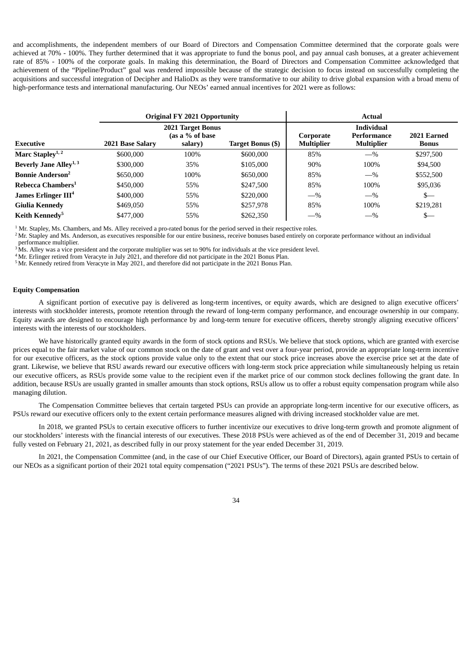and accomplishments, the independent members of our Board of Directors and Compensation Committee determined that the corporate goals were achieved at 70% - 100%. They further determined that it was appropriate to fund the bonus pool, and pay annual cash bonuses, at a greater achievement rate of 85% - 100% of the corporate goals. In making this determination, the Board of Directors and Compensation Committee acknowledged that achievement of the "Pipeline/Product" goal was rendered impossible because of the strategic decision to focus instead on successfully completing the acquisitions and successful integration of Decipher and HalioDx as they were transformative to our ability to drive global expansion with a broad menu of high-performance tests and international manufacturing. Our NEOs' earned annual incentives for 2021 were as follows:

|                                    |                  | <b>Original FY 2021 Opportunity</b>                    |                   | Actual                         |                                                       |                             |  |
|------------------------------------|------------------|--------------------------------------------------------|-------------------|--------------------------------|-------------------------------------------------------|-----------------------------|--|
| Executive                          | 2021 Base Salary | <b>2021 Target Bonus</b><br>(as a % of base<br>salary) | Target Bonus (\$) | Corporate<br><b>Multiplier</b> | <b>Individual</b><br>Performance<br><b>Multiplier</b> | 2021 Earned<br><b>Bonus</b> |  |
| Marc Stapley <sup>1, 2</sup>       | \$600,000        | 100%                                                   | \$600,000         | 85%                            | $-$ %                                                 | \$297,500                   |  |
| Beverly Jane Alley <sup>1, 3</sup> | \$300,000        | 35%                                                    | \$105,000         | 90%                            | 100%                                                  | \$94,500                    |  |
| <b>Bonnie Anderson<sup>2</sup></b> | \$650,000        | 100%                                                   | \$650,000         | 85%                            | $-$ %                                                 | \$552,500                   |  |
| Rebecca Chambers <sup>1</sup>      | \$450,000        | 55%                                                    | \$247,500         | 85%                            | 100%                                                  | \$95,036                    |  |
| James Erlinger III <sup>4</sup>    | \$400,000        | 55%                                                    | \$220,000         | $-$ %                          | $-$ %                                                 | $S-$                        |  |
| Giulia Kennedy                     | \$469,050        | 55%                                                    | \$257,978         | 85%                            | 100%                                                  | \$219,281                   |  |
| Keith Kennedy <sup>5</sup>         | \$477,000        | 55%                                                    | \$262,350         | $-$ %                          | $-$ %                                                 | s—                          |  |

 $1$  Mr. Stapley, Ms. Chambers, and Ms. Alley received a pro-rated bonus for the period served in their respective roles.

 $^2$ Mr. Stapley and Ms. Anderson, as executives responsible for our entire business, receive bonuses based entirely on corporate performance without an individual performance multiplier.

 $3\,\rm{Ms}$ . Alley was a vice president and the corporate multiplier was set to 90% for individuals at the vice president level.

 $4$ Mr. Erlinger retired from Veracyte in July 2021, and therefore did not participate in the 2021 Bonus Plan.

 $5$  Mr. Kennedy retired from Veracyte in May 2021, and therefore did not participate in the 2021 Bonus Plan.

## **Equity Compensation**

A significant portion of executive pay is delivered as long-term incentives, or equity awards, which are designed to align executive officers' interests with stockholder interests, promote retention through the reward of long-term company performance, and encourage ownership in our company. Equity awards are designed to encourage high performance by and long-term tenure for executive officers, thereby strongly aligning executive officers' interests with the interests of our stockholders.

We have historically granted equity awards in the form of stock options and RSUs. We believe that stock options, which are granted with exercise prices equal to the fair market value of our common stock on the date of grant and vest over a four-year period, provide an appropriate long-term incentive for our executive officers, as the stock options provide value only to the extent that our stock price increases above the exercise price set at the date of grant. Likewise, we believe that RSU awards reward our executive officers with long-term stock price appreciation while simultaneously helping us retain our executive officers, as RSUs provide some value to the recipient even if the market price of our common stock declines following the grant date. In addition, because RSUs are usually granted in smaller amounts than stock options, RSUs allow us to offer a robust equity compensation program while also managing dilution.

The Compensation Committee believes that certain targeted PSUs can provide an appropriate long-term incentive for our executive officers, as PSUs reward our executive officers only to the extent certain performance measures aligned with driving increased stockholder value are met.

In 2018, we granted PSUs to certain executive officers to further incentivize our executives to drive long-term growth and promote alignment of our stockholders' interests with the financial interests of our executives. These 2018 PSUs were achieved as of the end of December 31, 2019 and became fully vested on February 21, 2021, as described fully in our proxy statement for the year ended December 31, 2019.

In 2021, the Compensation Committee (and, in the case of our Chief Executive Officer, our Board of Directors), again granted PSUs to certain of our NEOs as a significant portion of their 2021 total equity compensation ("2021 PSUs"). The terms of these 2021 PSUs are described below.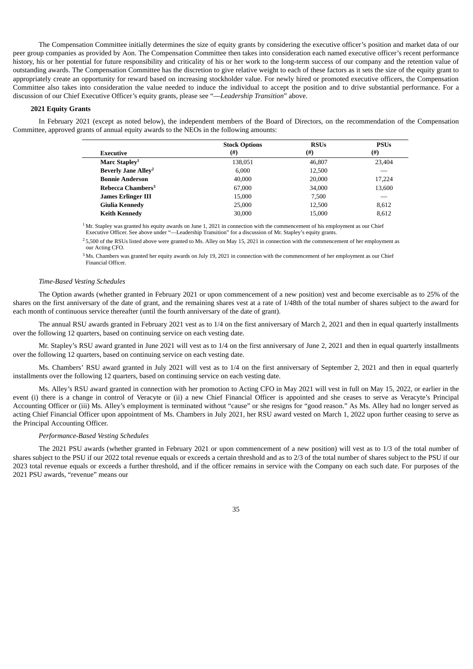The Compensation Committee initially determines the size of equity grants by considering the executive officer's position and market data of our peer group companies as provided by Aon. The Compensation Committee then takes into consideration each named executive officer's recent performance history, his or her potential for future responsibility and criticality of his or her work to the long-term success of our company and the retention value of outstanding awards. The Compensation Committee has the discretion to give relative weight to each of these factors as it sets the size of the equity grant to appropriately create an opportunity for reward based on increasing stockholder value. For newly hired or promoted executive officers, the Compensation Committee also takes into consideration the value needed to induce the individual to accept the position and to drive substantial performance. For a discussion of our Chief Executive Officer's equity grants, please see "—*Leadership Transition*" above.

## **2021 Equity Grants**

In February 2021 (except as noted below), the independent members of the Board of Directors, on the recommendation of the Compensation Committee, approved grants of annual equity awards to the NEOs in the following amounts:

|                                       | <b>Stock Options</b> | <b>RSUs</b> | <b>PSUs</b> |
|---------------------------------------|----------------------|-------------|-------------|
| <b>Executive</b>                      | (#)                  | $^{(#)}$    | (#)         |
| Marc Stapley <sup>1</sup>             | 138,051              | 46,807      | 23,404      |
| <b>Beverly Jane Alley<sup>2</sup></b> | 6,000                | 12,500      |             |
| <b>Bonnie Anderson</b>                | 40,000               | 20,000      | 17,224      |
| Rebecca Chambers <sup>3</sup>         | 67,000               | 34,000      | 13,600      |
| <b>James Erlinger III</b>             | 15,000               | 7.500       |             |
| Giulia Kennedy                        | 25,000               | 12,500      | 8,612       |
| <b>Keith Kennedy</b>                  | 30,000               | 15,000      | 8,612       |

 $1^1$ Mr. Stapley was granted his equity awards on June 1, 2021 in connection with the commencement of his employment as our Chief

Executive Officer. See above under "—Leadership Transition" for a discussion of Mr. Stapley's equity grants.

 $^{2}$  5,500 of the RSUs listed above were granted to Ms. Alley on May 15, 2021 in connection with the commencement of her employment as our Acting CFO.

 $3$  Ms. Chambers was granted her equity awards on July 19, 2021 in connection with the commencement of her employment as our Chief Financial Officer.

# *Time-Based Vesting Schedules*

The Option awards (whether granted in February 2021 or upon commencement of a new position) vest and become exercisable as to 25% of the shares on the first anniversary of the date of grant, and the remaining shares vest at a rate of 1/48th of the total number of shares subject to the award for each month of continuous service thereafter (until the fourth anniversary of the date of grant).

The annual RSU awards granted in February 2021 vest as to 1/4 on the first anniversary of March 2, 2021 and then in equal quarterly installments over the following 12 quarters, based on continuing service on each vesting date.

Mr. Stapley's RSU award granted in June 2021 will vest as to 1/4 on the first anniversary of June 2, 2021 and then in equal quarterly installments over the following 12 quarters, based on continuing service on each vesting date.

Ms. Chambers' RSU award granted in July 2021 will vest as to 1/4 on the first anniversary of September 2, 2021 and then in equal quarterly installments over the following 12 quarters, based on continuing service on each vesting date.

Ms. Alley's RSU award granted in connection with her promotion to Acting CFO in May 2021 will vest in full on May 15, 2022, or earlier in the event (i) there is a change in control of Veracyte or (ii) a new Chief Financial Officer is appointed and she ceases to serve as Veracyte's Principal Accounting Officer or (iii) Ms. Alley's employment is terminated without "cause" or she resigns for "good reason." As Ms. Alley had no longer served as acting Chief Financial Officer upon appointment of Ms. Chambers in July 2021, her RSU award vested on March 1, 2022 upon further ceasing to serve as the Principal Accounting Officer.

# *Performance-Based Vesting Schedules*

The 2021 PSU awards (whether granted in February 2021 or upon commencement of a new position) will vest as to 1/3 of the total number of shares subject to the PSU if our 2022 total revenue equals or exceeds a certain threshold and as to 2/3 of the total number of shares subject to the PSU if our 2023 total revenue equals or exceeds a further threshold, and if the officer remains in service with the Company on each such date. For purposes of the 2021 PSU awards, "revenue" means our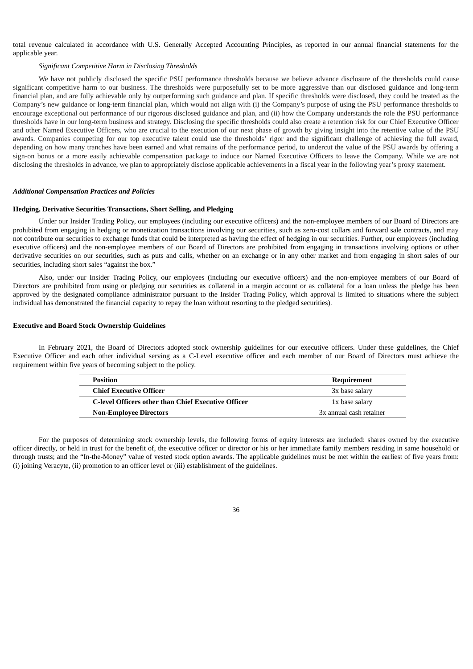total revenue calculated in accordance with U.S. Generally Accepted Accounting Principles, as reported in our annual financial statements for the applicable year.

## *Significant Competitive Harm in Disclosing Thresholds*

We have not publicly disclosed the specific PSU performance thresholds because we believe advance disclosure of the thresholds could cause significant competitive harm to our business. The thresholds were purposefully set to be more aggressive than our disclosed guidance and long-term financial plan, and are fully achievable only by outperforming such guidance and plan. If specific thresholds were disclosed, they could be treated as the Company's new guidance or long-term financial plan, which would not align with (i) the Company's purpose of using the PSU performance thresholds to encourage exceptional out performance of our rigorous disclosed guidance and plan, and (ii) how the Company understands the role the PSU performance thresholds have in our long-term business and strategy. Disclosing the specific thresholds could also create a retention risk for our Chief Executive Officer and other Named Executive Officers, who are crucial to the execution of our next phase of growth by giving insight into the retentive value of the PSU awards. Companies competing for our top executive talent could use the thresholds' rigor and the significant challenge of achieving the full award, depending on how many tranches have been earned and what remains of the performance period, to undercut the value of the PSU awards by offering a sign-on bonus or a more easily achievable compensation package to induce our Named Executive Officers to leave the Company. While we are not disclosing the thresholds in advance, we plan to appropriately disclose applicable achievements in a fiscal year in the following year's proxy statement.

#### *Additional Compensation Practices and Policies*

#### **Hedging, Derivative Securities Transactions, Short Selling, and Pledging**

Under our Insider Trading Policy, our employees (including our executive officers) and the non-employee members of our Board of Directors are prohibited from engaging in hedging or monetization transactions involving our securities, such as zero-cost collars and forward sale contracts, and may not contribute our securities to exchange funds that could be interpreted as having the effect of hedging in our securities. Further, our employees (including executive officers) and the non-employee members of our Board of Directors are prohibited from engaging in transactions involving options or other derivative securities on our securities, such as puts and calls, whether on an exchange or in any other market and from engaging in short sales of our securities, including short sales "against the box."

Also, under our Insider Trading Policy, our employees (including our executive officers) and the non-employee members of our Board of Directors are prohibited from using or pledging our securities as collateral in a margin account or as collateral for a loan unless the pledge has been approved by the designated compliance administrator pursuant to the Insider Trading Policy, which approval is limited to situations where the subject individual has demonstrated the financial capacity to repay the loan without resorting to the pledged securities).

## **Executive and Board Stock Ownership Guidelines**

In February 2021, the Board of Directors adopted stock ownership guidelines for our executive officers. Under these guidelines, the Chief Executive Officer and each other individual serving as a C-Level executive officer and each member of our Board of Directors must achieve the requirement within five years of becoming subject to the policy.

| <b>Position</b>                                     | Requirement             |
|-----------------------------------------------------|-------------------------|
| <b>Chief Executive Officer</b>                      | 3x base salary          |
| C-level Officers other than Chief Executive Officer | 1x base salary          |
| <b>Non-Employee Directors</b>                       | 3x annual cash retainer |

For the purposes of determining stock ownership levels, the following forms of equity interests are included: shares owned by the executive officer directly, or held in trust for the benefit of, the executive officer or director or his or her immediate family members residing in same household or through trusts; and the "In-the-Money" value of vested stock option awards. The applicable guidelines must be met within the earliest of five years from: (i) joining Veracyte, (ii) promotion to an officer level or (iii) establishment of the guidelines.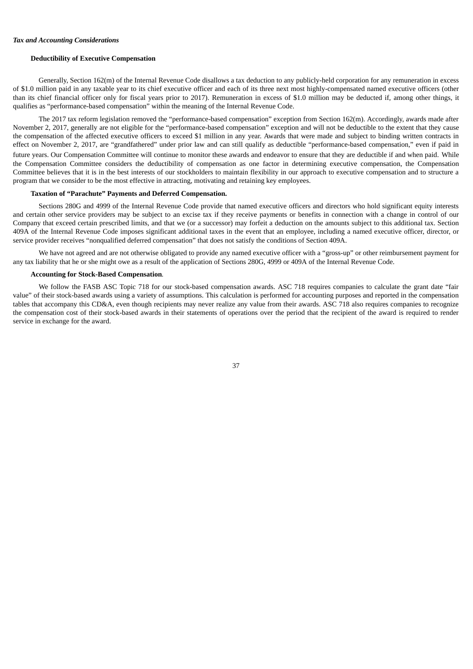## *Tax and Accounting Considerations*

## **Deductibility of Executive Compensation**

Generally, Section 162(m) of the Internal Revenue Code disallows a tax deduction to any publicly-held corporation for any remuneration in excess of \$1.0 million paid in any taxable year to its chief executive officer and each of its three next most highly-compensated named executive officers (other than its chief financial officer only for fiscal years prior to 2017). Remuneration in excess of \$1.0 million may be deducted if, among other things, it qualifies as "performance-based compensation" within the meaning of the Internal Revenue Code.

The 2017 tax reform legislation removed the "performance-based compensation" exception from Section 162(m). Accordingly, awards made after November 2, 2017, generally are not eligible for the "performance-based compensation" exception and will not be deductible to the extent that they cause the compensation of the affected executive officers to exceed \$1 million in any year. Awards that were made and subject to binding written contracts in effect on November 2, 2017, are "grandfathered" under prior law and can still qualify as deductible "performance-based compensation," even if paid in future years. Our Compensation Committee will continue to monitor these awards and endeavor to ensure that they are deductible if and when paid. While the Compensation Committee considers the deductibility of compensation as one factor in determining executive compensation, the Compensation Committee believes that it is in the best interests of our stockholders to maintain flexibility in our approach to executive compensation and to structure a program that we consider to be the most effective in attracting, motivating and retaining key employees.

#### **Taxation of "Parachute" Payments and Deferred Compensation.**

Sections 280G and 4999 of the Internal Revenue Code provide that named executive officers and directors who hold significant equity interests and certain other service providers may be subject to an excise tax if they receive payments or benefits in connection with a change in control of our Company that exceed certain prescribed limits, and that we (or a successor) may forfeit a deduction on the amounts subject to this additional tax. Section 409A of the Internal Revenue Code imposes significant additional taxes in the event that an employee, including a named executive officer, director, or service provider receives "nonqualified deferred compensation" that does not satisfy the conditions of Section 409A.

We have not agreed and are not otherwise obligated to provide any named executive officer with a "gross-up" or other reimbursement payment for any tax liability that he or she might owe as a result of the application of Sections 280G, 4999 or 409A of the Internal Revenue Code.

## **Accounting for Stock-Based Compensation***.*

We follow the FASB ASC Topic 718 for our stock-based compensation awards. ASC 718 requires companies to calculate the grant date "fair value" of their stock-based awards using a variety of assumptions. This calculation is performed for accounting purposes and reported in the compensation tables that accompany this CD&A, even though recipients may never realize any value from their awards. ASC 718 also requires companies to recognize the compensation cost of their stock-based awards in their statements of operations over the period that the recipient of the award is required to render service in exchange for the award.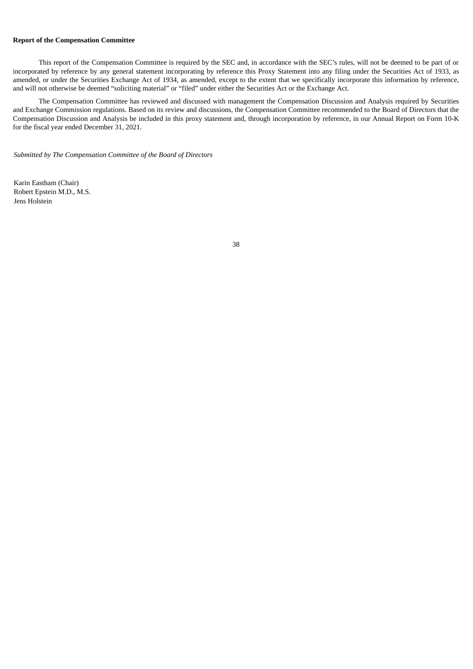## **Report of the Compensation Committee**

This report of the Compensation Committee is required by the SEC and, in accordance with the SEC's rules, will not be deemed to be part of or incorporated by reference by any general statement incorporating by reference this Proxy Statement into any filing under the Securities Act of 1933, as amended, or under the Securities Exchange Act of 1934, as amended, except to the extent that we specifically incorporate this information by reference, and will not otherwise be deemed "soliciting material" or "filed" under either the Securities Act or the Exchange Act.

The Compensation Committee has reviewed and discussed with management the Compensation Discussion and Analysis required by Securities and Exchange Commission regulations. Based on its review and discussions, the Compensation Committee recommended to the Board of Directors that the Compensation Discussion and Analysis be included in this proxy statement and, through incorporation by reference, in our Annual Report on Form 10-K for the fiscal year ended December 31, 2021.

*Submitted by The Compensation Committee of the Board of Directors*

Karin Eastham (Chair) Robert Epstein M.D., M.S. Jens Holstein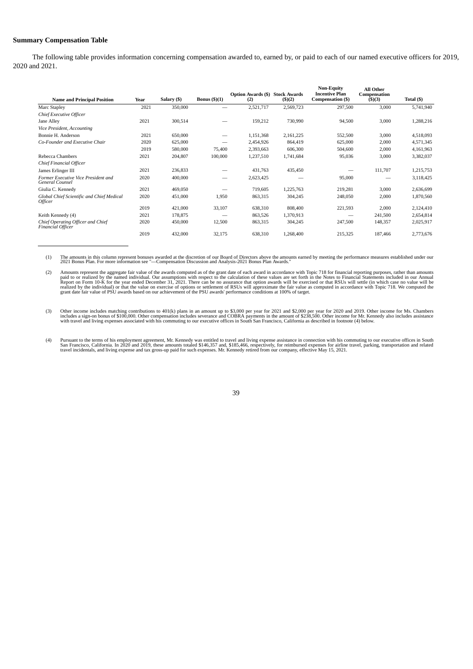## **Summary Compensation Table**

The following table provides information concerning compensation awarded to, earned by, or paid to each of our named executive officers for 2019, 2020 and 2021.

| <b>Name and Principal Position</b>                            | Year | Salary (\$) | Bonus $($ )(1)           | <b>Option Awards (\$)</b><br>(2) | <b>Stock Awards</b><br>(5)(2) | <b>Non-Equity</b><br><b>Incentive Plan</b><br>Compensation (\$) | <b>All Other</b><br>Compensation<br>(S)(3) | Total (\$) |
|---------------------------------------------------------------|------|-------------|--------------------------|----------------------------------|-------------------------------|-----------------------------------------------------------------|--------------------------------------------|------------|
| Marc Stapley                                                  | 2021 | 350,000     |                          | 2,521,717                        | 2,569,723                     | 297,500                                                         | 3,000                                      | 5,741,940  |
| Chief Executive Officer                                       |      |             |                          |                                  |                               |                                                                 |                                            |            |
| Jane Alley                                                    | 2021 | 300,514     |                          | 159,212                          | 730,990                       | 94,500                                                          | 3,000                                      | 1,288,216  |
| Vice President, Accounting                                    |      |             |                          |                                  |                               |                                                                 |                                            |            |
| Bonnie H. Anderson                                            | 2021 | 650,000     |                          | 1,151,368                        | 2,161,225                     | 552,500                                                         | 3,000                                      | 4,518,093  |
| Co-Founder and Executive Chair                                | 2020 | 625,000     | -                        | 2,454,926                        | 864,419                       | 625,000                                                         | 2,000                                      | 4,571,345  |
|                                                               | 2019 | 580,000     | 75,400                   | 2,393,663                        | 606,300                       | 504,600                                                         | 2,000                                      | 4,161,963  |
| Rebecca Chambers                                              | 2021 | 204,807     | 100,000                  | 1,237,510                        | 1,741,684                     | 95,036                                                          | 3,000                                      | 3,382,037  |
| Chief Financial Officer                                       |      |             |                          |                                  |                               |                                                                 |                                            |            |
| James Erlinger III                                            | 2021 | 236,833     |                          | 431,763                          | 435,450                       |                                                                 | 111,707                                    | 1,215,753  |
| Former Executive Vice President and<br>General Counsel        | 2020 | 400,000     | $\overline{\phantom{a}}$ | 2,623,425                        |                               | 95,000                                                          | -                                          | 3,118,425  |
| Giulia C. Kennedy                                             | 2021 | 469,050     |                          | 719,605                          | 1,225,763                     | 219,281                                                         | 3,000                                      | 2,636,699  |
| Global Chief Scientific and Chief Medical<br>Officer          | 2020 | 451,000     | 1,950                    | 863,315                          | 304,245                       | 248,050                                                         | 2,000                                      | 1,870,560  |
|                                                               | 2019 | 421,000     | 33,107                   | 638,310                          | 808,400                       | 221,593                                                         | 2,000                                      | 2,124,410  |
| Keith Kennedy (4)                                             | 2021 | 178,875     |                          | 863,526                          | 1,370,913                     |                                                                 | 241,500                                    | 2,654,814  |
| Chief Operating Officer and Chief<br><b>Financial Officer</b> | 2020 | 450,000     | 12,500                   | 863,315                          | 304,245                       | 247,500                                                         | 148,357                                    | 2,025,917  |
|                                                               | 2019 | 432,000     | 32,175                   | 638,310                          | 1,268,400                     | 215,325                                                         | 187,466                                    | 2,773,676  |

(1) The amounts in this column represent bonuses awarded at the discretion of our Board of Directors above the amounts earned by meeting the performance measures established under our 2021 Bonus Plan. For more information

(2) Amounts represent the aggregate fair value of the awards computed as of the grant date of each award in accordance with Topic 718 for financial reporting purposes, rather than amounts paid to or realized by the named individual. Our assumptions with respect to the calculation of these values are set forth in the Notes to Financial Statements included in our Annual<br>Report on Form 10-K for the year ended

(3) Other income includes matching contributions to 401(k) plans in an amount up to \$3,000 per year for 2021 and \$2,000 per year for 2020 and 2019. Other income for Ms. Chambers<br>includes a sign-on bonus of \$100,000. Other

(4) Pursuant to the terms of his employment agreement, Mr. Kennedy was entitled to travel and living expense assistance in connection with his commuting to our executive offices in South<br>San Francisco, California. In 2020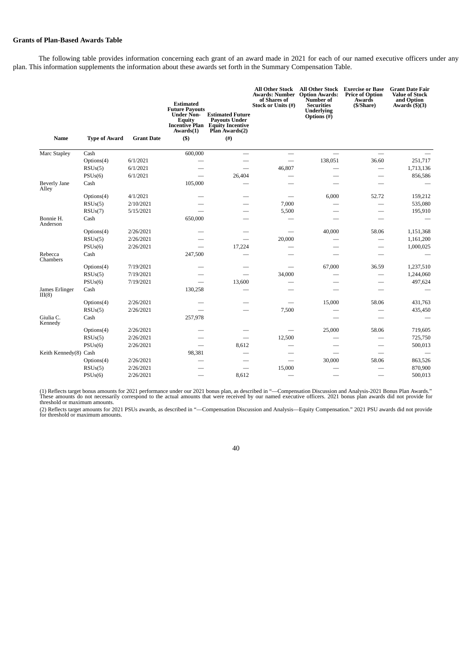# **Grants of Plan-Based Awards Table**

The following table provides information concerning each grant of an award made in 2021 for each of our named executive officers under any plan. This information supplements the information about these awards set forth in the Summary Compensation Table.

| Name                         | <b>Type of Award</b> | <b>Grant Date</b> | <b>Estimated</b><br><b>Future Payouts</b><br><b>Under Non-</b><br><b>Equity</b><br>Awards(1)<br>$($ \$ | <b>Estimated Future</b><br><b>Pavouts Under</b><br><b>Incentive Plan Equity Incentive</b><br>Plan Awards(2)<br>$($ # $)$ | All Other Stock<br><b>Awards: Number Option Awards:</b><br>of Shares of<br>Stock or Units (#) | <b>All Other Stock</b><br>Number of<br><b>Securities</b><br><b>Underlying</b><br>Options $(H)$ | <b>Exercise or Base</b><br><b>Price of Option</b><br>Awards<br>(\$/Share) | <b>Grant Date Fair</b><br><b>Value of Stock</b><br>and Option<br>Awards $(\frac{5}{3})$ |
|------------------------------|----------------------|-------------------|--------------------------------------------------------------------------------------------------------|--------------------------------------------------------------------------------------------------------------------------|-----------------------------------------------------------------------------------------------|------------------------------------------------------------------------------------------------|---------------------------------------------------------------------------|-----------------------------------------------------------------------------------------|
| Marc Stapley                 | Cash                 |                   | 600,000                                                                                                |                                                                                                                          |                                                                                               | $\overline{\phantom{0}}$                                                                       | $\overline{\phantom{0}}$                                                  |                                                                                         |
|                              | Options(4)           | 6/1/2021          |                                                                                                        |                                                                                                                          |                                                                                               | 138,051                                                                                        | 36.60                                                                     | 251,717                                                                                 |
|                              | RSUs(5)              | 6/1/2021          |                                                                                                        |                                                                                                                          | 46,807                                                                                        |                                                                                                | $\overline{\phantom{0}}$                                                  | 1,713,136                                                                               |
|                              | PSUs(6)              | 6/1/2021          |                                                                                                        | 26,404                                                                                                                   |                                                                                               |                                                                                                |                                                                           | 856,586                                                                                 |
| <b>Beverly Jane</b><br>Alley | Cash                 |                   | 105,000                                                                                                |                                                                                                                          |                                                                                               |                                                                                                |                                                                           |                                                                                         |
|                              | Options(4)           | 4/1/2021          |                                                                                                        |                                                                                                                          |                                                                                               | 6,000                                                                                          | 52.72                                                                     | 159,212                                                                                 |
|                              | RSUs(5)              | 2/10/2021         |                                                                                                        |                                                                                                                          | 7,000                                                                                         |                                                                                                | $\overline{\phantom{0}}$                                                  | 535,080                                                                                 |
|                              | RSUs(7)              | 5/15/2021         |                                                                                                        |                                                                                                                          | 5,500                                                                                         |                                                                                                |                                                                           | 195,910                                                                                 |
| Bonnie H.<br>Anderson        | Cash                 |                   | 650,000                                                                                                |                                                                                                                          |                                                                                               |                                                                                                |                                                                           |                                                                                         |
|                              | Options(4)           | 2/26/2021         |                                                                                                        |                                                                                                                          |                                                                                               | 40,000                                                                                         | 58.06                                                                     | 1,151,368                                                                               |
|                              | RSUs(5)              | 2/26/2021         |                                                                                                        |                                                                                                                          | 20,000                                                                                        |                                                                                                |                                                                           | 1,161,200                                                                               |
|                              | PSUs(6)              | 2/26/2021         |                                                                                                        | 17,224                                                                                                                   |                                                                                               |                                                                                                | $\sim$                                                                    | 1,000,025                                                                               |
| Rebecca<br>Chambers          | Cash                 |                   | 247,500                                                                                                |                                                                                                                          |                                                                                               |                                                                                                |                                                                           |                                                                                         |
|                              | Options(4)           | 7/19/2021         |                                                                                                        |                                                                                                                          |                                                                                               | 67,000                                                                                         | 36.59                                                                     | 1,237,510                                                                               |
|                              | RSUs(5)              | 7/19/2021         |                                                                                                        |                                                                                                                          | 34,000                                                                                        |                                                                                                |                                                                           | 1,244,060                                                                               |
|                              | PSUs(6)              | 7/19/2021         |                                                                                                        | 13,600                                                                                                                   |                                                                                               |                                                                                                | --                                                                        | 497,624                                                                                 |
| James Erlinger<br>III(8)     | Cash                 |                   | 130,258                                                                                                |                                                                                                                          |                                                                                               |                                                                                                |                                                                           |                                                                                         |
|                              | Options(4)           | 2/26/2021         |                                                                                                        |                                                                                                                          |                                                                                               | 15,000                                                                                         | 58.06                                                                     | 431,763                                                                                 |
|                              | RSUs(5)              | 2/26/2021         |                                                                                                        |                                                                                                                          | 7,500                                                                                         |                                                                                                |                                                                           | 435,450                                                                                 |
| Giulia C.<br>Kennedy         | Cash                 |                   | 257,978                                                                                                |                                                                                                                          |                                                                                               |                                                                                                |                                                                           |                                                                                         |
|                              | Options(4)           | 2/26/2021         |                                                                                                        |                                                                                                                          |                                                                                               | 25,000                                                                                         | 58.06                                                                     | 719,605                                                                                 |
|                              | RSUs(5)              | 2/26/2021         |                                                                                                        |                                                                                                                          | 12,500                                                                                        |                                                                                                |                                                                           | 725,750                                                                                 |
|                              | PSUs(6)              | 2/26/2021         | $\sim$                                                                                                 | 8,612                                                                                                                    |                                                                                               |                                                                                                |                                                                           | 500,013                                                                                 |
| Keith Kennedy(8) Cash        |                      |                   | 98,381                                                                                                 |                                                                                                                          |                                                                                               |                                                                                                |                                                                           |                                                                                         |
|                              | Options(4)           | 2/26/2021         |                                                                                                        |                                                                                                                          |                                                                                               | 30,000                                                                                         | 58.06                                                                     | 863,526                                                                                 |
|                              | RSUs(5)              | 2/26/2021         |                                                                                                        | ÷.                                                                                                                       | 15,000                                                                                        |                                                                                                |                                                                           | 870,900                                                                                 |
|                              | PSUs(6)              | 2/26/2021         |                                                                                                        | 8,612                                                                                                                    |                                                                                               |                                                                                                |                                                                           | 500,013                                                                                 |

(1) Reflects target bonus amounts for 2021 performance under our 2021 bonus plan, as described in "—Compensation Discussion and Analysis-2021 Bonus Plan Awards."<br>These amounts do not necessarily correspond to the actual am

(2) Reflects target amounts for 2021 PSUs awards, as described in "—Compensation Discussion and Analysis—Equity Compensation." 2021 PSU awards did not provide for threshold or maximum amounts.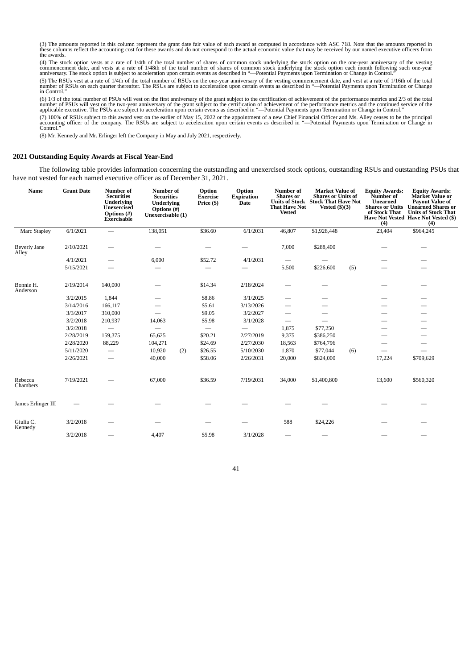(3) The amounts reported in this column represent the grant date fair value of each award as computed in accordance with ASC 718. Note that the amounts reported in<br>these columns reflect the accounting cost for these awards the awards.

(4) The stock option vests at a rate of 1/4th of the total number of shares of common stock underlying the stock option on the one-year anniversary of the vesting<br>commencement date, and vests at a rate of 1/48th of the tot

(5) The RSUs vest at a rate of 1/4th of the total number of RSUs on the one-year anniversary of the vesting commencement date, and vest at a rate of 1/16th of the total<br>number of RSUs on each quarter thereafter. The RSUs a

(6) 1/3 of the total number of PSUs will vest on the first anniversary of the grant subject to the certification of achievement of the performance metrics and 2/3 of the total<br>number of PSUs will vest on the two-year anniv (7) 100% of RSUs subject to this award vest on the earlier of May 15, 2022 or the appointment of a new Chief Financial Officer and Ms. Alley ceases to be the principal<br>accounting officer of the company. The RSUs are subjec

(8) Mr. Kennedy and Mr. Erlinger left the Company in May and July 2021, respectively.

## **2021 Outstanding Equity Awards at Fiscal Year-End**

The following table provides information concerning the outstanding and unexercised stock options, outstanding RSUs and outstanding PSUs that have not vested for each named executive officer as of December 31, 2021.

| Name                                                              | <b>Grant Date</b> | Number of<br><b>Securities</b><br><b>Underlying</b><br>Unexercised<br>Options (#)<br>Exercisable | <b>Number</b> of<br><b>Securities</b><br>Underlying<br>Options $(H)$<br>Unexercisable (1) | Option<br><b>Exercise</b><br>Price (\$) | Option<br><b>Expiration</b><br><b>Date</b> | Number of<br><b>Shares</b> or<br><b>That Have Not</b><br><b>Vested</b> | <b>Market Value of</b><br><b>Shares or Units of</b><br>Units of Stock Stock That Have Not<br>Vested $(\$)(3)$ | <b>Equity Awards:</b><br>Number of<br><b>Unearned</b><br>of Stock That<br>(4) | <b>Equity Awards:</b><br>Market Value or<br><b>Payout Value of</b><br><b>Shares or Units Unearned Shares or</b><br><b>Units of Stock That</b><br>Have Not Vested Have Not Vested (\$)<br>(4) |  |
|-------------------------------------------------------------------|-------------------|--------------------------------------------------------------------------------------------------|-------------------------------------------------------------------------------------------|-----------------------------------------|--------------------------------------------|------------------------------------------------------------------------|---------------------------------------------------------------------------------------------------------------|-------------------------------------------------------------------------------|----------------------------------------------------------------------------------------------------------------------------------------------------------------------------------------------|--|
| Marc Stapley                                                      | 6/1/2021          | $\overline{\phantom{0}}$                                                                         | 138,051                                                                                   | \$36.60                                 | 6/1/2031                                   | 46,807                                                                 | \$1,928,448                                                                                                   | 23,404                                                                        | \$964,245                                                                                                                                                                                    |  |
| <b>Beverly Jane</b><br>Alley                                      | 2/10/2021         |                                                                                                  |                                                                                           |                                         |                                            | 7,000                                                                  | \$288,400                                                                                                     |                                                                               |                                                                                                                                                                                              |  |
|                                                                   | 4/1/2021          |                                                                                                  | 6,000                                                                                     | \$52.72                                 | 4/1/2031                                   |                                                                        |                                                                                                               |                                                                               |                                                                                                                                                                                              |  |
|                                                                   | 5/15/2021         |                                                                                                  |                                                                                           |                                         |                                            | 5,500                                                                  | \$226,600<br>(5)                                                                                              |                                                                               |                                                                                                                                                                                              |  |
| Bonnie H.<br>Anderson                                             | 2/19/2014         | 140,000                                                                                          |                                                                                           | \$14.34                                 | 2/18/2024                                  |                                                                        |                                                                                                               |                                                                               |                                                                                                                                                                                              |  |
|                                                                   | 3/2/2015          | 1,844                                                                                            |                                                                                           | \$8.86                                  | 3/1/2025                                   |                                                                        |                                                                                                               |                                                                               |                                                                                                                                                                                              |  |
|                                                                   | 3/14/2016         | 166,117                                                                                          |                                                                                           | \$5.61                                  | 3/13/2026                                  |                                                                        |                                                                                                               |                                                                               |                                                                                                                                                                                              |  |
|                                                                   | 3/3/2017          | 310,000                                                                                          |                                                                                           | \$9.05                                  | 3/2/2027                                   | $\overline{\phantom{0}}$                                               |                                                                                                               |                                                                               |                                                                                                                                                                                              |  |
|                                                                   | 3/2/2018          | 210,937                                                                                          | 14,063                                                                                    | \$5.98                                  | 3/1/2028                                   | $\overline{\phantom{m}}$                                               |                                                                                                               |                                                                               | $\overline{\phantom{0}}$                                                                                                                                                                     |  |
|                                                                   | 3/2/2018          | $\overline{\phantom{m}}$                                                                         |                                                                                           |                                         |                                            | 1,875                                                                  | \$77,250                                                                                                      |                                                                               |                                                                                                                                                                                              |  |
|                                                                   | 2/28/2019         | 159,375                                                                                          | 65,625                                                                                    | \$20.21                                 | 2/27/2019                                  | 9,375                                                                  | \$386,250                                                                                                     |                                                                               |                                                                                                                                                                                              |  |
|                                                                   | 2/28/2020         | 88,229                                                                                           | 104,271                                                                                   | \$24.69                                 | 2/27/2030                                  | 18,563                                                                 | \$764,796                                                                                                     |                                                                               |                                                                                                                                                                                              |  |
|                                                                   | 5/11/2020         | $\overline{\phantom{0}}$                                                                         | 10,920<br>(2)                                                                             | \$26.55                                 | 5/10/2030                                  | 1,870                                                                  | \$77,044<br>(6)                                                                                               |                                                                               |                                                                                                                                                                                              |  |
| Rebecca<br>Chambers<br>James Erlinger III<br>Giulia C.<br>Kennedy | 2/26/2021         | $\overline{\phantom{0}}$                                                                         | 40,000                                                                                    | \$58.06                                 | 2/26/2031                                  | 20,000                                                                 | \$824,000                                                                                                     | 17,224                                                                        | \$709,629                                                                                                                                                                                    |  |
|                                                                   | 7/19/2021         |                                                                                                  | 67,000                                                                                    | \$36.59                                 | 7/19/2031                                  | 34,000                                                                 | \$1,400,800                                                                                                   | 13,600                                                                        | \$560,320                                                                                                                                                                                    |  |
|                                                                   |                   |                                                                                                  |                                                                                           |                                         |                                            |                                                                        |                                                                                                               |                                                                               |                                                                                                                                                                                              |  |
|                                                                   | 3/2/2018          |                                                                                                  |                                                                                           |                                         |                                            | 588                                                                    | \$24,226                                                                                                      |                                                                               |                                                                                                                                                                                              |  |
|                                                                   | 3/2/2018          |                                                                                                  | 4,407                                                                                     | \$5.98                                  | 3/1/2028                                   |                                                                        |                                                                                                               |                                                                               |                                                                                                                                                                                              |  |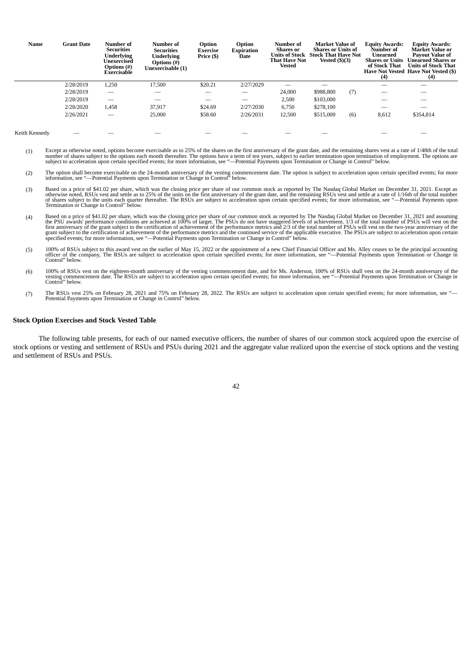| Name          | <b>Grant Date</b> | Number of<br><b>Securities</b><br>Underlving<br>Unexercised<br><b>Options</b> (#)<br>Exercisable | Number of<br><b>Securities</b><br>Underlying<br>Options (#)<br>Unexercisable (1) | Option<br><b>Exercise</b><br>Price (\$) | Option<br><b>Expiration</b><br>Date | <b>Number of</b><br><b>Shares</b> or<br>Units of Stock<br>That Have Not<br><b>Vested</b> | <b>Market Value of</b><br><b>Shares or Units of</b><br><b>Stock That Have Not</b><br>Vested $($ ) $($ 3 $)$ |     | <b>Equity Awards:</b><br>Number of<br>Unearned<br><b>Shares or Units</b><br>of Stock That<br>(4) | <b>Equity Awards:</b><br><b>Market Value or</b><br><b>Pavout Value of</b><br>Unearned Shares or<br><b>Units of Stock That</b><br>Have Not Vested Have Not Vested (\$)<br>(4) |
|---------------|-------------------|--------------------------------------------------------------------------------------------------|----------------------------------------------------------------------------------|-----------------------------------------|-------------------------------------|------------------------------------------------------------------------------------------|-------------------------------------------------------------------------------------------------------------|-----|--------------------------------------------------------------------------------------------------|------------------------------------------------------------------------------------------------------------------------------------------------------------------------------|
|               | 2/28/2019         | 1,250                                                                                            | 17,500                                                                           | \$20.21                                 | 2/27/2029                           |                                                                                          |                                                                                                             |     |                                                                                                  |                                                                                                                                                                              |
|               | 2/28/2019         | $\overline{\phantom{0}}$                                                                         |                                                                                  |                                         |                                     | 24,000                                                                                   | \$988,800                                                                                                   | (7) |                                                                                                  |                                                                                                                                                                              |
|               | 2/28/2019         | $\overline{\phantom{0}}$                                                                         |                                                                                  |                                         |                                     | 2,500                                                                                    | \$103,000                                                                                                   |     |                                                                                                  |                                                                                                                                                                              |
|               | 2/28/2020         | 1,458                                                                                            | 37.917                                                                           | \$24.69                                 | 2/27/2030                           | 6,750                                                                                    | \$278,100                                                                                                   |     | –                                                                                                |                                                                                                                                                                              |
|               | 2/26/2021         |                                                                                                  | 25,000                                                                           | \$58.60                                 | 2/26/2031                           | 12,500                                                                                   | \$515,000                                                                                                   | (6) | 8,612                                                                                            | \$354,814                                                                                                                                                                    |
| Keith Kennedy |                   |                                                                                                  |                                                                                  |                                         |                                     |                                                                                          |                                                                                                             |     |                                                                                                  |                                                                                                                                                                              |

- (1) Except as otherwise noted, options become exercisable as to 25% of the shares on the first anniversary of the grant date, and the remaining shares vest at a rate of 1/48th of the total<br>number of shares subject to accel
- (2) The option shall become exercisable on the 24-month anniversary of the vesting commencement date. The option is subject to acceleration upon certain specified events; for more information, see "—Potential Payments upon
- (3) Based on a price of \$41.02 per share, which was the closing price per share of our common stock as reported by The Nasdaq Global Market on December 31, 2021. Except as otherwise noted, RSUs vest and settle as to 25% of
- (4) Based on a price of \$41.02 per share, which was the closing price per share of our common stock as reported by The Nasdaq Global Market on December 31, 2021 and assuming the PSU awards' performance conditions are achie
- (5) 100% of RSUs subject to this award vest on the earlier of May 15, 2022 or the appointment of a new Chief Financial Officer and Ms. Alley ceases to be the principal accounting<br>officer of the company, The RSUs are subjec
- (6) 100% of RSUs vest on the eighteen-month anniversary of the vesting commencement date, and for Ms. Anderson, 100% of RSUs shall vest on the 24-month anniversary of the vesting commencement date. The RSUs are subject to
- (7) The RSUs vest 25% on February 28, 2021 and 75% on February 28, 2022. The RSUs are subject to acceleration upon certain specified events; for more information, see "—<br>Potential Payments upon Termination or Change in Con

#### **Stock Option Exercises and Stock Vested Table**

The following table presents, for each of our named executive officers, the number of shares of our common stock acquired upon the exercise of stock options or vesting and settlement of RSUs and PSUs during 2021 and the aggregate value realized upon the exercise of stock options and the vesting and settlement of RSUs and PSUs.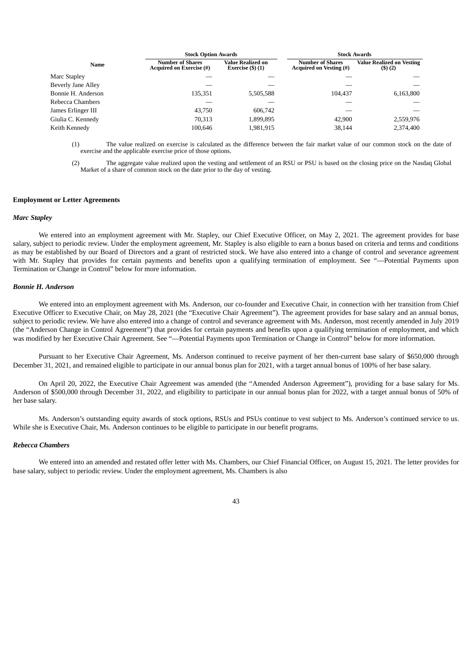|                    | <b>Stock Option Awards</b>                                 |                                            | <b>Stock Awards</b>                                       |                                            |  |  |  |
|--------------------|------------------------------------------------------------|--------------------------------------------|-----------------------------------------------------------|--------------------------------------------|--|--|--|
| Name               | <b>Number of Shares</b><br><b>Acquired on Exercise (#)</b> | Value Realized on<br>Exercise $(\$)$ $(1)$ | <b>Number of Shares</b><br><b>Acquired on Vesting (#)</b> | <b>Value Realized on Vesting</b><br>(5)(2) |  |  |  |
| Marc Stapley       |                                                            |                                            |                                                           |                                            |  |  |  |
| Beverly Jane Alley |                                                            |                                            |                                                           |                                            |  |  |  |
| Bonnie H. Anderson | 135,351                                                    | 5,505,588                                  | 104.437                                                   | 6,163,800                                  |  |  |  |
| Rebecca Chambers   |                                                            |                                            |                                                           |                                            |  |  |  |
| James Erlinger III | 43,750                                                     | 606.742                                    |                                                           |                                            |  |  |  |
| Giulia C. Kennedy  | 70,313                                                     | 1,899,895                                  | 42,900                                                    | 2,559,976                                  |  |  |  |
| Keith Kennedy      | 100,646                                                    | 1,981,915                                  | 38,144                                                    | 2,374,400                                  |  |  |  |
|                    |                                                            |                                            |                                                           |                                            |  |  |  |

(1) The value realized on exercise is calculated as the difference between the fair market value of our common stock on the date of exercise and the applicable exercise price of those options.

The aggregate value realized upon the vesting and settlement of an RSU or PSU is based on the closing price on the Nasdaq Global Market of a share of common stock on the date prior to the day of vesting.

#### **Employment or Letter Agreements**

### *Marc Stapley*

We entered into an employment agreement with Mr. Stapley, our Chief Executive Officer, on May 2, 2021. The agreement provides for base salary, subject to periodic review. Under the employment agreement, Mr. Stapley is also eligible to earn a bonus based on criteria and terms and conditions as may be established by our Board of Directors and a grant of restricted stock. We have also entered into a change of control and severance agreement with Mr. Stapley that provides for certain payments and benefits upon a qualifying termination of employment. See "—Potential Payments upon Termination or Change in Control" below for more information.

#### *Bonnie H. Anderson*

We entered into an employment agreement with Ms. Anderson, our co-founder and Executive Chair, in connection with her transition from Chief Executive Officer to Executive Chair, on May 28, 2021 (the "Executive Chair Agreement"). The agreement provides for base salary and an annual bonus, subject to periodic review. We have also entered into a change of control and severance agreement with Ms. Anderson, most recently amended in July 2019 (the "Anderson Change in Control Agreement") that provides for certain payments and benefits upon a qualifying termination of employment, and which was modified by her Executive Chair Agreement. See "—Potential Payments upon Termination or Change in Control" below for more information.

Pursuant to her Executive Chair Agreement, Ms. Anderson continued to receive payment of her then-current base salary of \$650,000 through December 31, 2021, and remained eligible to participate in our annual bonus plan for 2021, with a target annual bonus of 100% of her base salary.

On April 20, 2022, the Executive Chair Agreement was amended (the "Amended Anderson Agreement"), providing for a base salary for Ms. Anderson of \$500,000 through December 31, 2022, and eligibility to participate in our annual bonus plan for 2022, with a target annual bonus of 50% of her base salary.

Ms. Anderson's outstanding equity awards of stock options, RSUs and PSUs continue to vest subject to Ms. Anderson's continued service to us. While she is Executive Chair, Ms. Anderson continues to be eligible to participate in our benefit programs.

#### *Rebecca Chambers*

We entered into an amended and restated offer letter with Ms. Chambers, our Chief Financial Officer, on August 15, 2021. The letter provides for base salary, subject to periodic review. Under the employment agreement, Ms. Chambers is also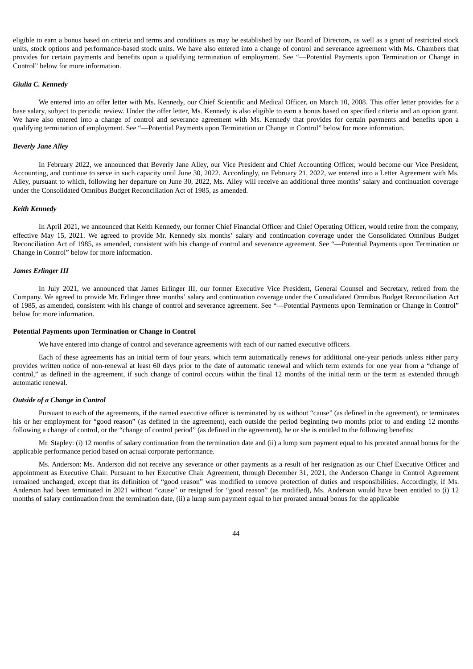eligible to earn a bonus based on criteria and terms and conditions as may be established by our Board of Directors, as well as a grant of restricted stock units, stock options and performance-based stock units. We have also entered into a change of control and severance agreement with Ms. Chambers that provides for certain payments and benefits upon a qualifying termination of employment. See "—Potential Payments upon Termination or Change in Control" below for more information.

## *Giulia C. Kennedy*

We entered into an offer letter with Ms. Kennedy, our Chief Scientific and Medical Officer, on March 10, 2008. This offer letter provides for a base salary, subject to periodic review. Under the offer letter, Ms. Kennedy is also eligible to earn a bonus based on specified criteria and an option grant. We have also entered into a change of control and severance agreement with Ms. Kennedy that provides for certain payments and benefits upon a qualifying termination of employment. See "—Potential Payments upon Termination or Change in Control" below for more information.

#### *Beverly Jane Alley*

In February 2022, we announced that Beverly Jane Alley, our Vice President and Chief Accounting Officer, would become our Vice President, Accounting, and continue to serve in such capacity until June 30, 2022. Accordingly, on February 21, 2022, we entered into a Letter Agreement with Ms. Alley, pursuant to which, following her departure on June 30, 2022, Ms. Alley will receive an additional three months' salary and continuation coverage under the Consolidated Omnibus Budget Reconciliation Act of 1985, as amended.

#### *Keith Kennedy*

In April 2021, we announced that Keith Kennedy, our former Chief Financial Officer and Chief Operating Officer, would retire from the company, effective May 15, 2021. We agreed to provide Mr. Kennedy six months' salary and continuation coverage under the Consolidated Omnibus Budget Reconciliation Act of 1985, as amended, consistent with his change of control and severance agreement. See "—Potential Payments upon Termination or Change in Control" below for more information.

#### *James Erlinger III*

In July 2021, we announced that James Erlinger III, our former Executive Vice President, General Counsel and Secretary, retired from the Company. We agreed to provide Mr. Erlinger three months' salary and continuation coverage under the Consolidated Omnibus Budget Reconciliation Act of 1985, as amended, consistent with his change of control and severance agreement. See "—Potential Payments upon Termination or Change in Control" below for more information.

#### **Potential Payments upon Termination or Change in Control**

We have entered into change of control and severance agreements with each of our named executive officers.

Each of these agreements has an initial term of four years, which term automatically renews for additional one‑year periods unless either party provides written notice of non-renewal at least 60 days prior to the date of automatic renewal and which term extends for one year from a "change of control," as defined in the agreement, if such change of control occurs within the final 12 months of the initial term or the term as extended through automatic renewal.

#### *Outside of a Change in Control*

Pursuant to each of the agreements, if the named executive officer is terminated by us without "cause" (as defined in the agreement), or terminates his or her employment for "good reason" (as defined in the agreement), each outside the period beginning two months prior to and ending 12 months following a change of control, or the "change of control period" (as defined in the agreement), he or she is entitled to the following benefits:

Mr. Stapley: (i) 12 months of salary continuation from the termination date and (ii) a lump sum payment equal to his prorated annual bonus for the applicable performance period based on actual corporate performance.

Ms. Anderson: Ms. Anderson did not receive any severance or other payments as a result of her resignation as our Chief Executive Officer and appointment as Executive Chair. Pursuant to her Executive Chair Agreement, through December 31, 2021, the Anderson Change in Control Agreement remained unchanged, except that its definition of "good reason" was modified to remove protection of duties and responsibilities. Accordingly, if Ms. Anderson had been terminated in 2021 without "cause" or resigned for "good reason" (as modified), Ms. Anderson would have been entitled to (i) 12 months of salary continuation from the termination date, (ii) a lump sum payment equal to her prorated annual bonus for the applicable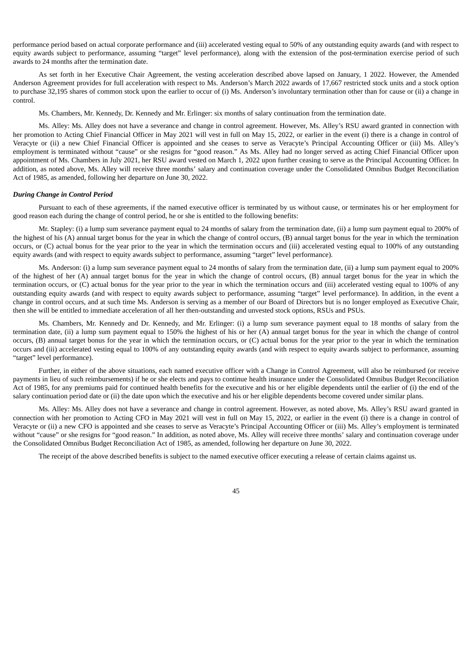performance period based on actual corporate performance and (iii) accelerated vesting equal to 50% of any outstanding equity awards (and with respect to equity awards subject to performance, assuming "target" level performance), along with the extension of the post-termination exercise period of such awards to 24 months after the termination date.

As set forth in her Executive Chair Agreement, the vesting acceleration described above lapsed on January, 1 2022. However, the Amended Anderson Agreement provides for full acceleration with respect to Ms. Anderson's March 2022 awards of 17,667 restricted stock units and a stock option to purchase 32,195 shares of common stock upon the earlier to occur of (i) Ms. Anderson's involuntary termination other than for cause or (ii) a change in control.

Ms. Chambers, Mr. Kennedy, Dr. Kennedy and Mr. Erlinger: six months of salary continuation from the termination date.

Ms. Alley: Ms. Alley does not have a severance and change in control agreement. However, Ms. Alley's RSU award granted in connection with her promotion to Acting Chief Financial Officer in May 2021 will vest in full on May 15, 2022, or earlier in the event (i) there is a change in control of Veracyte or (ii) a new Chief Financial Officer is appointed and she ceases to serve as Veracyte's Principal Accounting Officer or (iii) Ms. Alley's employment is terminated without "cause" or she resigns for "good reason." As Ms. Alley had no longer served as acting Chief Financial Officer upon appointment of Ms. Chambers in July 2021, her RSU award vested on March 1, 2022 upon further ceasing to serve as the Principal Accounting Officer. In addition, as noted above, Ms. Alley will receive three months' salary and continuation coverage under the Consolidated Omnibus Budget Reconciliation Act of 1985, as amended, following her departure on June 30, 2022.

#### *During Change in Control Period*

Pursuant to each of these agreements, if the named executive officer is terminated by us without cause, or terminates his or her employment for good reason each during the change of control period, he or she is entitled to the following benefits:

Mr. Stapley: (i) a lump sum severance payment equal to 24 months of salary from the termination date, (ii) a lump sum payment equal to 200% of the highest of his (A) annual target bonus for the year in which the change of control occurs, (B) annual target bonus for the year in which the termination occurs, or (C) actual bonus for the year prior to the year in which the termination occurs and (iii) accelerated vesting equal to 100% of any outstanding equity awards (and with respect to equity awards subject to performance, assuming "target" level performance).

Ms. Anderson: (i) a lump sum severance payment equal to 24 months of salary from the termination date, (ii) a lump sum payment equal to 200% of the highest of her (A) annual target bonus for the year in which the change of control occurs, (B) annual target bonus for the year in which the termination occurs, or (C) actual bonus for the year prior to the year in which the termination occurs and (iii) accelerated vesting equal to 100% of any outstanding equity awards (and with respect to equity awards subject to performance, assuming "target" level performance). In addition, in the event a change in control occurs, and at such time Ms. Anderson is serving as a member of our Board of Directors but is no longer employed as Executive Chair, then she will be entitled to immediate acceleration of all her then-outstanding and unvested stock options, RSUs and PSUs.

Ms. Chambers, Mr. Kennedy and Dr. Kennedy, and Mr. Erlinger: (i) a lump sum severance payment equal to 18 months of salary from the termination date, (ii) a lump sum payment equal to 150% the highest of his or her (A) annual target bonus for the year in which the change of control occurs, (B) annual target bonus for the year in which the termination occurs, or (C) actual bonus for the year prior to the year in which the termination occurs and (iii) accelerated vesting equal to 100% of any outstanding equity awards (and with respect to equity awards subject to performance, assuming "target" level performance).

Further, in either of the above situations, each named executive officer with a Change in Control Agreement, will also be reimbursed (or receive payments in lieu of such reimbursements) if he or she elects and pays to continue health insurance under the Consolidated Omnibus Budget Reconciliation Act of 1985, for any premiums paid for continued health benefits for the executive and his or her eligible dependents until the earlier of (i) the end of the salary continuation period date or (ii) the date upon which the executive and his or her eligible dependents become covered under similar plans.

Ms. Alley: Ms. Alley does not have a severance and change in control agreement. However, as noted above, Ms. Alley's RSU award granted in connection with her promotion to Acting CFO in May 2021 will vest in full on May 15, 2022, or earlier in the event (i) there is a change in control of Veracyte or (ii) a new CFO is appointed and she ceases to serve as Veracyte's Principal Accounting Officer or (iii) Ms. Alley's employment is terminated without "cause" or she resigns for "good reason." In addition, as noted above, Ms. Alley will receive three months' salary and continuation coverage under the Consolidated Omnibus Budget Reconciliation Act of 1985, as amended, following her departure on June 30, 2022.

The receipt of the above described benefits is subject to the named executive officer executing a release of certain claims against us.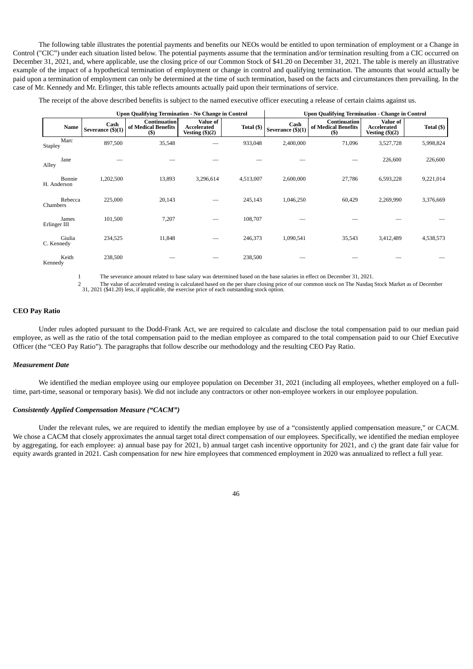The following table illustrates the potential payments and benefits our NEOs would be entitled to upon termination of employment or a Change in Control ("CIC") under each situation listed below. The potential payments assume that the termination and/or termination resulting from a CIC occurred on December 31, 2021, and, where applicable, use the closing price of our Common Stock of \$41.20 on December 31, 2021. The table is merely an illustrative example of the impact of a hypothetical termination of employment or change in control and qualifying termination. The amounts that would actually be paid upon a termination of employment can only be determined at the time of such termination, based on the facts and circumstances then prevailing. In the case of Mr. Kennedy and Mr. Erlinger, this table reflects amounts actually paid upon their terminations of service.

The receipt of the above described benefits is subject to the named executive officer executing a release of certain claims against us.

|              |         |                           | Upon Qualifying Termination - No Change in Control |                                                           |             | <b>Upon Qualifying Termination - Change in Control</b> |                                                     |                                                     |              |  |  |  |
|--------------|---------|---------------------------|----------------------------------------------------|-----------------------------------------------------------|-------------|--------------------------------------------------------|-----------------------------------------------------|-----------------------------------------------------|--------------|--|--|--|
|              | Name    | Cash<br>Severance (\$)(1) | Continuation<br>of Medical Benefits<br>$($ \$      | <b>Value of</b><br>Accelerated<br>Vesting $(\frac{5}{2})$ | Total $($ ) | Cash<br>Severance $(\text{\$})(1)$                     | <b>Continuation</b><br>of Medical Benefits<br>$($)$ | Value of<br>Accelerated<br>Vesting $(\text{\$})(2)$ | Total $(\$)$ |  |  |  |
| Stapley      | Marc    | 897,500                   | 35,548                                             |                                                           | 933,048     | 2,400,000                                              | 71,096                                              | 3,527,728                                           | 5,998,824    |  |  |  |
| Alley        | Jane    |                           |                                                    |                                                           |             |                                                        |                                                     | 226,600                                             | 226,600      |  |  |  |
| H. Anderson  | Bonnie  | 1,202,500                 | 13,893                                             | 3,296,614                                                 | 4,513,007   | 2,600,000                                              | 27,786                                              | 6,593,228                                           | 9,221,014    |  |  |  |
| Chambers     | Rebecca | 225,000                   | 20,143                                             |                                                           | 245,143     | 1,046,250                                              | 60,429                                              | 2,269,990                                           | 3,376,669    |  |  |  |
| Erlinger III | James   | 101,500                   | 7,207                                              |                                                           | 108,707     |                                                        |                                                     |                                                     |              |  |  |  |
| C. Kennedy   | Giulia  | 234,525                   | 11,848                                             |                                                           | 246,373     | 1,090,541                                              | 35,543                                              | 3,412,489                                           | 4,538,573    |  |  |  |
| Kennedy      | Keith   | 238,500                   |                                                    |                                                           | 238,500     |                                                        |                                                     |                                                     |              |  |  |  |

1 The severance amount related to base salary was determined based on the base salaries in effect on December 31, 2021.

2 The value of accelerated vesting is calculated based on the per share closing price of our common stock on The Nasdaq Stock Market as of December<br>31, 2021 (\$41.20) less, if applicable, the exercise price

## **CEO Pay Ratio**

Under rules adopted pursuant to the Dodd-Frank Act, we are required to calculate and disclose the total compensation paid to our median paid employee, as well as the ratio of the total compensation paid to the median employee as compared to the total compensation paid to our Chief Executive Officer (the "CEO Pay Ratio"). The paragraphs that follow describe our methodology and the resulting CEO Pay Ratio.

## *Measurement Date*

We identified the median employee using our employee population on December 31, 2021 (including all employees, whether employed on a fulltime, part-time, seasonal or temporary basis). We did not include any contractors or other non-employee workers in our employee population.

#### *Consistently Applied Compensation Measure ("CACM")*

Under the relevant rules, we are required to identify the median employee by use of a "consistently applied compensation measure," or CACM. We chose a CACM that closely approximates the annual target total direct compensation of our employees. Specifically, we identified the median employee by aggregating, for each employee: a) annual base pay for 2021, b) annual target cash incentive opportunity for 2021, and c) the grant date fair value for equity awards granted in 2021. Cash compensation for new hire employees that commenced employment in 2020 was annualized to reflect a full year.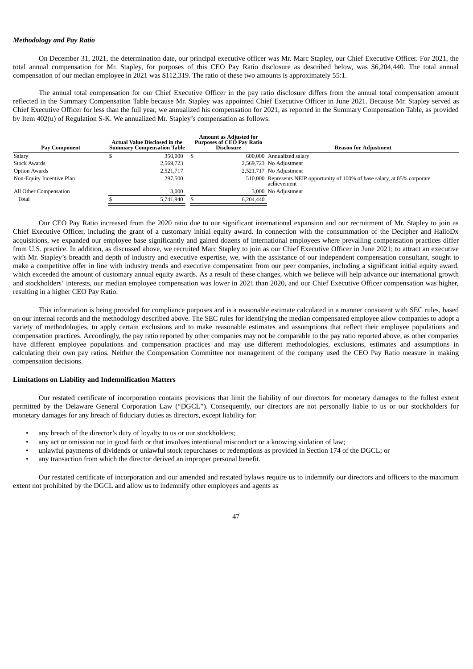## *Methodology and Pay Ratio*

On December 31, 2021, the determination date, our principal executive officer was Mr. Marc Stapley, our Chief Executive Officer. For 2021, the total annual compensation for Mr. Stapley, for purposes of this CEO Pay Ratio disclosure as described below, was \$6,204,440. The total annual compensation of our median employee in 2021 was \$112,319. The ratio of these two amounts is approximately 55:1.

The annual total compensation for our Chief Executive Officer in the pay ratio disclosure differs from the annual total compensation amount reflected in the Summary Compensation Table because Mr. Stapley was appointed Chief Executive Officer in June 2021. Because Mr. Stapley served as Chief Executive Officer for less than the full year, we annualized his compensation for 2021, as reported in the Summary Compensation Table, as provided by Item 402(u) of Regulation S-K. We annualized Mr. Stapley's compensation as follows:

| <b>Pay Component</b>      | <b>Actual Value Disclosed in the</b><br><b>Summary Compensation Table</b> | <b>Amount as Adiusted for</b><br><b>Purposes of CEO Pay Ratio</b><br><b>Disclosure</b> | <b>Reason for Adiustment</b>                                                                |
|---------------------------|---------------------------------------------------------------------------|----------------------------------------------------------------------------------------|---------------------------------------------------------------------------------------------|
| Salary                    | 350,000                                                                   |                                                                                        | 600,000 Annualized salary                                                                   |
| <b>Stock Awards</b>       | 2,569,723                                                                 |                                                                                        | 2,569,723 No Adjustment                                                                     |
| <b>Option Awards</b>      | 2,521,717                                                                 |                                                                                        | 2,521,717 No Adjustment                                                                     |
| Non-Equity Incentive Plan | 297,500                                                                   |                                                                                        | 510,000 Represents NEIP opportunity of 100% of base salary, at 85% corporate<br>achievement |
| All Other Compensation    | 3.000                                                                     |                                                                                        | 3,000 No Adjustment                                                                         |
| Total                     | 5,741,940                                                                 | 6.204.440                                                                              |                                                                                             |

Our CEO Pay Ratio increased from the 2020 ratio due to our significant international expansion and our recruitment of Mr. Stapley to join as Chief Executive Officer, including the grant of a customary initial equity award. In connection with the consummation of the Decipher and HalioDx acquisitions, we expanded our employee base significantly and gained dozens of international employees where prevailing compensation practices differ from U.S. practice. In addition, as discussed above, we recruited Marc Stapley to join as our Chief Executive Officer in June 2021; to attract an executive with Mr. Stapley's breadth and depth of industry and executive expertise, we, with the assistance of our independent compensation consultant, sought to make a competitive offer in line with industry trends and executive compensation from our peer companies, including a significant initial equity award, which exceeded the amount of customary annual equity awards. As a result of these changes, which we believe will help advance our international growth and stockholders' interests, our median employee compensation was lower in 2021 than 2020, and our Chief Executive Officer compensation was higher, resulting in a higher CEO Pay Ratio.

This information is being provided for compliance purposes and is a reasonable estimate calculated in a manner consistent with SEC rules, based on our internal records and the methodology described above. The SEC rules for identifying the median compensated employee allow companies to adopt a variety of methodologies, to apply certain exclusions and to make reasonable estimates and assumptions that reflect their employee populations and compensation practices. Accordingly, the pay ratio reported by other companies may not be comparable to the pay ratio reported above, as other companies have different employee populations and compensation practices and may use different methodologies, exclusions, estimates and assumptions in calculating their own pay ratios. Neither the Compensation Committee nor management of the company used the CEO Pay Ratio measure in making compensation decisions.

# **Limitations on Liability and Indemnification Matters**

Our restated certificate of incorporation contains provisions that limit the liability of our directors for monetary damages to the fullest extent permitted by the Delaware General Corporation Law ("DGCL"). Consequently, our directors are not personally liable to us or our stockholders for monetary damages for any breach of fiduciary duties as directors, except liability for:

- any breach of the director's duty of loyalty to us or our stockholders;
- any act or omission not in good faith or that involves intentional misconduct or a knowing violation of law;
- unlawful payments of dividends or unlawful stock repurchases or redemptions as provided in Section 174 of the DGCL; or
- any transaction from which the director derived an improper personal benefit.

Our restated certificate of incorporation and our amended and restated bylaws require us to indemnify our directors and officers to the maximum extent not prohibited by the DGCL and allow us to indemnify other employees and agents as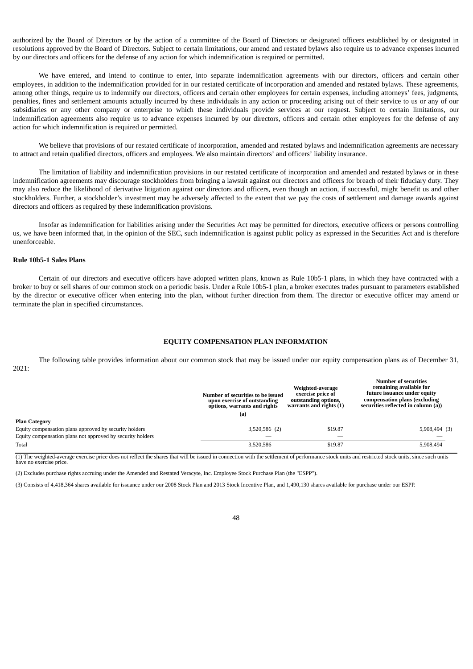authorized by the Board of Directors or by the action of a committee of the Board of Directors or designated officers established by or designated in resolutions approved by the Board of Directors. Subject to certain limitations, our amend and restated bylaws also require us to advance expenses incurred by our directors and officers for the defense of any action for which indemnification is required or permitted.

We have entered, and intend to continue to enter, into separate indemnification agreements with our directors, officers and certain other employees, in addition to the indemnification provided for in our restated certificate of incorporation and amended and restated bylaws. These agreements, among other things, require us to indemnify our directors, officers and certain other employees for certain expenses, including attorneys' fees, judgments, penalties, fines and settlement amounts actually incurred by these individuals in any action or proceeding arising out of their service to us or any of our subsidiaries or any other company or enterprise to which these individuals provide services at our request. Subject to certain limitations, our indemnification agreements also require us to advance expenses incurred by our directors, officers and certain other employees for the defense of any action for which indemnification is required or permitted.

We believe that provisions of our restated certificate of incorporation, amended and restated bylaws and indemnification agreements are necessary to attract and retain qualified directors, officers and employees. We also maintain directors' and officers' liability insurance.

The limitation of liability and indemnification provisions in our restated certificate of incorporation and amended and restated bylaws or in these indemnification agreements may discourage stockholders from bringing a lawsuit against our directors and officers for breach of their fiduciary duty. They may also reduce the likelihood of derivative litigation against our directors and officers, even though an action, if successful, might benefit us and other stockholders. Further, a stockholder's investment may be adversely affected to the extent that we pay the costs of settlement and damage awards against directors and officers as required by these indemnification provisions.

Insofar as indemnification for liabilities arising under the Securities Act may be permitted for directors, executive officers or persons controlling us, we have been informed that, in the opinion of the SEC, such indemnification is against public policy as expressed in the Securities Act and is therefore unenforceable.

#### **Rule 10b5-1 Sales Plans**

Certain of our directors and executive officers have adopted written plans, known as Rule 10b5-1 plans, in which they have contracted with a broker to buy or sell shares of our common stock on a periodic basis. Under a Rule 10b5-1 plan, a broker executes trades pursuant to parameters established by the director or executive officer when entering into the plan, without further direction from them. The director or executive officer may amend or terminate the plan in specified circumstances.

#### **EQUITY COMPENSATION PLAN INFORMATION**

<span id="page-51-0"></span>The following table provides information about our common stock that may be issued under our equity compensation plans as of December 31, 2021:

|                                                            | Number of securities to be issued<br>upon exercise of outstanding<br>options, warrants and rights | Weighted-average<br>exercise price of<br>outstanding options,<br>warrants and rights (1) | <b>Number of securities</b><br>remaining available for<br>future issuance under equity<br>compensation plans (excluding<br>securities reflected in column (a)) |  |  |
|------------------------------------------------------------|---------------------------------------------------------------------------------------------------|------------------------------------------------------------------------------------------|----------------------------------------------------------------------------------------------------------------------------------------------------------------|--|--|
|                                                            | (a)                                                                                               |                                                                                          |                                                                                                                                                                |  |  |
| <b>Plan Category</b>                                       |                                                                                                   |                                                                                          |                                                                                                                                                                |  |  |
| Equity compensation plans approved by security holders     | 3,520,586 (2)                                                                                     | \$19.87                                                                                  | $5,908,494$ (3)                                                                                                                                                |  |  |
| Equity compensation plans not approved by security holders |                                                                                                   |                                                                                          |                                                                                                                                                                |  |  |
| Total                                                      | 3,520,586                                                                                         | \$19.87                                                                                  | 5,908,494                                                                                                                                                      |  |  |

(1) The weighted-average exercise price does not reflect the shares that will be issued in connection with the settlement of performance stock units and restricted stock units, since such units have no exercise price.

(2) Excludes purchase rights accruing under the Amended and Restated Veracyte, Inc. Employee Stock Purchase Plan (the "ESPP").

(3) Consists of 4,418,364 shares available for issuance under our 2008 Stock Plan and 2013 Stock Incentive Plan, and 1,490,130 shares available for purchase under our ESPP.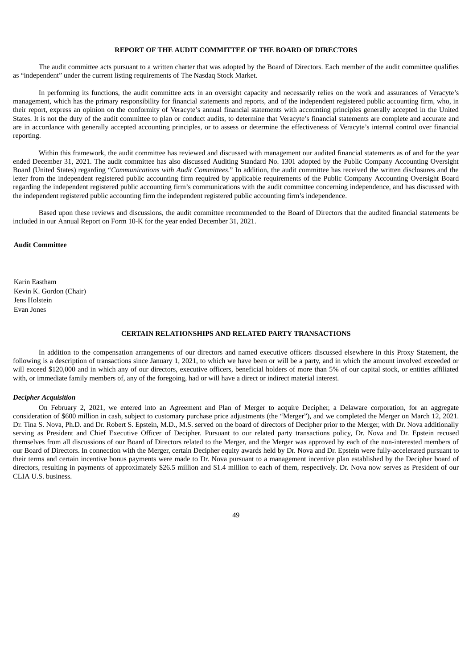## **REPORT OF THE AUDIT COMMITTEE OF THE BOARD OF DIRECTORS**

<span id="page-52-0"></span>The audit committee acts pursuant to a written charter that was adopted by the Board of Directors. Each member of the audit committee qualifies as "independent" under the current listing requirements of The Nasdaq Stock Market.

In performing its functions, the audit committee acts in an oversight capacity and necessarily relies on the work and assurances of Veracyte's management, which has the primary responsibility for financial statements and reports, and of the independent registered public accounting firm, who, in their report, express an opinion on the conformity of Veracyte's annual financial statements with accounting principles generally accepted in the United States. It is not the duty of the audit committee to plan or conduct audits, to determine that Veracyte's financial statements are complete and accurate and are in accordance with generally accepted accounting principles, or to assess or determine the effectiveness of Veracyte's internal control over financial reporting.

Within this framework, the audit committee has reviewed and discussed with management our audited financial statements as of and for the year ended December 31, 2021. The audit committee has also discussed Auditing Standard No. 1301 adopted by the Public Company Accounting Oversight Board (United States) regarding "*Communications with Audit Committees*." In addition, the audit committee has received the written disclosures and the letter from the independent registered public accounting firm required by applicable requirements of the Public Company Accounting Oversight Board regarding the independent registered public accounting firm's communications with the audit committee concerning independence, and has discussed with the independent registered public accounting firm the independent registered public accounting firm's independence.

Based upon these reviews and discussions, the audit committee recommended to the Board of Directors that the audited financial statements be included in our Annual Report on Form 10-K for the year ended December 31, 2021.

#### **Audit Committee**

Karin Eastham Kevin K. Gordon (Chair) Jens Holstein Evan Jones

## **CERTAIN RELATIONSHIPS AND RELATED PARTY TRANSACTIONS**

<span id="page-52-1"></span>In addition to the compensation arrangements of our directors and named executive officers discussed elsewhere in this Proxy Statement, the following is a description of transactions since January 1, 2021, to which we have been or will be a party, and in which the amount involved exceeded or will exceed \$120,000 and in which any of our directors, executive officers, beneficial holders of more than 5% of our capital stock, or entities affiliated with, or immediate family members of, any of the foregoing, had or will have a direct or indirect material interest.

## *Decipher Acquisition*

On February 2, 2021, we entered into an Agreement and Plan of Merger to acquire Decipher, a Delaware corporation, for an aggregate consideration of \$600 million in cash, subject to customary purchase price adjustments (the "Merger"), and we completed the Merger on March 12, 2021. Dr. Tina S. Nova, Ph.D. and Dr. Robert S. Epstein, M.D., M.S. served on the board of directors of Decipher prior to the Merger, with Dr. Nova additionally serving as President and Chief Executive Officer of Decipher. Pursuant to our related party transactions policy, Dr. Nova and Dr. Epstein recused themselves from all discussions of our Board of Directors related to the Merger, and the Merger was approved by each of the non-interested members of our Board of Directors. In connection with the Merger, certain Decipher equity awards held by Dr. Nova and Dr. Epstein were fully-accelerated pursuant to their terms and certain incentive bonus payments were made to Dr. Nova pursuant to a management incentive plan established by the Decipher board of directors, resulting in payments of approximately \$26.5 million and \$1.4 million to each of them, respectively. Dr. Nova now serves as President of our CLIA IIS business.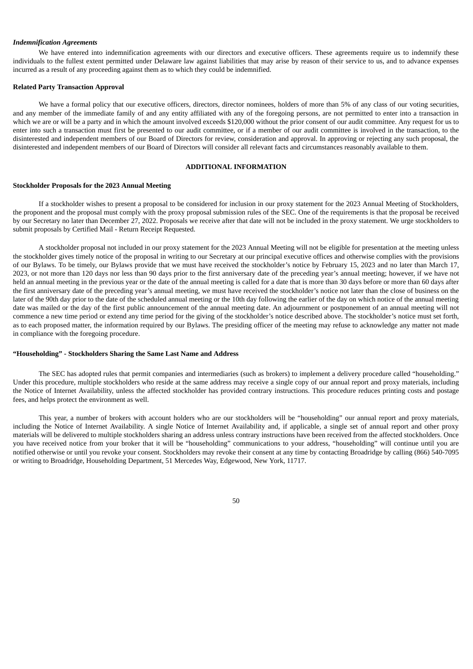#### *Indemnification Agreements*

We have entered into indemnification agreements with our directors and executive officers. These agreements require us to indemnify these individuals to the fullest extent permitted under Delaware law against liabilities that may arise by reason of their service to us, and to advance expenses incurred as a result of any proceeding against them as to which they could be indemnified.

#### **Related Party Transaction Approval**

We have a formal policy that our executive officers, directors, director nominees, holders of more than 5% of any class of our voting securities, and any member of the immediate family of and any entity affiliated with any of the foregoing persons, are not permitted to enter into a transaction in which we are or will be a party and in which the amount involved exceeds \$120,000 without the prior consent of our audit committee. Any request for us to enter into such a transaction must first be presented to our audit committee, or if a member of our audit committee is involved in the transaction, to the disinterested and independent members of our Board of Directors for review, consideration and approval. In approving or rejecting any such proposal, the disinterested and independent members of our Board of Directors will consider all relevant facts and circumstances reasonably available to them.

#### **ADDITIONAL INFORMATION**

#### <span id="page-53-0"></span>**Stockholder Proposals for the 2023 Annual Meeting**

If a stockholder wishes to present a proposal to be considered for inclusion in our proxy statement for the 2023 Annual Meeting of Stockholders, the proponent and the proposal must comply with the proxy proposal submission rules of the SEC. One of the requirements is that the proposal be received by our Secretary no later than December 27, 2022. Proposals we receive after that date will not be included in the proxy statement. We urge stockholders to submit proposals by Certified Mail - Return Receipt Requested.

A stockholder proposal not included in our proxy statement for the 2023 Annual Meeting will not be eligible for presentation at the meeting unless the stockholder gives timely notice of the proposal in writing to our Secretary at our principal executive offices and otherwise complies with the provisions of our Bylaws. To be timely, our Bylaws provide that we must have received the stockholder's notice by February 15, 2023 and no later than March 17, 2023, or not more than 120 days nor less than 90 days prior to the first anniversary date of the preceding year's annual meeting; however, if we have not held an annual meeting in the previous year or the date of the annual meeting is called for a date that is more than 30 days before or more than 60 days after the first anniversary date of the preceding year's annual meeting, we must have received the stockholder's notice not later than the close of business on the later of the 90th day prior to the date of the scheduled annual meeting or the 10th day following the earlier of the day on which notice of the annual meeting date was mailed or the day of the first public announcement of the annual meeting date. An adjournment or postponement of an annual meeting will not commence a new time period or extend any time period for the giving of the stockholder's notice described above. The stockholder's notice must set forth, as to each proposed matter, the information required by our Bylaws. The presiding officer of the meeting may refuse to acknowledge any matter not made in compliance with the foregoing procedure.

#### **"Householding" - Stockholders Sharing the Same Last Name and Address**

The SEC has adopted rules that permit companies and intermediaries (such as brokers) to implement a delivery procedure called "householding." Under this procedure, multiple stockholders who reside at the same address may receive a single copy of our annual report and proxy materials, including the Notice of Internet Availability, unless the affected stockholder has provided contrary instructions. This procedure reduces printing costs and postage fees, and helps protect the environment as well.

<span id="page-53-1"></span>This year, a number of brokers with account holders who are our stockholders will be "householding" our annual report and proxy materials, including the Notice of Internet Availability. A single Notice of Internet Availability and, if applicable, a single set of annual report and other proxy materials will be delivered to multiple stockholders sharing an address unless contrary instructions have been received from the affected stockholders. Once you have received notice from your broker that it will be "householding" communications to your address, "householding" will continue until you are notified otherwise or until you revoke your consent. Stockholders may revoke their consent at any time by contacting Broadridge by calling (866) 540-7095 or writing to Broadridge, Householding Department, 51 Mercedes Way, Edgewood, New York, 11717.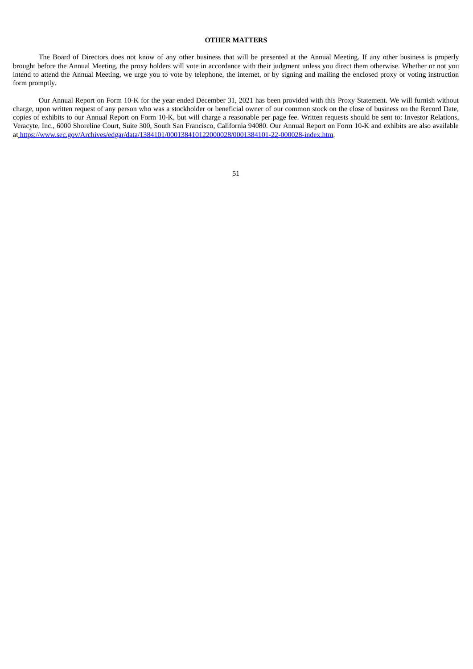## **OTHER MATTERS**

The Board of Directors does not know of any other business that will be presented at the Annual Meeting. If any other business is properly brought before the Annual Meeting, the proxy holders will vote in accordance with their judgment unless you direct them otherwise. Whether or not you intend to attend the Annual Meeting, we urge you to vote by telephone, the internet, or by signing and mailing the enclosed proxy or voting instruction form promptly.

Our Annual Report on Form 10-K for the year ended December 31, 2021 has been provided with this Proxy Statement. We will furnish without charge, upon written request of any person who was a stockholder or beneficial owner of our common stock on the close of business on the Record Date, copies of exhibits to our Annual Report on Form 10-K, but will charge a reasonable per page fee. Written requests should be sent to: Investor Relations, Veracyte, Inc., 6000 Shoreline Court, Suite 300, South San Francisco, California 94080. Our Annual Report on Form 10-K and exhibits are also available at <https://www.sec.gov/Archives/edgar/data/1384101/000138410122000028/0001384101-22-000028-index.htm>.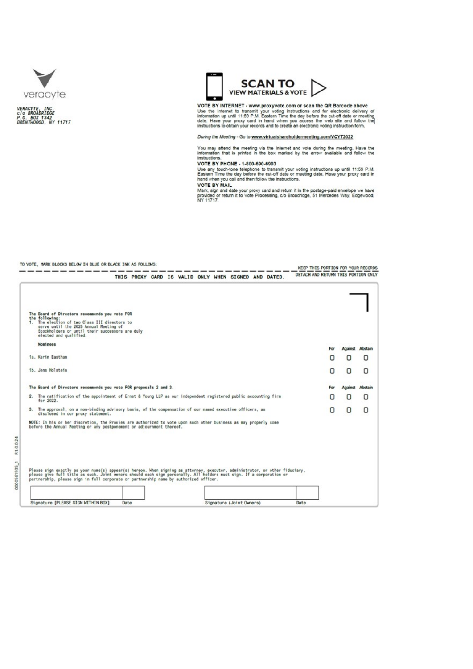



0000561935\_1 R1.0.0.24



VOTE BY INTERNET - www.proxyvote.com or scan the QR Barcode above<br>Use the Internet to transmit your voting instructions and for electronic delivery of<br>information up until 11:59 P.M. Eastern Time the day before the cut-off

During the Meeting - Go to www.virtualshareholdermeeting.com/VCYT2022

You may attend the meeting via the Internet and vote during the meeting. Have the information that is printed in the box marked by the arrow available and follow the instructions.<br>VOTE BY PHONE - 1-800-690-6903

Visible any four-theories to transmit your voting instructions up until 11:59 P.M.<br>Eastern Time the day before the cut-off date or meeting date. Have your proxy card in<br>hand when you call and then follow the instructions.

The US of the Mall.<br>Mark, sign and date your proxy card and return it in the postage-paid envelope we have<br>Mark, sign and date your proxy card and return it in the postage-paid envelope we have<br>provided or return it to Vot

## TO VOTE. MARK BLOCKS BELOW IN BLUE OR BLACK INK AS FOLLOWS:

|                                                                                                                                                                                                                                                                                                                                               |      |  |  |  |                                                      |  |      | KEEP THIS PORTION FOR YOUR RECORDS  |         |                        |
|-----------------------------------------------------------------------------------------------------------------------------------------------------------------------------------------------------------------------------------------------------------------------------------------------------------------------------------------------|------|--|--|--|------------------------------------------------------|--|------|-------------------------------------|---------|------------------------|
|                                                                                                                                                                                                                                                                                                                                               |      |  |  |  | THIS PROXY CARD IS VALID ONLY WHEN SIGNED AND DATED. |  |      | DETACH AND RETURN THIS PORTION ONLY |         |                        |
|                                                                                                                                                                                                                                                                                                                                               |      |  |  |  |                                                      |  |      |                                     |         |                        |
| The Board of Directors recommends you vote FOR<br>the following:<br>1. The election of two Class III directors to<br>serve until the 2025 Annual Meeting of<br>Stockholders or until their successors are duly<br>elected and qualified.                                                                                                      |      |  |  |  |                                                      |  |      |                                     |         |                        |
| <b>Nominees</b>                                                                                                                                                                                                                                                                                                                               |      |  |  |  |                                                      |  |      | For                                 |         | <b>Against Abstair</b> |
| 1a. Karin Eastham                                                                                                                                                                                                                                                                                                                             |      |  |  |  |                                                      |  |      | п                                   | ο       | О                      |
| 1b. Jens Holstein                                                                                                                                                                                                                                                                                                                             |      |  |  |  |                                                      |  |      | Π                                   | о       | Ο                      |
| The Board of Directors recommends you vote FOR proposals 2 and 3.                                                                                                                                                                                                                                                                             |      |  |  |  |                                                      |  |      | For                                 | Against | Abstain                |
| 2. The ratification of the appointment of Ernst & Young LLP as our independent registered public accounting firm<br>for 2022.                                                                                                                                                                                                                 |      |  |  |  |                                                      |  |      | п                                   | 0       | Ο                      |
| 3. The approval, on a non-binding advisory basis, of the compensation of our named executive officers, as<br>disclosed in our proxy statement.                                                                                                                                                                                                |      |  |  |  |                                                      |  |      | Ο                                   | о       | О                      |
| NOTE: In his or her discretion, the Proxies are authorized to vote upon such other business as may properly come<br>before the Annual Meeting or any postponement or adjournment thereof.                                                                                                                                                     |      |  |  |  |                                                      |  |      |                                     |         |                        |
|                                                                                                                                                                                                                                                                                                                                               |      |  |  |  |                                                      |  |      |                                     |         |                        |
|                                                                                                                                                                                                                                                                                                                                               |      |  |  |  |                                                      |  |      |                                     |         |                        |
|                                                                                                                                                                                                                                                                                                                                               |      |  |  |  |                                                      |  |      |                                     |         |                        |
| Please sign exactly as your name(s) appear(s) hereon. When signing as attorney, executor, administrator, or other fiduciary,<br>please give full title as such. Joint owners should each sign personally. All holders must sign. If a corporation or<br>partnership, please sign in full corporate or partnership name by authorized officer. |      |  |  |  |                                                      |  |      |                                     |         |                        |
|                                                                                                                                                                                                                                                                                                                                               |      |  |  |  |                                                      |  |      |                                     |         |                        |
| Signature [PLEASE SIGN WITHIN BOX]                                                                                                                                                                                                                                                                                                            | Date |  |  |  | Signature (Joint Owners)                             |  | Date |                                     |         |                        |